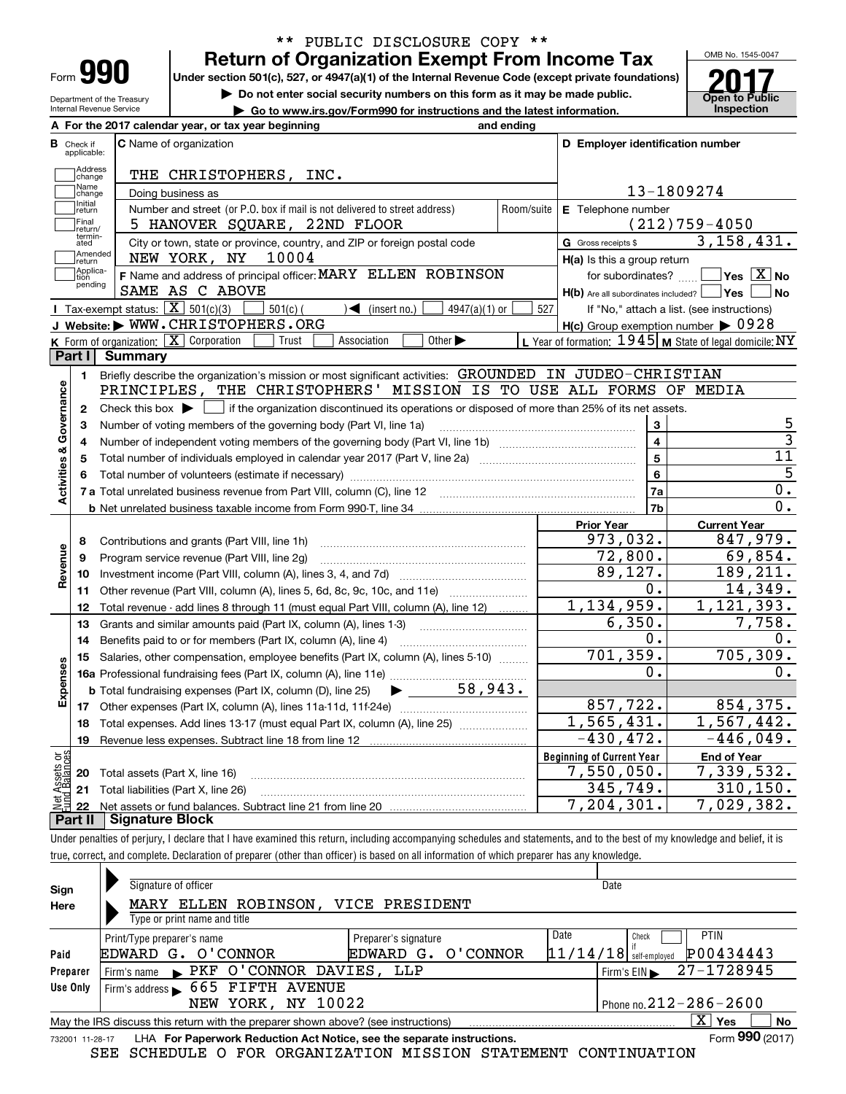| Form |  |
|------|--|

Department of the Treasury Internal Revenue Service

### **Return of Organization Exempt From Income Tax** \*\* PUBLIC DISCLOSURE COPY \*\*

**Under section 501(c), 527, or 4947(a)(1) of the Internal Revenue Code (except private foundations)**

**| Do not enter social security numbers on this form as it may be made public.**

▶ Go to www.irs.gov/Form990 for instructions and the latest information. **Inspection** 



|                         |                         | A For the 2017 calendar year, or tax year beginning                                                                                         | and ending |                                                         |                                                           |
|-------------------------|-------------------------|---------------------------------------------------------------------------------------------------------------------------------------------|------------|---------------------------------------------------------|-----------------------------------------------------------|
| В                       | Check if<br>applicable: | <b>C</b> Name of organization                                                                                                               |            | D Employer identification number                        |                                                           |
|                         | Address<br>change       | THE CHRISTOPHERS, INC.                                                                                                                      |            |                                                         |                                                           |
|                         | Name<br>change          | Doing business as                                                                                                                           |            |                                                         | 13-1809274                                                |
|                         | Initial<br>return       | Number and street (or P.O. box if mail is not delivered to street address)                                                                  | Room/suite | E Telephone number                                      |                                                           |
|                         | Final<br>return/        | 5 HANOVER SQUARE, 22ND FLOOR                                                                                                                |            |                                                         | $(212)759 - 4050$                                         |
|                         | termin-<br>ated         | City or town, state or province, country, and ZIP or foreign postal code                                                                    |            | G Gross receipts \$                                     | 3,158,431.                                                |
|                         | Amended<br>Ireturn      | 10004<br>NEW YORK, NY                                                                                                                       |            | H(a) Is this a group return                             |                                                           |
|                         | Applica-<br>tion        | F Name and address of principal officer: MARY ELLEN ROBINSON                                                                                |            | for subordinates?                                       | $\overline{\ }$ Yes $\overline{\rm X}$ No                 |
|                         | pending                 | SAME AS C ABOVE                                                                                                                             |            | $H(b)$ Are all subordinates included? $\Box$ Yes $\Box$ | ∣No                                                       |
|                         |                         | Tax-exempt status: $\boxed{\mathbf{X}}$ 501(c)(3)<br>$\sqrt{\bullet}$ (insert no.)<br>$501(c)$ (<br>$4947(a)(1)$ or                         | 527        |                                                         | If "No," attach a list. (see instructions)                |
|                         |                         | J Website: WWW.CHRISTOPHERS.ORG                                                                                                             |            |                                                         | $H(c)$ Group exemption number $\triangleright$ 0928       |
|                         |                         | K Form of organization: X Corporation<br>Other $\blacktriangleright$<br>Trust<br>Association                                                |            |                                                         | L Year of formation: $1945$ M State of legal domicile: NY |
| Part II                 |                         | Summary                                                                                                                                     |            |                                                         |                                                           |
|                         | 1.                      | Briefly describe the organization's mission or most significant activities: GROUNDED IN JUDEO-CHRISTIAN                                     |            |                                                         |                                                           |
| Activities & Governance |                         | PRINCIPLES, THE CHRISTOPHERS' MISSION IS TO USE ALL FORMS OF MEDIA                                                                          |            |                                                         |                                                           |
|                         | $\mathbf{2}$            | Check this box $\blacktriangleright$ $\Box$ if the organization discontinued its operations or disposed of more than 25% of its net assets. |            |                                                         |                                                           |
|                         | 3                       | Number of voting members of the governing body (Part VI, line 1a)                                                                           |            | 3                                                       | 5                                                         |
|                         | 4                       |                                                                                                                                             |            | $\overline{4}$                                          | $\overline{3}$                                            |
|                         | 5                       |                                                                                                                                             |            | $\overline{\mathbf{5}}$                                 | 11                                                        |
|                         |                         |                                                                                                                                             |            | 6                                                       | 5                                                         |
|                         |                         |                                                                                                                                             |            | 7a                                                      | 0.                                                        |
|                         |                         |                                                                                                                                             |            | 7 <sub>b</sub>                                          | $\overline{0}$ .                                          |
|                         |                         |                                                                                                                                             |            | <b>Prior Year</b>                                       | <b>Current Year</b>                                       |
|                         | 8                       | Contributions and grants (Part VIII, line 1h)                                                                                               |            | 973,032.                                                | 847,979.                                                  |
| Revenue                 | 9                       | Program service revenue (Part VIII, line 2g)                                                                                                |            | 72,800.                                                 | 69,854.                                                   |
|                         | 10                      |                                                                                                                                             |            | 89,127.                                                 | 189,211.                                                  |
|                         | 11                      | Other revenue (Part VIII, column (A), lines 5, 6d, 8c, 9c, 10c, and 11e)                                                                    |            | 0.                                                      | 14,349.                                                   |
|                         | 12                      | Total revenue - add lines 8 through 11 (must equal Part VIII, column (A), line 12)                                                          |            | 1,134,959.                                              | 1, 121, 393.                                              |
|                         | 13                      | Grants and similar amounts paid (Part IX, column (A), lines 1-3)                                                                            |            | 6,350.                                                  | 7,758.                                                    |
|                         | 14                      | Benefits paid to or for members (Part IX, column (A), line 4)                                                                               |            | 0.                                                      | 0.                                                        |
|                         | 15                      | Salaries, other compensation, employee benefits (Part IX, column (A), lines 5-10)                                                           |            | 701, 359.                                               | 705, 309.                                                 |
| Expenses                |                         |                                                                                                                                             |            | 0.                                                      | 0.                                                        |
|                         |                         | 58,943.<br><b>b</b> Total fundraising expenses (Part IX, column (D), line 25)<br>$\blacktriangleright$ and $\blacktriangleright$            |            |                                                         |                                                           |
|                         |                         |                                                                                                                                             |            | 857,722.                                                | 854, 375.                                                 |
|                         | 18                      | Total expenses. Add lines 13-17 (must equal Part IX, column (A), line 25)                                                                   |            | 1, 565, 431.                                            | 1,567,442.                                                |
|                         | 19                      |                                                                                                                                             |            | $-430, 472.$                                            | $-446,049.$                                               |
| ăğ                      |                         |                                                                                                                                             |            | <b>Beginning of Current Year</b>                        | <b>End of Year</b>                                        |
| sets                    |                         | <b>20</b> Total assets (Part X, line 16)                                                                                                    |            | 7,550,050.                                              | 7,339,532.                                                |
|                         |                         | 21 Total liabilities (Part X, line 26)                                                                                                      |            | 345,749.                                                | 310, 150.<br>7,029,382.                                   |
|                         | 22                      |                                                                                                                                             |            | 7,204,301.                                              |                                                           |

Under penalties of perjury, I declare that I have examined this return, including accompanying schedules and statements, and to the best of my knowledge and belief, it is true, correct, and complete. Declaration of preparer (other than officer) is based on all information of which preparer has any knowledge.

| Sign            | Signature of officer                                                              | Date                                  |
|-----------------|-----------------------------------------------------------------------------------|---------------------------------------|
| Here            | ELLEN ROBINSON, VICE PRESIDENT<br>MARY                                            |                                       |
|                 | Type or print name and title                                                      |                                       |
|                 | Preparer's signature<br>Print/Type preparer's name                                | Date<br><b>PTIN</b><br>Check          |
| Paid            | EDWARD G. O'CONNOR<br>O'CONNOR<br>EDWARD G.                                       | P00434443<br>$11/14/18$ self-employed |
| Preparer        | Firm's name PKF O'CONNOR DAVIES, LLP                                              | Firm's EIN $\sim 27 - 1728945$        |
| Use Only        | Firm's address $\triangleright$ 665 FIFTH AVENUE                                  |                                       |
|                 | NEW YORK, NY 10022                                                                | Phone no. $212 - 286 - 2600$          |
|                 | May the IRS discuss this return with the preparer shown above? (see instructions) | $\mathbf{x}$<br><b>No</b><br>Yes      |
| 732001 11-28-17 | LHA For Paperwork Reduction Act Notice, see the separate instructions.            | Form 990 (2017)                       |

SEE SCHEDULE O FOR ORGANIZATION MISSION STATEMENT CONTINUATION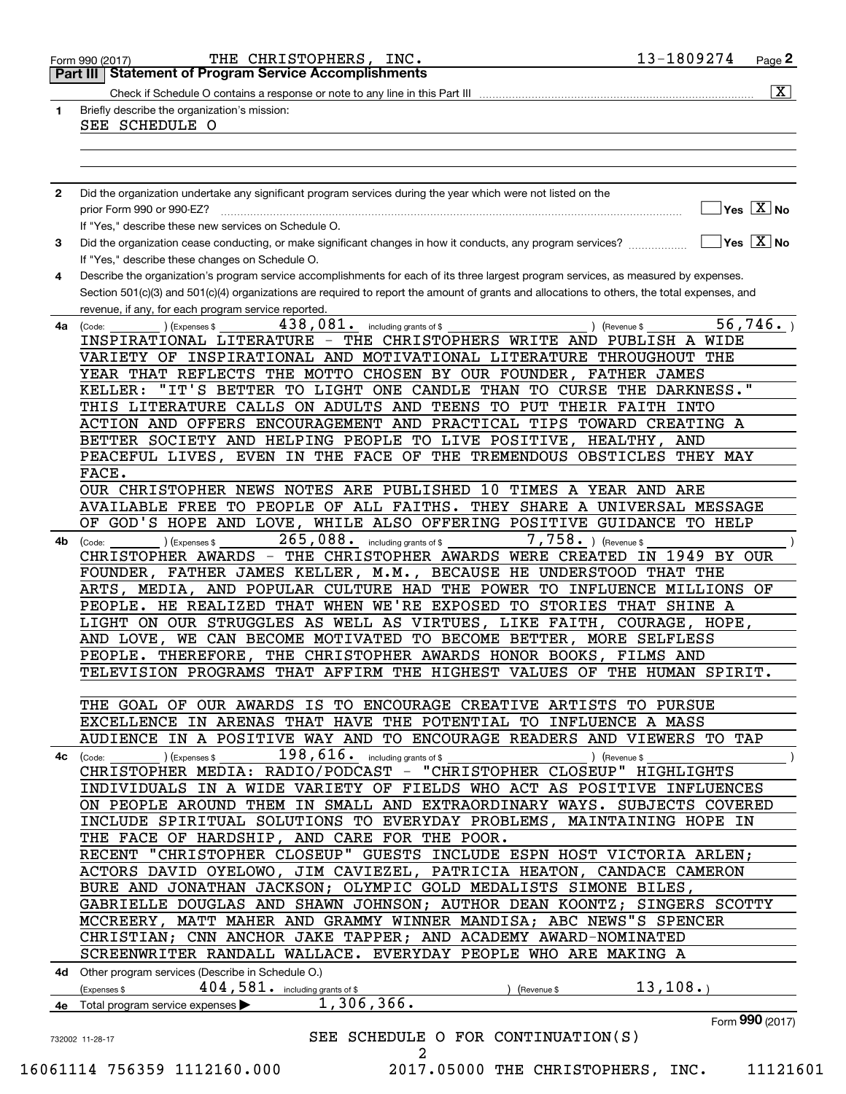|              |                                                                                                                                                                                                                                                                                      |     | $\overline{\mathbf{x}}$                       |
|--------------|--------------------------------------------------------------------------------------------------------------------------------------------------------------------------------------------------------------------------------------------------------------------------------------|-----|-----------------------------------------------|
| 1            | Briefly describe the organization's mission:<br>SEE SCHEDULE O                                                                                                                                                                                                                       |     |                                               |
|              |                                                                                                                                                                                                                                                                                      |     |                                               |
| $\mathbf{2}$ | Did the organization undertake any significant program services during the year which were not listed on the                                                                                                                                                                         |     |                                               |
|              | prior Form 990 or 990-EZ?<br>If "Yes," describe these new services on Schedule O.                                                                                                                                                                                                    |     | $\sqrt{}$ Yes $\sqrt{}$ $\overline{\rm X}$ No |
| 3            | Did the organization cease conducting, or make significant changes in how it conducts, any program services?<br>If "Yes," describe these changes on Schedule O.                                                                                                                      |     | $\sqrt{}$ Yes $\sqrt{}$ X $\sqrt{}$ No        |
| 4            | Describe the organization's program service accomplishments for each of its three largest program services, as measured by expenses.<br>Section 501(c)(3) and 501(c)(4) organizations are required to report the amount of grants and allocations to others, the total expenses, and |     |                                               |
| 4а           | revenue, if any, for each program service reported.<br>$438,081$ . including grants of \$<br>(Expenses \$<br>) (Revenue \$<br>(Code:                                                                                                                                                 |     | 56, 746.                                      |
|              | INSPIRATIONAL LITERATURE - THE CHRISTOPHERS WRITE AND PUBLISH A WIDE<br>VARIETY OF INSPIRATIONAL AND MOTIVATIONAL LITERATURE THROUGHOUT THE                                                                                                                                          |     |                                               |
|              | YEAR THAT REFLECTS THE MOTTO CHOSEN BY OUR FOUNDER, FATHER JAMES                                                                                                                                                                                                                     |     |                                               |
|              | "IT'S BETTER TO LIGHT ONE CANDLE THAN TO CURSE THE DARKNESS."<br>KELLER:                                                                                                                                                                                                             |     |                                               |
|              | THIS LITERATURE CALLS ON ADULTS AND TEENS TO PUT THEIR FAITH INTO<br>ACTION AND OFFERS ENCOURAGEMENT AND PRACTICAL TIPS TOWARD CREATING A                                                                                                                                            |     |                                               |
|              | BETTER SOCIETY AND HELPING PEOPLE TO LIVE POSITIVE, HEALTHY,                                                                                                                                                                                                                         | AND |                                               |
|              | PEACEFUL LIVES, EVEN IN THE FACE OF THE TREMENDOUS OBSTICLES THEY MAY                                                                                                                                                                                                                |     |                                               |
|              | FACE.                                                                                                                                                                                                                                                                                |     |                                               |
|              | OUR CHRISTOPHER NEWS NOTES ARE PUBLISHED 10 TIMES A YEAR AND ARE                                                                                                                                                                                                                     |     |                                               |
|              | AVAILABLE FREE TO PEOPLE OF ALL FAITHS. THEY SHARE A UNIVERSAL MESSAGE                                                                                                                                                                                                               |     |                                               |
|              | OF GOD'S HOPE AND LOVE, WHILE ALSO OFFERING POSITIVE GUIDANCE TO HELP<br>$265,088$ . including grants of \$<br>$7,758.$ (Revenue \$                                                                                                                                                  |     |                                               |
| 4b           | (Code:<br>(Expenses \$<br>CHRISTOPHER AWARDS - THE CHRISTOPHER AWARDS WERE CREATED IN 1949 BY OUR                                                                                                                                                                                    |     |                                               |
|              | FOUNDER, FATHER JAMES KELLER, M.M., BECAUSE HE UNDERSTOOD THAT THE                                                                                                                                                                                                                   |     |                                               |
|              | ARTS, MEDIA, AND POPULAR CULTURE HAD THE POWER TO INFLUENCE MILLIONS OF                                                                                                                                                                                                              |     |                                               |
|              | PEOPLE. HE REALIZED THAT WHEN WE'RE EXPOSED TO STORIES THAT SHINE A                                                                                                                                                                                                                  |     |                                               |
|              | LIGHT ON OUR STRUGGLES AS WELL AS VIRTUES, LIKE FAITH, COURAGE, HOPE,                                                                                                                                                                                                                |     |                                               |
|              | AND LOVE, WE CAN BECOME MOTIVATED TO BECOME BETTER, MORE SELFLESS<br>PEOPLE. THEREFORE, THE CHRISTOPHER AWARDS HONOR BOOKS, FILMS AND                                                                                                                                                |     |                                               |
|              | TELEVISION PROGRAMS THAT AFFIRM THE HIGHEST VALUES OF THE HUMAN SPIRIT.                                                                                                                                                                                                              |     |                                               |
|              |                                                                                                                                                                                                                                                                                      |     |                                               |
|              | THE GOAL OF OUR AWARDS IS TO ENCOURAGE CREATIVE ARTISTS TO PURSUE                                                                                                                                                                                                                    |     |                                               |
|              | EXCELLENCE IN ARENAS THAT HAVE THE POTENTIAL TO INFLUENCE A MASS                                                                                                                                                                                                                     |     |                                               |
|              | AUDIENCE IN A POSITIVE WAY AND TO ENCOURAGE READERS AND VIEWERS TO TAP                                                                                                                                                                                                               |     |                                               |
| 4с           | (Expenses \$<br>(Code:<br>) (Revenue \$<br>CHRISTOPHER MEDIA: RADIO/PODCAST - "CHRISTOPHER CLOSEUP" HIGHLIGHTS                                                                                                                                                                       |     |                                               |
|              | INDIVIDUALS IN A WIDE VARIETY OF FIELDS WHO ACT AS POSITIVE INFLUENCES                                                                                                                                                                                                               |     |                                               |
|              | ON PEOPLE AROUND THEM IN SMALL AND EXTRAORDINARY WAYS. SUBJECTS COVERED                                                                                                                                                                                                              |     |                                               |
|              | INCLUDE SPIRITUAL SOLUTIONS TO EVERYDAY PROBLEMS, MAINTAINING HOPE IN                                                                                                                                                                                                                |     |                                               |
|              | THE FACE OF HARDSHIP, AND CARE FOR THE POOR.                                                                                                                                                                                                                                         |     |                                               |
|              | RECENT "CHRISTOPHER CLOSEUP" GUESTS INCLUDE ESPN HOST VICTORIA ARLEN;                                                                                                                                                                                                                |     |                                               |
|              | ACTORS DAVID OYELOWO, JIM CAVIEZEL, PATRICIA HEATON, CANDACE CAMERON                                                                                                                                                                                                                 |     |                                               |
|              | BURE AND JONATHAN JACKSON; OLYMPIC GOLD MEDALISTS SIMONE BILES,<br>GABRIELLE DOUGLAS AND SHAWN JOHNSON; AUTHOR DEAN KOONTZ; SINGERS SCOTTY                                                                                                                                           |     |                                               |
|              | MCCREERY, MATT MAHER AND GRAMMY WINNER MANDISA; ABC NEWS"S SPENCER                                                                                                                                                                                                                   |     |                                               |
|              | CHRISTIAN; CNN ANCHOR JAKE TAPPER; AND ACADEMY AWARD-NOMINATED                                                                                                                                                                                                                       |     |                                               |
|              | SCREENWRITER RANDALL WALLACE. EVERYDAY PEOPLE WHO ARE MAKING A                                                                                                                                                                                                                       |     |                                               |
|              | 4d Other program services (Describe in Schedule O.)                                                                                                                                                                                                                                  |     |                                               |
|              | 13, 108.<br>$404$ , $581$ $\cdot$ $_{\frac{including\, grants\, of\, $}}$<br>(Expenses \$<br>) (Revenue \$                                                                                                                                                                           |     |                                               |
|              | 1,306,366.<br>4e Total program service expenses >                                                                                                                                                                                                                                    |     |                                               |
|              | SEE SCHEDULE O FOR CONTINUATION(S)                                                                                                                                                                                                                                                   |     | Form 990 (2017)                               |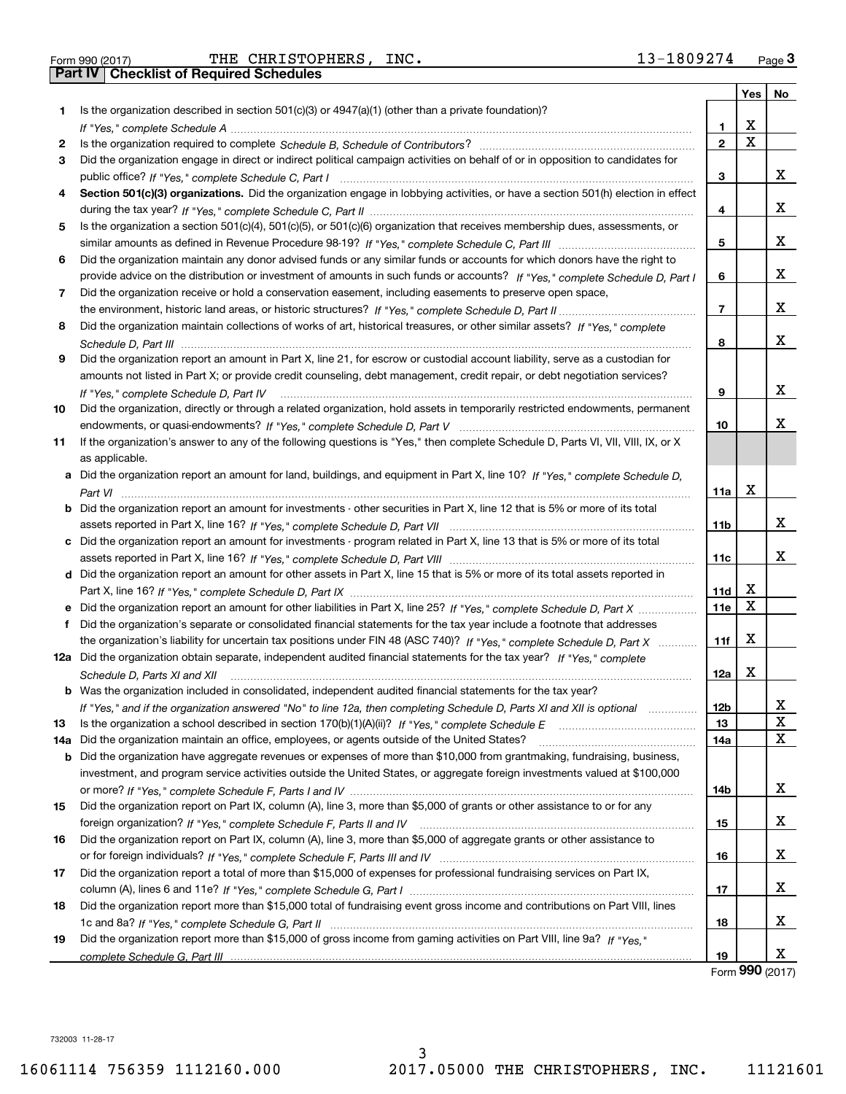Form 990 (2017) Page **3Part IV Checklist of Required Schedules** THE CHRISTOPHERS, INC. 13-1809274 Page 3

|    |                                                                                                                                                    |                | Yes | No                      |
|----|----------------------------------------------------------------------------------------------------------------------------------------------------|----------------|-----|-------------------------|
| 1. | Is the organization described in section $501(c)(3)$ or $4947(a)(1)$ (other than a private foundation)?                                            |                |     |                         |
|    |                                                                                                                                                    | 1              | X   |                         |
| 2  |                                                                                                                                                    | $\mathbf{2}$   | X   |                         |
| 3  | Did the organization engage in direct or indirect political campaign activities on behalf of or in opposition to candidates for                    |                |     |                         |
|    |                                                                                                                                                    | 3              |     | x                       |
| 4  | Section 501(c)(3) organizations. Did the organization engage in lobbying activities, or have a section 501(h) election in effect                   |                |     |                         |
|    |                                                                                                                                                    | 4              |     | x                       |
| 5  | Is the organization a section 501(c)(4), 501(c)(5), or 501(c)(6) organization that receives membership dues, assessments, or                       |                |     |                         |
|    |                                                                                                                                                    | 5              |     | x                       |
| 6  | Did the organization maintain any donor advised funds or any similar funds or accounts for which donors have the right to                          |                |     |                         |
|    | provide advice on the distribution or investment of amounts in such funds or accounts? If "Yes," complete Schedule D, Part I                       | 6              |     | x                       |
| 7  | Did the organization receive or hold a conservation easement, including easements to preserve open space,                                          |                |     |                         |
|    |                                                                                                                                                    | $\overline{7}$ |     | x                       |
| 8  | Did the organization maintain collections of works of art, historical treasures, or other similar assets? If "Yes," complete                       |                |     |                         |
|    |                                                                                                                                                    | 8              |     | x                       |
| 9  | Did the organization report an amount in Part X, line 21, for escrow or custodial account liability, serve as a custodian for                      |                |     |                         |
|    | amounts not listed in Part X; or provide credit counseling, debt management, credit repair, or debt negotiation services?                          |                |     |                         |
|    | If "Yes," complete Schedule D, Part IV                                                                                                             | 9              |     | x                       |
| 10 | Did the organization, directly or through a related organization, hold assets in temporarily restricted endowments, permanent                      |                |     |                         |
|    |                                                                                                                                                    | 10             |     | x                       |
| 11 | If the organization's answer to any of the following questions is "Yes," then complete Schedule D, Parts VI, VII, VIII, IX, or X                   |                |     |                         |
|    | as applicable.                                                                                                                                     |                |     |                         |
|    | a Did the organization report an amount for land, buildings, and equipment in Part X, line 10? If "Yes," complete Schedule D,                      |                |     |                         |
|    |                                                                                                                                                    | 11a            | X   |                         |
|    | <b>b</b> Did the organization report an amount for investments - other securities in Part X, line 12 that is 5% or more of its total               |                |     |                         |
|    | assets reported in Part X, line 16? If "Yes," complete Schedule D, Part VII                                                                        | 11b            |     | x                       |
|    | c Did the organization report an amount for investments - program related in Part X, line 13 that is 5% or more of its total                       |                |     |                         |
|    |                                                                                                                                                    | 11c            |     | x                       |
|    | d Did the organization report an amount for other assets in Part X, line 15 that is 5% or more of its total assets reported in                     |                | X   |                         |
|    |                                                                                                                                                    | 11d            | X   |                         |
|    |                                                                                                                                                    | 11e            |     |                         |
| f  | Did the organization's separate or consolidated financial statements for the tax year include a footnote that addresses                            |                | X   |                         |
|    | the organization's liability for uncertain tax positions under FIN 48 (ASC 740)? If "Yes," complete Schedule D, Part X                             | 11f            |     |                         |
|    | 12a Did the organization obtain separate, independent audited financial statements for the tax year? If "Yes," complete                            |                | X   |                         |
|    | Schedule D, Parts XI and XII<br><b>b</b> Was the organization included in consolidated, independent audited financial statements for the tax year? | 12a            |     |                         |
|    |                                                                                                                                                    | 12b            |     | X.                      |
| 13 | If "Yes," and if the organization answered "No" to line 12a, then completing Schedule D, Parts XI and XII is optional                              | 13             |     | $\overline{\textbf{X}}$ |
|    | 14a Did the organization maintain an office, employees, or agents outside of the United States?                                                    | 14a            |     | $\mathbf X$             |
|    | <b>b</b> Did the organization have aggregate revenues or expenses of more than \$10,000 from grantmaking, fundraising, business,                   |                |     |                         |
|    | investment, and program service activities outside the United States, or aggregate foreign investments valued at \$100,000                         |                |     |                         |
|    |                                                                                                                                                    | 14b            |     | X                       |
| 15 | Did the organization report on Part IX, column (A), line 3, more than \$5,000 of grants or other assistance to or for any                          |                |     |                         |
|    |                                                                                                                                                    | 15             |     | х                       |
| 16 | Did the organization report on Part IX, column (A), line 3, more than \$5,000 of aggregate grants or other assistance to                           |                |     |                         |
|    |                                                                                                                                                    | 16             |     | X                       |
| 17 | Did the organization report a total of more than \$15,000 of expenses for professional fundraising services on Part IX,                            |                |     |                         |
|    |                                                                                                                                                    | 17             |     | X                       |
| 18 | Did the organization report more than \$15,000 total of fundraising event gross income and contributions on Part VIII, lines                       |                |     |                         |
|    |                                                                                                                                                    | 18             |     | х                       |
| 19 | Did the organization report more than \$15,000 of gross income from gaming activities on Part VIII, line 9a? If "Yes."                             |                |     |                         |
|    |                                                                                                                                                    | 19             |     | X                       |

Form (2017) **990**

732003 11-28-17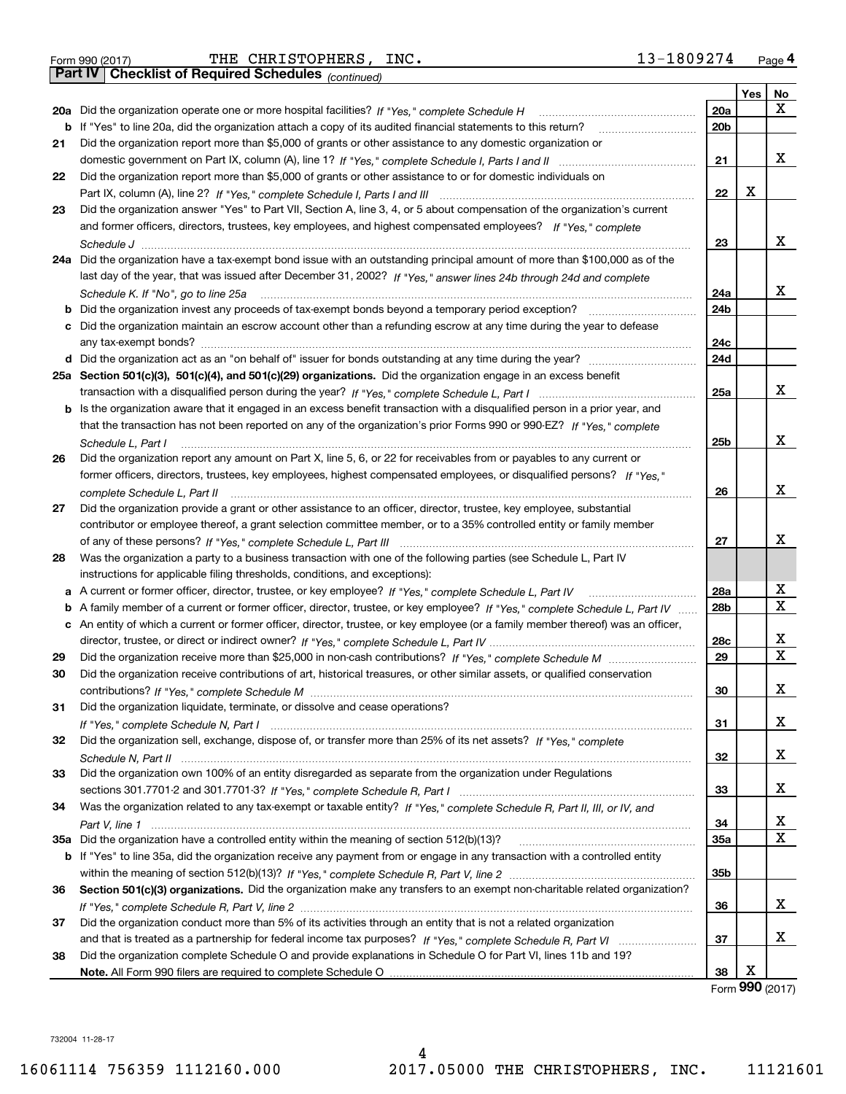|  | Form 990 (2017) |
|--|-----------------|

Form 990 (2017) THE CHRISTOPHERS,INC. 13-1809274 <sub>Page</sub> 4<br>**Part IV | Checklist of Required Schedules** <sub>(continued)</sub>

*(continued)*

|    |                                                                                                                                   |                 | Yes | No |
|----|-----------------------------------------------------------------------------------------------------------------------------------|-----------------|-----|----|
|    | 20a Did the organization operate one or more hospital facilities? If "Yes," complete Schedule H                                   | 20a             |     | х  |
|    | b If "Yes" to line 20a, did the organization attach a copy of its audited financial statements to this return?                    | 20 <sub>b</sub> |     |    |
| 21 | Did the organization report more than \$5,000 of grants or other assistance to any domestic organization or                       |                 |     |    |
|    |                                                                                                                                   | 21              |     | x  |
| 22 | Did the organization report more than \$5,000 of grants or other assistance to or for domestic individuals on                     |                 |     |    |
|    |                                                                                                                                   | 22              | X   |    |
| 23 | Did the organization answer "Yes" to Part VII, Section A, line 3, 4, or 5 about compensation of the organization's current        |                 |     |    |
|    | and former officers, directors, trustees, key employees, and highest compensated employees? If "Yes." complete                    |                 |     |    |
|    |                                                                                                                                   | 23              |     | X  |
|    | 24a Did the organization have a tax-exempt bond issue with an outstanding principal amount of more than \$100,000 as of the       |                 |     |    |
|    | last day of the year, that was issued after December 31, 2002? If "Yes," answer lines 24b through 24d and complete                |                 |     |    |
|    |                                                                                                                                   | 24a             |     | x  |
| b  |                                                                                                                                   | 24b             |     |    |
| c  | Did the organization maintain an escrow account other than a refunding escrow at any time during the year to defease              |                 |     |    |
|    |                                                                                                                                   | 24c             |     |    |
|    |                                                                                                                                   | 24d             |     |    |
|    | 25a Section 501(c)(3), 501(c)(4), and 501(c)(29) organizations. Did the organization engage in an excess benefit                  |                 |     |    |
|    |                                                                                                                                   | 25a             |     | x  |
| b  | Is the organization aware that it engaged in an excess benefit transaction with a disqualified person in a prior year, and        |                 |     |    |
|    | that the transaction has not been reported on any of the organization's prior Forms 990 or 990-EZ? If "Yes," complete             |                 |     |    |
|    | Schedule L. Part I                                                                                                                | 25b             |     | X  |
| 26 | Did the organization report any amount on Part X, line 5, 6, or 22 for receivables from or payables to any current or             |                 |     |    |
|    | former officers, directors, trustees, key employees, highest compensated employees, or disqualified persons? If "Yes."            |                 |     |    |
|    | complete Schedule L, Part II                                                                                                      | 26              |     | X  |
| 27 | Did the organization provide a grant or other assistance to an officer, director, trustee, key employee, substantial              |                 |     |    |
|    | contributor or employee thereof, a grant selection committee member, or to a 35% controlled entity or family member               |                 |     |    |
|    |                                                                                                                                   | 27              |     | x  |
| 28 | Was the organization a party to a business transaction with one of the following parties (see Schedule L, Part IV                 |                 |     |    |
|    | instructions for applicable filing thresholds, conditions, and exceptions):                                                       |                 |     |    |
|    |                                                                                                                                   | 28a             |     | х  |
| b  | A family member of a current or former officer, director, trustee, or key employee? If "Yes," complete Schedule L, Part IV        | 28b             |     | х  |
|    | c An entity of which a current or former officer, director, trustee, or key employee (or a family member thereof) was an officer, |                 |     |    |
|    |                                                                                                                                   | 28c             |     | х  |
| 29 |                                                                                                                                   | 29              |     | х  |
| 30 | Did the organization receive contributions of art, historical treasures, or other similar assets, or qualified conservation       |                 |     |    |
|    |                                                                                                                                   | 30              |     | х  |
| 31 | Did the organization liquidate, terminate, or dissolve and cease operations?                                                      |                 |     |    |
|    |                                                                                                                                   | 31              |     | х  |
| 32 | Did the organization sell, exchange, dispose of, or transfer more than 25% of its net assets? If "Yes," complete                  |                 |     |    |
|    | Schedule N. Part II www.communications.com/www.communications.com/www.communications.com/www.communications.com                   | 32              |     | х  |
| 33 | Did the organization own 100% of an entity disregarded as separate from the organization under Regulations                        |                 |     |    |
|    |                                                                                                                                   | 33              |     | х  |
| 34 | Was the organization related to any tax-exempt or taxable entity? If "Yes," complete Schedule R, Part II, III, or IV, and         |                 |     |    |
|    |                                                                                                                                   | 34              |     | x  |
|    | 35a Did the organization have a controlled entity within the meaning of section 512(b)(13)?                                       | <b>35a</b>      |     | Х  |
|    | b If "Yes" to line 35a, did the organization receive any payment from or engage in any transaction with a controlled entity       |                 |     |    |
|    |                                                                                                                                   | 35b             |     |    |
| 36 | Section 501(c)(3) organizations. Did the organization make any transfers to an exempt non-charitable related organization?        |                 |     |    |
|    |                                                                                                                                   | 36              |     | х  |
| 37 | Did the organization conduct more than 5% of its activities through an entity that is not a related organization                  |                 |     |    |
|    |                                                                                                                                   | 37              |     | х  |
| 38 | Did the organization complete Schedule O and provide explanations in Schedule O for Part VI, lines 11b and 19?                    |                 |     |    |
|    |                                                                                                                                   | 38              | Х   |    |

Form (2017) **990**

732004 11-28-17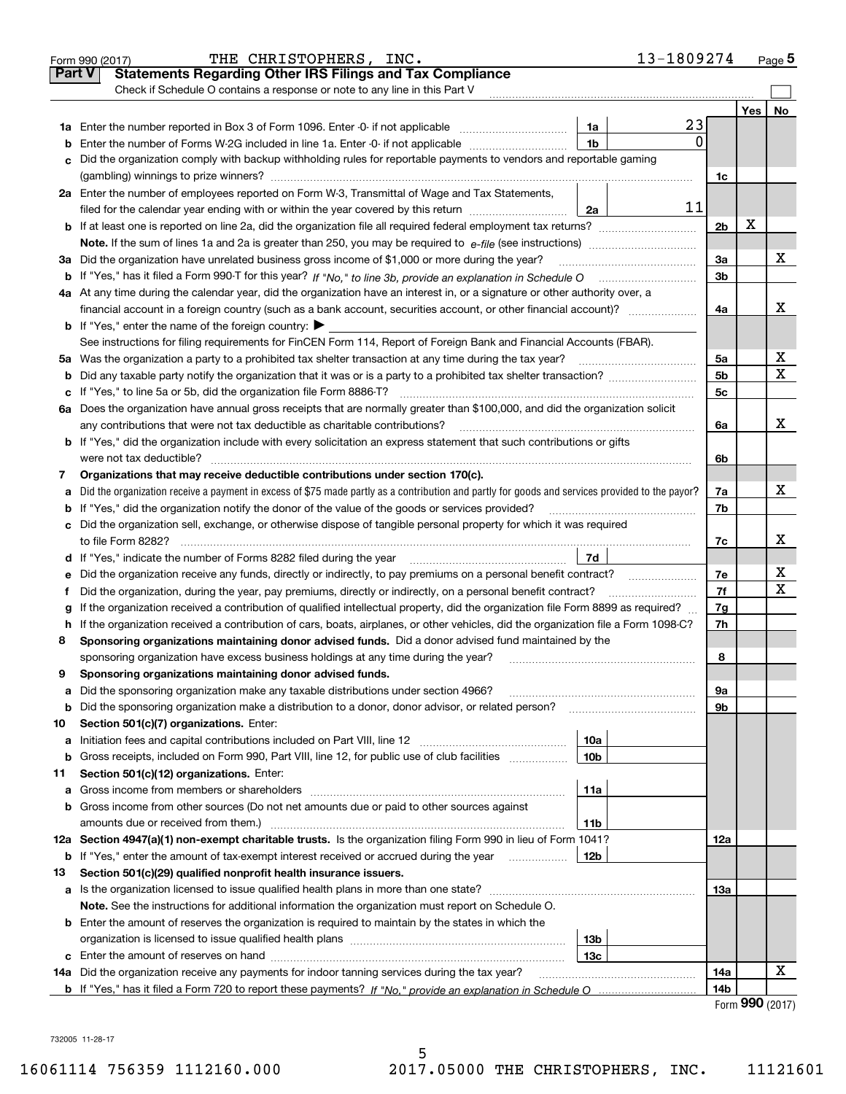|               | 13-1809274<br>THE CHRISTOPHERS, INC.<br>Form 990 (2017)                                                                                         |                 |                 | $_{\text{Page}}$ 5 |
|---------------|-------------------------------------------------------------------------------------------------------------------------------------------------|-----------------|-----------------|--------------------|
| <b>Part V</b> | <b>Statements Regarding Other IRS Filings and Tax Compliance</b>                                                                                |                 |                 |                    |
|               | Check if Schedule O contains a response or note to any line in this Part V                                                                      |                 |                 |                    |
|               |                                                                                                                                                 |                 | Yes             | No                 |
|               | 23<br>1a<br>0                                                                                                                                   |                 |                 |                    |
| b             | Enter the number of Forms W-2G included in line 1a. Enter -0- if not applicable<br>1b                                                           |                 |                 |                    |
| c             | Did the organization comply with backup withholding rules for reportable payments to vendors and reportable gaming                              |                 |                 |                    |
|               |                                                                                                                                                 | 1c              |                 |                    |
|               | 2a Enter the number of employees reported on Form W-3, Transmittal of Wage and Tax Statements,                                                  |                 |                 |                    |
|               | 11<br>filed for the calendar year ending with or within the year covered by this return<br>2a                                                   |                 |                 |                    |
| b             |                                                                                                                                                 | 2b              | x               |                    |
|               | <b>Note.</b> If the sum of lines 1a and 2a is greater than 250, you may be required to $e$ - <i>file</i> (see instructions)                     |                 |                 |                    |
|               | 3a Did the organization have unrelated business gross income of \$1,000 or more during the year?                                                | За              |                 | x                  |
|               | <b>b</b> If "Yes," has it filed a Form 990 T for this year? If "No," to line 3b, provide an explanation in Schedule O                           | 3b              |                 |                    |
|               | 4a At any time during the calendar year, did the organization have an interest in, or a signature or other authority over, a                    |                 |                 |                    |
|               | financial account in a foreign country (such as a bank account, securities account, or other financial account)?                                | 4a              |                 | x                  |
|               | <b>b</b> If "Yes," enter the name of the foreign country: $\blacktriangleright$                                                                 |                 |                 |                    |
|               | See instructions for filing requirements for FinCEN Form 114, Report of Foreign Bank and Financial Accounts (FBAR).                             |                 |                 |                    |
|               | 5a Was the organization a party to a prohibited tax shelter transaction at any time during the tax year?                                        | 5a              |                 | х                  |
| b             | Did any taxable party notify the organization that it was or is a party to a prohibited tax shelter transaction?                                | 5 <sub>b</sub>  |                 | X                  |
|               | If "Yes," to line 5a or 5b, did the organization file Form 8886-T?                                                                              | 5 <sub>c</sub>  |                 |                    |
|               | 6a Does the organization have annual gross receipts that are normally greater than \$100,000, and did the organization solicit                  |                 |                 |                    |
|               | any contributions that were not tax deductible as charitable contributions?                                                                     | 6a              |                 | x                  |
|               | <b>b</b> If "Yes," did the organization include with every solicitation an express statement that such contributions or gifts                   |                 |                 |                    |
|               | were not tax deductible?                                                                                                                        | 6b              |                 |                    |
| 7             | Organizations that may receive deductible contributions under section 170(c).                                                                   |                 |                 |                    |
| a             | Did the organization receive a payment in excess of \$75 made partly as a contribution and partly for goods and services provided to the payor? | 7a              |                 | x                  |
| b             | If "Yes," did the organization notify the donor of the value of the goods or services provided?                                                 | 7b              |                 |                    |
| c             | Did the organization sell, exchange, or otherwise dispose of tangible personal property for which it was required                               |                 |                 |                    |
|               | to file Form 8282?                                                                                                                              | 7c              |                 | х                  |
| d             | If "Yes," indicate the number of Forms 8282 filed during the year<br>7d                                                                         |                 |                 |                    |
| е             | Did the organization receive any funds, directly or indirectly, to pay premiums on a personal benefit contract?                                 | 7е              |                 | X                  |
| f             | Did the organization, during the year, pay premiums, directly or indirectly, on a personal benefit contract?                                    | 7f              |                 | $\mathbf X$        |
| g             | If the organization received a contribution of qualified intellectual property, did the organization file Form 8899 as required?                | 7g              |                 |                    |
| h.            | If the organization received a contribution of cars, boats, airplanes, or other vehicles, did the organization file a Form 1098-C?              | 7h              |                 |                    |
| 8             | Sponsoring organizations maintaining donor advised funds. Did a donor advised fund maintained by the                                            |                 |                 |                    |
|               | sponsoring organization have excess business holdings at any time during the year?                                                              | 8               |                 |                    |
| 9             | Sponsoring organizations maintaining donor advised funds.                                                                                       |                 |                 |                    |
| а             | Did the sponsoring organization make any taxable distributions under section 4966?                                                              | 9а              |                 |                    |
| b             | Did the sponsoring organization make a distribution to a donor, donor advisor, or related person?                                               | 9b              |                 |                    |
| 10            | Section 501(c)(7) organizations. Enter:                                                                                                         |                 |                 |                    |
| а             | 10a                                                                                                                                             |                 |                 |                    |
| b             | 10 <sub>b</sub><br>Gross receipts, included on Form 990, Part VIII, line 12, for public use of club facilities                                  |                 |                 |                    |
| 11            | Section 501(c)(12) organizations. Enter:                                                                                                        |                 |                 |                    |
| а             | 11a                                                                                                                                             |                 |                 |                    |
| b             | Gross income from other sources (Do not net amounts due or paid to other sources against                                                        |                 |                 |                    |
|               | 11b                                                                                                                                             |                 |                 |                    |
|               | 12a Section 4947(a)(1) non-exempt charitable trusts. Is the organization filing Form 990 in lieu of Form 1041?                                  | 12a             |                 |                    |
| b             | If "Yes," enter the amount of tax-exempt interest received or accrued during the year<br>12b                                                    |                 |                 |                    |
| 13            | Section 501(c)(29) qualified nonprofit health insurance issuers.                                                                                |                 |                 |                    |
| а             |                                                                                                                                                 | 13а             |                 |                    |
|               | Note. See the instructions for additional information the organization must report on Schedule O.                                               |                 |                 |                    |
| b             | Enter the amount of reserves the organization is required to maintain by the states in which the                                                |                 |                 |                    |
|               | 13b                                                                                                                                             |                 |                 |                    |
| с             | 13с                                                                                                                                             |                 |                 |                    |
| 14a           | Did the organization receive any payments for indoor tanning services during the tax year?                                                      | 14a             |                 | х                  |
|               |                                                                                                                                                 | 14 <sub>b</sub> |                 |                    |
|               |                                                                                                                                                 |                 | Form 990 (2017) |                    |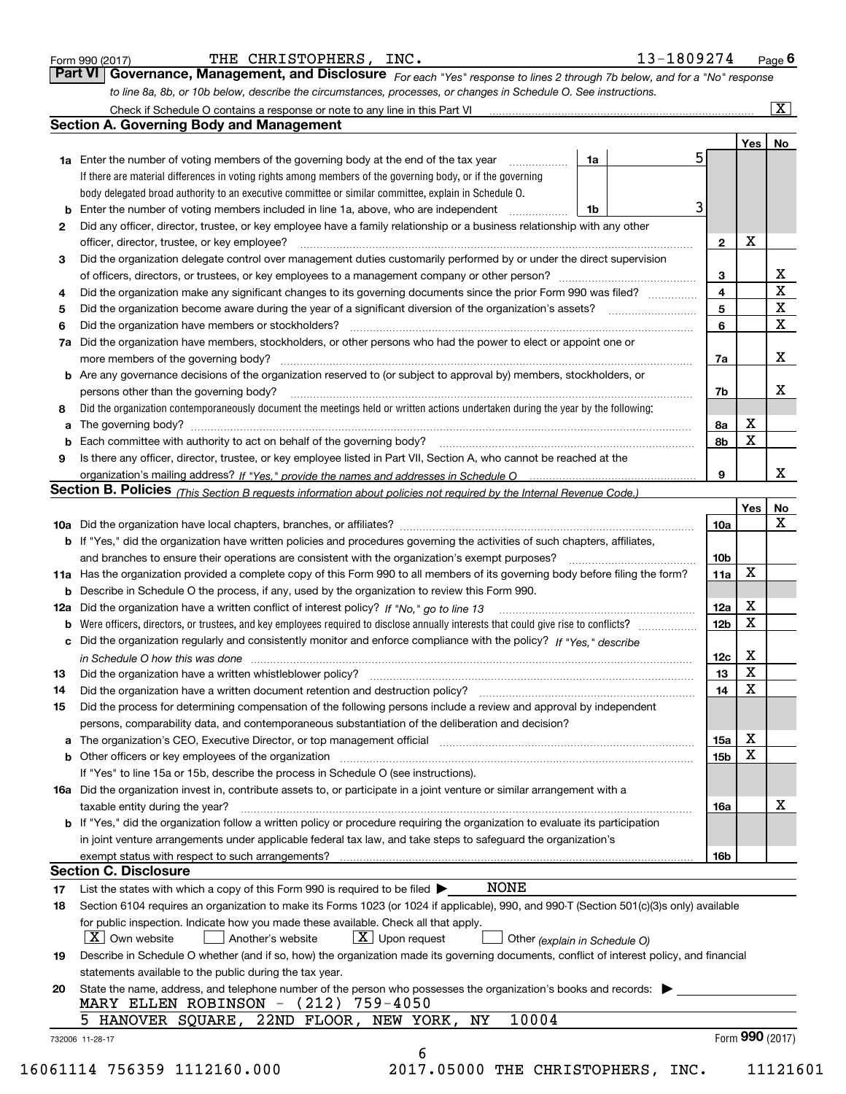| Form 990 (2017) |  |  |
|-----------------|--|--|
|                 |  |  |

| Form 990 (2017) | CHRISTOPHERS,<br>THE | INC. | 13-1809274 | Page |  |
|-----------------|----------------------|------|------------|------|--|
|-----------------|----------------------|------|------------|------|--|

| Form 990 (2017) | THE CHRISTOPHERS, INC. | 13-1809274                                                                                                                           | Page $6$ |
|-----------------|------------------------|--------------------------------------------------------------------------------------------------------------------------------------|----------|
|                 |                        | <b>Part VI   Governance, Management, and Disclosure</b> For each "Yes" response to lines 2 through 7b below, and for a "No" response |          |
|                 |                        | to line 8a, 8b, or 10b below, describe the circumstances, processes, or changes in Schedule O. See instructions.                     |          |

|    |                                                                                                                                                                                                                                |    |    |              | Yes             | No                      |  |  |  |
|----|--------------------------------------------------------------------------------------------------------------------------------------------------------------------------------------------------------------------------------|----|----|--------------|-----------------|-------------------------|--|--|--|
|    | <b>1a</b> Enter the number of voting members of the governing body at the end of the tax year <i>manumum</i>                                                                                                                   | 1a | 5. |              |                 |                         |  |  |  |
|    | If there are material differences in voting rights among members of the governing body, or if the governing                                                                                                                    |    |    |              |                 |                         |  |  |  |
|    | body delegated broad authority to an executive committee or similar committee, explain in Schedule O.                                                                                                                          |    |    |              |                 |                         |  |  |  |
| b  | Enter the number of voting members included in line 1a, above, who are independent                                                                                                                                             | 1b | 3  |              |                 |                         |  |  |  |
| 2  | Did any officer, director, trustee, or key employee have a family relationship or a business relationship with any other                                                                                                       |    |    |              |                 |                         |  |  |  |
|    | officer, director, trustee, or key employee?                                                                                                                                                                                   |    |    | $\mathbf{2}$ | X               |                         |  |  |  |
| 3  | Did the organization delegate control over management duties customarily performed by or under the direct supervision                                                                                                          |    |    |              |                 |                         |  |  |  |
|    |                                                                                                                                                                                                                                |    |    | 3            |                 | X                       |  |  |  |
| 4  | Did the organization make any significant changes to its governing documents since the prior Form 990 was filed?                                                                                                               |    |    | 4            |                 | $\overline{\mathbf{x}}$ |  |  |  |
| 5  |                                                                                                                                                                                                                                |    |    | 5            |                 | $\mathbf X$             |  |  |  |
| 6  |                                                                                                                                                                                                                                |    |    | 6            |                 | $\mathbf X$             |  |  |  |
| 7a | Did the organization have members, stockholders, or other persons who had the power to elect or appoint one or                                                                                                                 |    |    |              |                 |                         |  |  |  |
|    |                                                                                                                                                                                                                                |    |    | 7a           |                 | X                       |  |  |  |
|    | <b>b</b> Are any governance decisions of the organization reserved to (or subject to approval by) members, stockholders, or                                                                                                    |    |    |              |                 |                         |  |  |  |
|    | persons other than the governing body?                                                                                                                                                                                         |    |    | 7b           |                 | X                       |  |  |  |
| 8  | Did the organization contemporaneously document the meetings held or written actions undertaken during the year by the following:                                                                                              |    |    |              |                 |                         |  |  |  |
| а  |                                                                                                                                                                                                                                |    |    | 8a           | X               |                         |  |  |  |
| b  |                                                                                                                                                                                                                                |    |    | 8b           | X               |                         |  |  |  |
| 9  | Is there any officer, director, trustee, or key employee listed in Part VII, Section A, who cannot be reached at the                                                                                                           |    |    |              |                 |                         |  |  |  |
|    |                                                                                                                                                                                                                                |    |    | 9            |                 | х                       |  |  |  |
|    | Section B. Policies <sub>(This Section B requests information about policies not required by the Internal Revenue Code.)</sub>                                                                                                 |    |    |              |                 |                         |  |  |  |
|    |                                                                                                                                                                                                                                |    |    |              | Yes             | No                      |  |  |  |
|    |                                                                                                                                                                                                                                |    |    | 10a          |                 | X                       |  |  |  |
|    | <b>b</b> If "Yes," did the organization have written policies and procedures governing the activities of such chapters, affiliates,                                                                                            |    |    |              |                 |                         |  |  |  |
|    |                                                                                                                                                                                                                                |    |    | 10b          |                 |                         |  |  |  |
|    | 11a Has the organization provided a complete copy of this Form 990 to all members of its governing body before filing the form?                                                                                                |    |    | 11a          | X               |                         |  |  |  |
|    | <b>b</b> Describe in Schedule O the process, if any, used by the organization to review this Form 990.                                                                                                                         |    |    |              |                 |                         |  |  |  |
|    |                                                                                                                                                                                                                                |    |    | 12a          | X               |                         |  |  |  |
|    |                                                                                                                                                                                                                                |    |    | 12b          | X               |                         |  |  |  |
| b  | Did the organization regularly and consistently monitor and enforce compliance with the policy? If "Yes," describe                                                                                                             |    |    |              |                 |                         |  |  |  |
| c  |                                                                                                                                                                                                                                |    |    |              | X               |                         |  |  |  |
|    | in Schedule O how this was done manufactured and contact the state of the state of the state of the state of t                                                                                                                 |    |    | 12c          | X               |                         |  |  |  |
| 13 |                                                                                                                                                                                                                                |    |    | 13           | X               |                         |  |  |  |
| 14 | Did the organization have a written document retention and destruction policy? manufactured and the organization have a written document retention and destruction policy?                                                     |    |    | 14           |                 |                         |  |  |  |
| 15 | Did the process for determining compensation of the following persons include a review and approval by independent                                                                                                             |    |    |              |                 |                         |  |  |  |
|    | persons, comparability data, and contemporaneous substantiation of the deliberation and decision?                                                                                                                              |    |    |              |                 |                         |  |  |  |
| а  | The organization's CEO, Executive Director, or top management official manufactured content content of the organization's CEO, Executive Director, or top management official manufactured content of the original manufacture |    |    | 15a          | X               |                         |  |  |  |
|    | <b>b</b> Other officers or key employees of the organization                                                                                                                                                                   |    |    | 15b          | X               |                         |  |  |  |
|    | If "Yes" to line 15a or 15b, describe the process in Schedule O (see instructions).                                                                                                                                            |    |    |              |                 |                         |  |  |  |
|    | 16a Did the organization invest in, contribute assets to, or participate in a joint venture or similar arrangement with a                                                                                                      |    |    |              |                 |                         |  |  |  |
|    | taxable entity during the year?                                                                                                                                                                                                |    |    | 16a          |                 | X                       |  |  |  |
|    | b If "Yes," did the organization follow a written policy or procedure requiring the organization to evaluate its participation                                                                                                 |    |    |              |                 |                         |  |  |  |
|    | in joint venture arrangements under applicable federal tax law, and take steps to safequard the organization's                                                                                                                 |    |    |              |                 |                         |  |  |  |
|    | exempt status with respect to such arrangements?                                                                                                                                                                               |    |    | 16b          |                 |                         |  |  |  |
|    | <b>Section C. Disclosure</b>                                                                                                                                                                                                   |    |    |              |                 |                         |  |  |  |
| 17 | <b>NONE</b><br>List the states with which a copy of this Form 990 is required to be filed $\blacktriangleright$                                                                                                                |    |    |              |                 |                         |  |  |  |
| 18 | Section 6104 requires an organization to make its Forms 1023 (or 1024 if applicable), 990, and 990-T (Section 501(c)(3)s only) available                                                                                       |    |    |              |                 |                         |  |  |  |
|    | for public inspection. Indicate how you made these available. Check all that apply.                                                                                                                                            |    |    |              |                 |                         |  |  |  |
|    | $X$ Upon request<br>  X   Own website<br>Another's website<br>Other (explain in Schedule O)                                                                                                                                    |    |    |              |                 |                         |  |  |  |
| 19 | Describe in Schedule O whether (and if so, how) the organization made its governing documents, conflict of interest policy, and financial                                                                                      |    |    |              |                 |                         |  |  |  |
|    | statements available to the public during the tax year.                                                                                                                                                                        |    |    |              |                 |                         |  |  |  |
| 20 | State the name, address, and telephone number of the person who possesses the organization's books and records:                                                                                                                |    |    |              |                 |                         |  |  |  |
|    | MARY ELLEN ROBINSON - (212) 759-4050                                                                                                                                                                                           |    |    |              |                 |                         |  |  |  |
|    | 10004<br>5 HANOVER SQUARE, 22ND FLOOR, NEW YORK, NY                                                                                                                                                                            |    |    |              |                 |                         |  |  |  |
|    |                                                                                                                                                                                                                                |    |    |              | Form 990 (2017) |                         |  |  |  |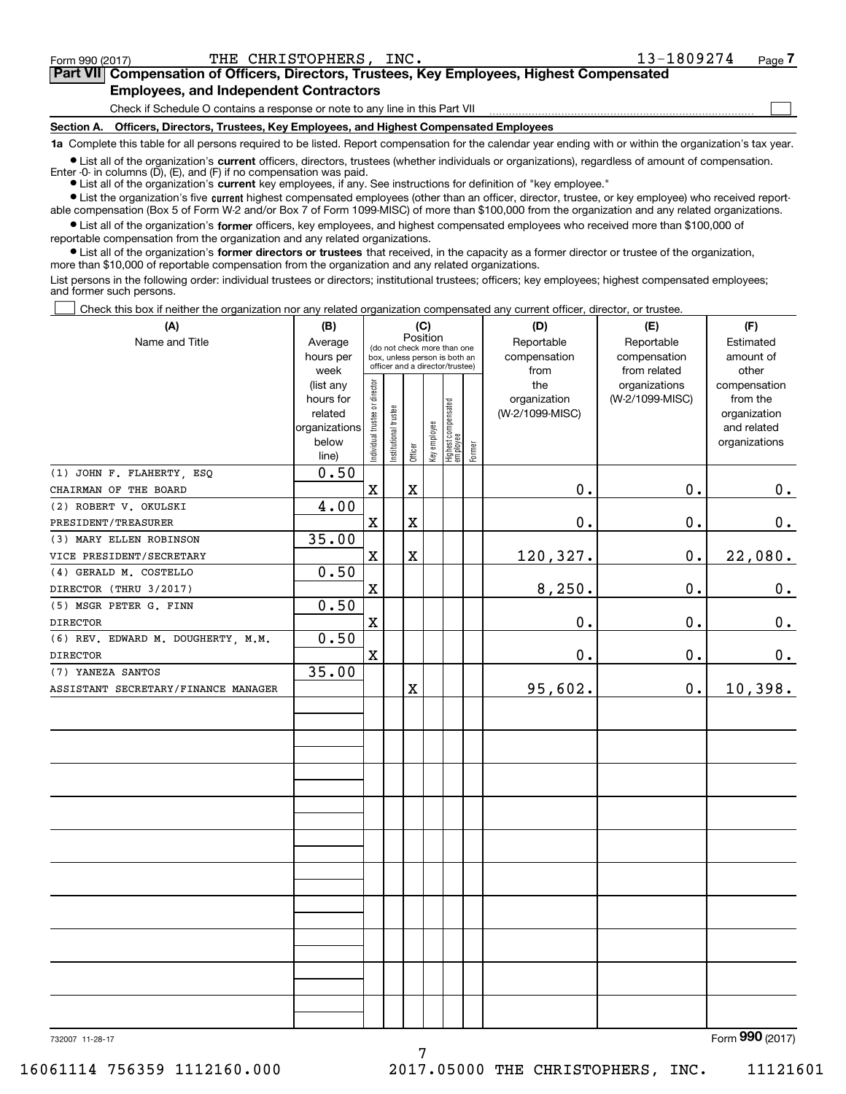$\mathcal{L}^{\text{max}}$ 

# **7Part VII Compensation of Officers, Directors, Trustees, Key Employees, Highest Compensated Employees, and Independent Contractors**

Check if Schedule O contains a response or note to any line in this Part VII

**Section A. Officers, Directors, Trustees, Key Employees, and Highest Compensated Employees**

**1a**  Complete this table for all persons required to be listed. Report compensation for the calendar year ending with or within the organization's tax year.

**•** List all of the organization's current officers, directors, trustees (whether individuals or organizations), regardless of amount of compensation. Enter -0- in columns  $(D)$ ,  $(E)$ , and  $(F)$  if no compensation was paid.

● List all of the organization's **current** key employees, if any. See instructions for definition of "key employee."

**•** List the organization's five current highest compensated employees (other than an officer, director, trustee, or key employee) who received reportable compensation (Box 5 of Form W-2 and/or Box 7 of Form 1099-MISC) of more than \$100,000 from the organization and any related organizations.

 $\bullet$  List all of the organization's **former** officers, key employees, and highest compensated employees who received more than \$100,000 of reportable compensation from the organization and any related organizations.

**•** List all of the organization's former directors or trustees that received, in the capacity as a former director or trustee of the organization, more than \$10,000 of reportable compensation from the organization and any related organizations.

List persons in the following order: individual trustees or directors; institutional trustees; officers; key employees; highest compensated employees; and former such persons.

Check this box if neither the organization nor any related organization compensated any current officer, director, or trustee.  $\mathcal{L}^{\text{max}}$ 

| (A)                                 | (B)                    |                                | (C)                                                              |             |              |                                  |        | (D)                             | (E)                              | (F)                      |
|-------------------------------------|------------------------|--------------------------------|------------------------------------------------------------------|-------------|--------------|----------------------------------|--------|---------------------------------|----------------------------------|--------------------------|
| Name and Title                      | Average                |                                | Position<br>(do not check more than one                          |             |              |                                  |        | Reportable                      | Reportable                       | Estimated                |
|                                     | hours per              |                                | box, unless person is both an<br>officer and a director/trustee) |             |              |                                  |        | compensation                    | compensation                     | amount of                |
|                                     | week                   |                                |                                                                  |             |              |                                  |        | from                            | from related                     | other                    |
|                                     | (list any<br>hours for |                                |                                                                  |             |              |                                  |        | the                             | organizations<br>(W-2/1099-MISC) | compensation<br>from the |
|                                     | related                |                                |                                                                  |             |              |                                  |        | organization<br>(W-2/1099-MISC) |                                  | organization             |
|                                     | organizations          |                                |                                                                  |             |              |                                  |        |                                 |                                  | and related              |
|                                     | below                  | Individual trustee or director | Institutional trustee                                            |             |              |                                  |        |                                 |                                  | organizations            |
|                                     | line)                  |                                |                                                                  | Officer     | Key employee | Highest compensated<br> employee | Former |                                 |                                  |                          |
| (1) JOHN F. FLAHERTY, ESQ           | 0.50                   |                                |                                                                  |             |              |                                  |        |                                 |                                  |                          |
| CHAIRMAN OF THE BOARD               |                        | $\mathbf X$                    |                                                                  | $\mathbf X$ |              |                                  |        | 0.                              | 0.                               | $0_{.}$                  |
| (2) ROBERT V. OKULSKI               | 4.00                   |                                |                                                                  |             |              |                                  |        |                                 |                                  |                          |
| PRESIDENT/TREASURER                 |                        | $\overline{\text{X}}$          |                                                                  | $\rm X$     |              |                                  |        | 0.                              | $\mathbf{0}$ .                   | $0_{\cdot}$              |
| (3) MARY ELLEN ROBINSON             | 35.00                  |                                |                                                                  |             |              |                                  |        |                                 |                                  |                          |
| VICE PRESIDENT/SECRETARY            |                        | $\rm X$                        |                                                                  | $\mathbf X$ |              |                                  |        | <u>120,327.</u>                 | $\mathbf 0$ .                    | 22,080.                  |
| (4) GERALD M. COSTELLO              | 0.50                   |                                |                                                                  |             |              |                                  |        |                                 |                                  |                          |
| DIRECTOR (THRU 3/2017)              |                        | $\mathbf X$                    |                                                                  |             |              |                                  |        | 8,250.                          | $\mathbf 0$ .                    | 0.                       |
| (5) MSGR PETER G. FINN              | 0.50                   |                                |                                                                  |             |              |                                  |        |                                 |                                  |                          |
| <b>DIRECTOR</b>                     |                        | $\overline{\textbf{X}}$        |                                                                  |             |              |                                  |        | 0.                              | $\mathbf 0$ .                    | $\mathbf 0$ .            |
| (6) REV. EDWARD M. DOUGHERTY, M.M.  | 0.50                   |                                |                                                                  |             |              |                                  |        |                                 |                                  |                          |
| <b>DIRECTOR</b>                     |                        | $\mathbf X$                    |                                                                  |             |              |                                  |        | 0.                              | $\mathbf 0$ .                    | 0.                       |
| (7) YANEZA SANTOS                   | 35.00                  |                                |                                                                  |             |              |                                  |        |                                 |                                  |                          |
| ASSISTANT SECRETARY/FINANCE MANAGER |                        |                                |                                                                  | $\mathbf X$ |              |                                  |        | 95,602.                         | $0$ .                            | 10,398.                  |
|                                     |                        |                                |                                                                  |             |              |                                  |        |                                 |                                  |                          |
|                                     |                        |                                |                                                                  |             |              |                                  |        |                                 |                                  |                          |
|                                     |                        |                                |                                                                  |             |              |                                  |        |                                 |                                  |                          |
|                                     |                        |                                |                                                                  |             |              |                                  |        |                                 |                                  |                          |
|                                     |                        |                                |                                                                  |             |              |                                  |        |                                 |                                  |                          |
|                                     |                        |                                |                                                                  |             |              |                                  |        |                                 |                                  |                          |
|                                     |                        |                                |                                                                  |             |              |                                  |        |                                 |                                  |                          |
|                                     |                        |                                |                                                                  |             |              |                                  |        |                                 |                                  |                          |
|                                     |                        |                                |                                                                  |             |              |                                  |        |                                 |                                  |                          |
|                                     |                        |                                |                                                                  |             |              |                                  |        |                                 |                                  |                          |
|                                     |                        |                                |                                                                  |             |              |                                  |        |                                 |                                  |                          |
|                                     |                        |                                |                                                                  |             |              |                                  |        |                                 |                                  |                          |
|                                     |                        |                                |                                                                  |             |              |                                  |        |                                 |                                  |                          |
|                                     |                        |                                |                                                                  |             |              |                                  |        |                                 |                                  |                          |
|                                     |                        |                                |                                                                  |             |              |                                  |        |                                 |                                  |                          |
|                                     |                        |                                |                                                                  |             |              |                                  |        |                                 |                                  |                          |
|                                     |                        |                                |                                                                  |             |              |                                  |        |                                 |                                  |                          |
|                                     |                        |                                |                                                                  |             |              |                                  |        |                                 |                                  |                          |
|                                     |                        |                                |                                                                  |             |              |                                  |        |                                 |                                  |                          |
|                                     |                        |                                |                                                                  |             |              |                                  |        |                                 |                                  | $\overline{2}$           |

7

732007 11-28-17

Form (2017) **990**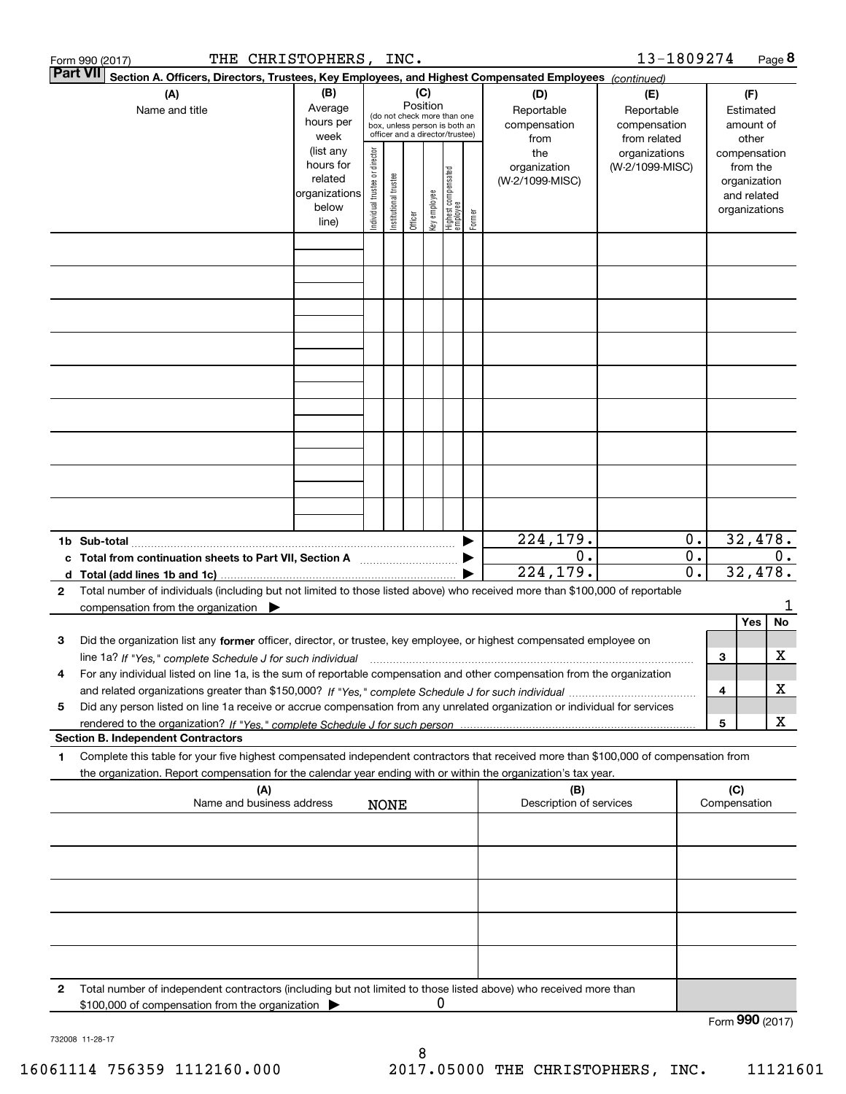|              | THE CHRISTOPHERS, INC.<br>Form 990 (2017)                                                                                                                                                |                                                         |                                |                       |                 |              |                                                                                                 |        |                                           | 13-1809274                                        |                                                                             |        |                                                                          | Page 8  |
|--------------|------------------------------------------------------------------------------------------------------------------------------------------------------------------------------------------|---------------------------------------------------------|--------------------------------|-----------------------|-----------------|--------------|-------------------------------------------------------------------------------------------------|--------|-------------------------------------------|---------------------------------------------------|-----------------------------------------------------------------------------|--------|--------------------------------------------------------------------------|---------|
|              | <b>Part VII</b><br>Section A. Officers, Directors, Trustees, Key Employees, and Highest Compensated Employees (continued)                                                                |                                                         |                                |                       |                 |              |                                                                                                 |        |                                           |                                                   |                                                                             |        |                                                                          |         |
|              | (A)<br>Name and title                                                                                                                                                                    | (B)<br>Average<br>hours per<br>week<br>(list any        |                                |                       | (C)<br>Position |              | (do not check more than one<br>box, unless person is both an<br>officer and a director/trustee) |        | (D)<br>Reportable<br>compensation<br>from | (E)<br>Reportable<br>compensation<br>from related |                                                                             |        | (F)<br>Estimated<br>amount of<br>other                                   |         |
|              |                                                                                                                                                                                          | hours for<br>related<br>organizations<br>below<br>line) | Individual trustee or director | Institutional trustee | Officer         | key employee | Highest compensated<br>employee                                                                 | Former | the<br>organization<br>(W-2/1099-MISC)    | organizations<br>(W-2/1099-MISC)                  |                                                                             |        | compensation<br>from the<br>organization<br>and related<br>organizations |         |
|              |                                                                                                                                                                                          |                                                         |                                |                       |                 |              |                                                                                                 |        |                                           |                                                   |                                                                             |        |                                                                          |         |
|              |                                                                                                                                                                                          |                                                         |                                |                       |                 |              |                                                                                                 |        |                                           |                                                   |                                                                             |        |                                                                          |         |
|              |                                                                                                                                                                                          |                                                         |                                |                       |                 |              |                                                                                                 |        |                                           |                                                   |                                                                             |        |                                                                          |         |
|              |                                                                                                                                                                                          |                                                         |                                |                       |                 |              |                                                                                                 |        |                                           |                                                   |                                                                             |        |                                                                          |         |
|              |                                                                                                                                                                                          |                                                         |                                |                       |                 |              |                                                                                                 |        |                                           |                                                   |                                                                             |        |                                                                          |         |
|              |                                                                                                                                                                                          |                                                         |                                |                       |                 |              |                                                                                                 |        |                                           |                                                   |                                                                             |        |                                                                          |         |
|              |                                                                                                                                                                                          |                                                         |                                |                       |                 |              |                                                                                                 |        |                                           |                                                   | 0.                                                                          |        |                                                                          |         |
|              | c Total from continuation sheets to Part VII, Section A <b>Constanting the Continuum</b>                                                                                                 |                                                         |                                |                       |                 |              |                                                                                                 |        | 224, 179.<br>0.<br>$\overline{224,179}$ . |                                                   | 32,478.<br>$\overline{0}$ .<br>0.<br>$\overline{\mathfrak{o}}$ .<br>32,478. |        |                                                                          |         |
| $\mathbf{2}$ | Total number of individuals (including but not limited to those listed above) who received more than \$100,000 of reportable<br>compensation from the organization $\blacktriangleright$ |                                                         |                                |                       |                 |              |                                                                                                 |        |                                           |                                                   |                                                                             |        |                                                                          |         |
| з            | Did the organization list any former officer, director, or trustee, key employee, or highest compensated employee on                                                                     |                                                         |                                |                       |                 |              |                                                                                                 |        |                                           |                                                   |                                                                             |        | Yes                                                                      | No<br>х |
| 4            | For any individual listed on line 1a, is the sum of reportable compensation and other compensation from the organization                                                                 |                                                         |                                |                       |                 |              |                                                                                                 |        |                                           |                                                   |                                                                             | 3<br>4 |                                                                          | х       |
| 5            | Did any person listed on line 1a receive or accrue compensation from any unrelated organization or individual for services                                                               |                                                         |                                |                       |                 |              |                                                                                                 |        |                                           |                                                   |                                                                             | 5      |                                                                          | X       |
| 1            | <b>Section B. Independent Contractors</b><br>Complete this table for your five highest compensated independent contractors that received more than \$100,000 of compensation from        |                                                         |                                |                       |                 |              |                                                                                                 |        |                                           |                                                   |                                                                             |        |                                                                          |         |
|              | the organization. Report compensation for the calendar year ending with or within the organization's tax year.                                                                           |                                                         |                                |                       |                 |              |                                                                                                 |        |                                           |                                                   |                                                                             |        |                                                                          |         |
|              | (A)<br>Name and business address                                                                                                                                                         |                                                         |                                | <b>NONE</b>           |                 |              |                                                                                                 |        | (B)<br>Description of services            |                                                   |                                                                             | (C)    | Compensation                                                             |         |
|              |                                                                                                                                                                                          |                                                         |                                |                       |                 |              |                                                                                                 |        |                                           |                                                   |                                                                             |        |                                                                          |         |
|              |                                                                                                                                                                                          |                                                         |                                |                       |                 |              |                                                                                                 |        |                                           |                                                   |                                                                             |        |                                                                          |         |
|              |                                                                                                                                                                                          |                                                         |                                |                       |                 |              |                                                                                                 |        |                                           |                                                   |                                                                             |        |                                                                          |         |
| 2            | Total number of independent contractors (including but not limited to those listed above) who received more than                                                                         |                                                         |                                |                       |                 |              |                                                                                                 |        |                                           |                                                   |                                                                             |        |                                                                          |         |
|              | \$100,000 of compensation from the organization                                                                                                                                          |                                                         |                                |                       |                 | U            |                                                                                                 |        |                                           |                                                   |                                                                             |        | $F_{\text{orm}}$ 990 (2017)                                              |         |

8

732008 11-28-17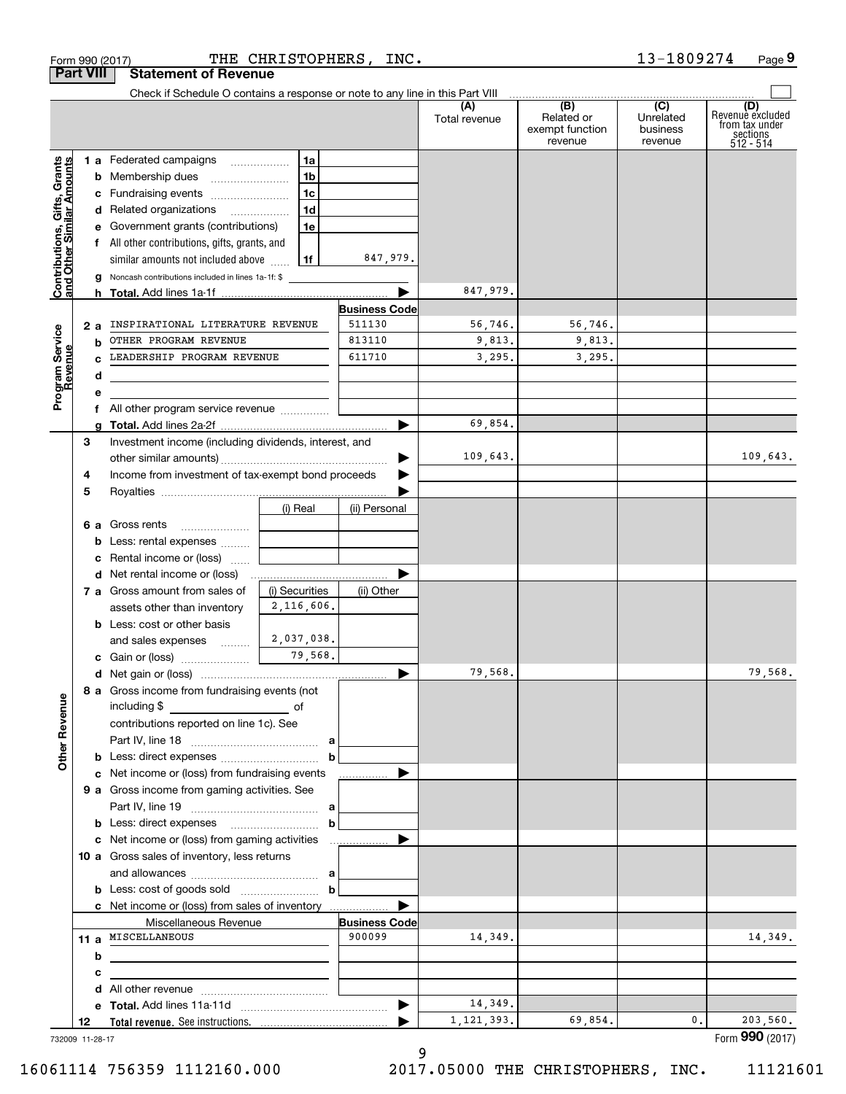| <b>Part VIII</b>                                          |    | <b>Statement of Revenue</b>                                                                                          |                |                |                       |                      |                                                   |                                         |                                           |
|-----------------------------------------------------------|----|----------------------------------------------------------------------------------------------------------------------|----------------|----------------|-----------------------|----------------------|---------------------------------------------------|-----------------------------------------|-------------------------------------------|
|                                                           |    | Check if Schedule O contains a response or note to any line in this Part VIII                                        |                |                |                       | (A)<br>Total revenue | $\overline{(B)}$<br>Related or<br>exempt function | $\overline{C}$<br>Unrelated<br>business | (D)<br>Revenue excluded<br>from tax under |
|                                                           |    |                                                                                                                      |                |                |                       |                      | revenue                                           | revenue                                 | sections<br>512 - 514                     |
| Contributions, Gifts, Grants<br>and Other Similar Amounts |    | <b>1 a</b> Federated campaigns                                                                                       |                | 1a             |                       |                      |                                                   |                                         |                                           |
|                                                           | b  | Membership dues                                                                                                      |                | 1b             |                       |                      |                                                   |                                         |                                           |
|                                                           | c  | Fundraising events                                                                                                   |                | 1 <sub>c</sub> |                       |                      |                                                   |                                         |                                           |
|                                                           | d  | Related organizations                                                                                                |                | 1 <sub>d</sub> |                       |                      |                                                   |                                         |                                           |
|                                                           |    | Government grants (contributions)                                                                                    |                | 1e             |                       |                      |                                                   |                                         |                                           |
|                                                           |    | f All other contributions, gifts, grants, and                                                                        |                |                |                       |                      |                                                   |                                         |                                           |
|                                                           |    | similar amounts not included above                                                                                   |                | 1f             | 847,979.              |                      |                                                   |                                         |                                           |
|                                                           | g  | Noncash contributions included in lines 1a-1f: \$                                                                    |                |                |                       |                      |                                                   |                                         |                                           |
|                                                           | h  |                                                                                                                      |                |                |                       | 847,979.             |                                                   |                                         |                                           |
|                                                           |    |                                                                                                                      |                |                | <b>Business Code</b>  |                      |                                                   |                                         |                                           |
|                                                           | 2a | INSPIRATIONAL LITERATURE REVENUE                                                                                     |                |                | 511130                | 56,746.              | 56,746.                                           |                                         |                                           |
|                                                           | b  | OTHER PROGRAM REVENUE                                                                                                |                |                | 813110                | 9,813.               | 9,813.                                            |                                         |                                           |
|                                                           |    | LEADERSHIP PROGRAM REVENUE                                                                                           |                |                | 611710                | 3,295.               | 3,295.                                            |                                         |                                           |
| Program Service<br>Revenue                                | d  |                                                                                                                      |                |                |                       |                      |                                                   |                                         |                                           |
|                                                           | е  |                                                                                                                      |                |                |                       |                      |                                                   |                                         |                                           |
|                                                           | f  | All other program service revenue                                                                                    |                |                |                       |                      |                                                   |                                         |                                           |
|                                                           | a  |                                                                                                                      |                |                | ▶                     | 69,854.              |                                                   |                                         |                                           |
| 3                                                         |    | Investment income (including dividends, interest, and                                                                |                |                |                       |                      |                                                   |                                         |                                           |
|                                                           |    |                                                                                                                      |                |                |                       | 109,643.             |                                                   |                                         | 109,643.                                  |
| 4                                                         |    | Income from investment of tax-exempt bond proceeds                                                                   |                |                |                       |                      |                                                   |                                         |                                           |
| 5                                                         |    |                                                                                                                      |                |                |                       |                      |                                                   |                                         |                                           |
|                                                           |    |                                                                                                                      | (i) Real       |                | (ii) Personal         |                      |                                                   |                                         |                                           |
|                                                           |    | 6 a Gross rents                                                                                                      |                |                |                       |                      |                                                   |                                         |                                           |
|                                                           | b  | Less: rental expenses                                                                                                |                |                |                       |                      |                                                   |                                         |                                           |
|                                                           | с  | Rental income or (loss)                                                                                              |                |                |                       |                      |                                                   |                                         |                                           |
|                                                           | d  |                                                                                                                      |                |                |                       |                      |                                                   |                                         |                                           |
|                                                           |    | 7 a Gross amount from sales of                                                                                       | (i) Securities |                | (ii) Other            |                      |                                                   |                                         |                                           |
|                                                           |    | assets other than inventory                                                                                          | 2,116,606.     |                |                       |                      |                                                   |                                         |                                           |
|                                                           |    | <b>b</b> Less: cost or other basis                                                                                   |                |                |                       |                      |                                                   |                                         |                                           |
|                                                           |    | and sales expenses $\frac{2,037,038}{1}$                                                                             |                |                |                       |                      |                                                   |                                         |                                           |
|                                                           |    |                                                                                                                      | 79,568.        |                |                       |                      |                                                   |                                         |                                           |
|                                                           |    |                                                                                                                      |                |                | $\blacktriangleright$ | 79,568.              |                                                   |                                         | 79,568.                                   |
|                                                           |    | 8 a Gross income from fundraising events (not                                                                        |                |                |                       |                      |                                                   |                                         |                                           |
| <b>Other Revenue</b>                                      |    | including \$                                                                                                         |                |                |                       |                      |                                                   |                                         |                                           |
|                                                           |    | contributions reported on line 1c). See                                                                              |                |                |                       |                      |                                                   |                                         |                                           |
|                                                           |    |                                                                                                                      |                |                |                       |                      |                                                   |                                         |                                           |
|                                                           |    |                                                                                                                      |                | $\mathbf b$    |                       |                      |                                                   |                                         |                                           |
|                                                           |    | c Net income or (loss) from fundraising events                                                                       |                |                | .                     |                      |                                                   |                                         |                                           |
|                                                           |    | 9 a Gross income from gaming activities. See                                                                         |                |                |                       |                      |                                                   |                                         |                                           |
|                                                           |    |                                                                                                                      |                |                |                       |                      |                                                   |                                         |                                           |
|                                                           |    |                                                                                                                      |                | $\mathbf b$    |                       |                      |                                                   |                                         |                                           |
|                                                           |    |                                                                                                                      |                |                | ▶                     |                      |                                                   |                                         |                                           |
|                                                           |    | 10 a Gross sales of inventory, less returns                                                                          |                |                |                       |                      |                                                   |                                         |                                           |
|                                                           |    |                                                                                                                      |                |                |                       |                      |                                                   |                                         |                                           |
|                                                           |    |                                                                                                                      |                | $\mathbf b$    |                       |                      |                                                   |                                         |                                           |
|                                                           |    | c Net income or (loss) from sales of inventory                                                                       |                |                |                       |                      |                                                   |                                         |                                           |
|                                                           |    | Miscellaneous Revenue                                                                                                |                |                | <b>Business Code</b>  |                      |                                                   |                                         |                                           |
|                                                           |    | 11 a MISCELLANEOUS                                                                                                   |                |                | 900099                | 14,349.              |                                                   |                                         | 14,349.                                   |
|                                                           | b  | <u> 1989 - Jan Stein Stein Stein Stein Stein Stein Stein Stein Stein Stein Stein Stein Stein Stein Stein Stein S</u> |                |                |                       |                      |                                                   |                                         |                                           |
|                                                           | c  |                                                                                                                      |                |                |                       |                      |                                                   |                                         |                                           |
|                                                           | d  |                                                                                                                      |                |                |                       |                      |                                                   |                                         |                                           |
|                                                           | е  |                                                                                                                      |                |                | ▶                     | 14,349.              |                                                   |                                         |                                           |
| 12                                                        |    |                                                                                                                      |                |                |                       | 1, 121, 393.         | 69,854.                                           | 0.                                      | 203,560.                                  |
|                                                           |    |                                                                                                                      |                |                |                       |                      |                                                   |                                         | Form 990 (2017)                           |

9

Form 990 (2017) THE CHRISTOPHERS, INC. 1 $3$ - $1809274$  Page

732009 11-28-17

16061114 756359 1112160.000 2017.05000 THE CHRISTOPHERS, INC. 11121601

**9** 13-1809274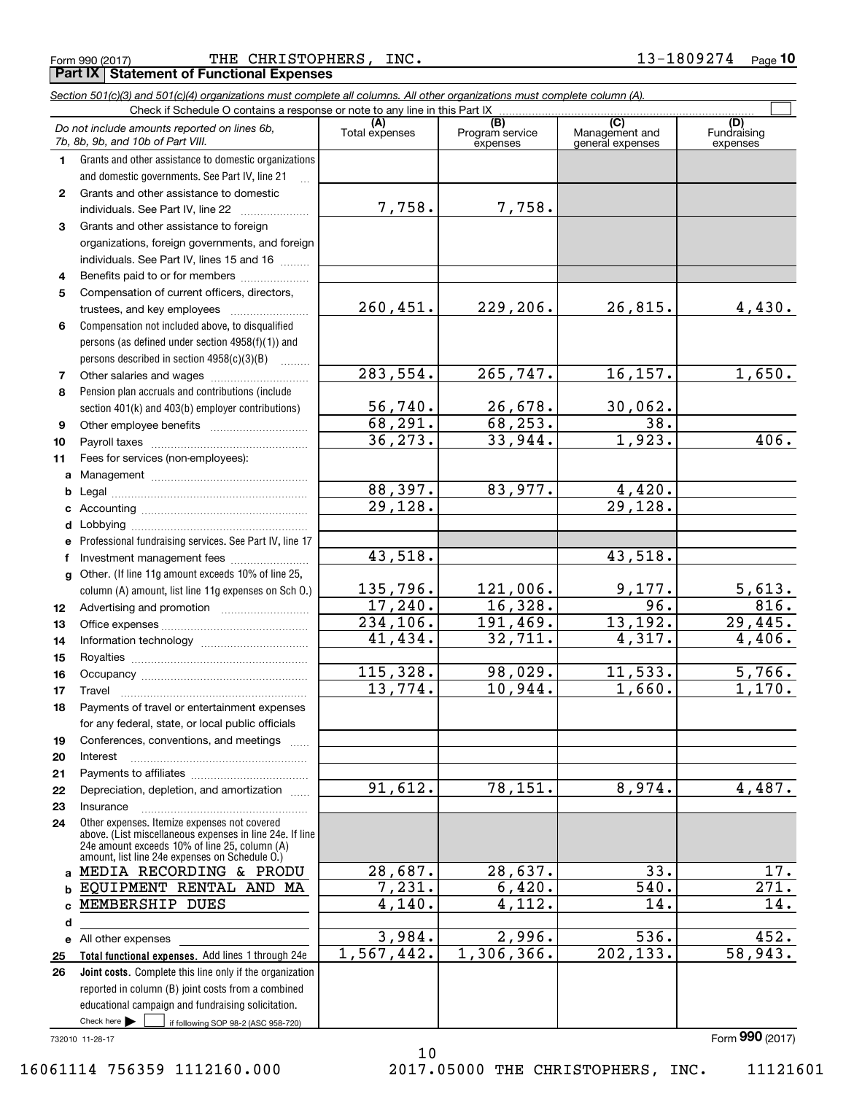Form 990 (2017) Page THE CHRISTOPHERS, INC. 13-1809274 **Part IX | Statement of Functional Expenses** 

|                  | Section 501(c)(3) and 501(c)(4) organizations must complete all columns. All other organizations must complete column (A).<br>Check if Schedule O contains a response or note to any line in this Part IX |                |                             |                                    |                         |
|------------------|-----------------------------------------------------------------------------------------------------------------------------------------------------------------------------------------------------------|----------------|-----------------------------|------------------------------------|-------------------------|
|                  | Do not include amounts reported on lines 6b,                                                                                                                                                              | (A)            | (B)                         | (C)                                | (D)                     |
|                  | 7b, 8b, 9b, and 10b of Part VIII.                                                                                                                                                                         | Total expenses | Program service<br>expenses | Management and<br>general expenses | Fundraising<br>expenses |
| 1.               | Grants and other assistance to domestic organizations                                                                                                                                                     |                |                             |                                    |                         |
|                  | and domestic governments. See Part IV, line 21                                                                                                                                                            |                |                             |                                    |                         |
| $\mathbf{2}$     | Grants and other assistance to domestic                                                                                                                                                                   |                |                             |                                    |                         |
|                  | individuals. See Part IV, line 22                                                                                                                                                                         | 7,758.         | 7,758.                      |                                    |                         |
| 3                | Grants and other assistance to foreign                                                                                                                                                                    |                |                             |                                    |                         |
|                  | organizations, foreign governments, and foreign                                                                                                                                                           |                |                             |                                    |                         |
|                  | individuals. See Part IV, lines 15 and 16                                                                                                                                                                 |                |                             |                                    |                         |
| 4                | Benefits paid to or for members                                                                                                                                                                           |                |                             |                                    |                         |
| 5                | Compensation of current officers, directors,                                                                                                                                                              |                |                             |                                    |                         |
|                  | trustees, and key employees                                                                                                                                                                               | 260,451.       | 229,206.                    | 26,815.                            | 4,430.                  |
| 6                | Compensation not included above, to disqualified                                                                                                                                                          |                |                             |                                    |                         |
|                  | persons (as defined under section 4958(f)(1)) and                                                                                                                                                         |                |                             |                                    |                         |
|                  | persons described in section 4958(c)(3)(B)<br>1.1.1.1.1.1.1                                                                                                                                               |                |                             |                                    |                         |
| 7                |                                                                                                                                                                                                           | 283,554.       | 265,747.                    | 16, 157.                           | 1,650.                  |
| 8                | Pension plan accruals and contributions (include                                                                                                                                                          |                |                             |                                    |                         |
|                  | section 401(k) and 403(b) employer contributions)                                                                                                                                                         | 56,740.        | 26,678.                     | 30,062.                            |                         |
| 9                |                                                                                                                                                                                                           | 68, 291.       | 68, 253.                    | 38.                                |                         |
| 10               |                                                                                                                                                                                                           | 36, 273.       | 33,944.                     | 1,923.                             | 406.                    |
| 11               | Fees for services (non-employees):                                                                                                                                                                        |                |                             |                                    |                         |
| a                |                                                                                                                                                                                                           |                |                             |                                    |                         |
| b                |                                                                                                                                                                                                           | 88,397.        | 83,977.                     | 4,420.                             |                         |
| c                |                                                                                                                                                                                                           | 29,128.        |                             | 29,128.                            |                         |
| d                |                                                                                                                                                                                                           |                |                             |                                    |                         |
| е                | Professional fundraising services. See Part IV, line 17                                                                                                                                                   |                |                             |                                    |                         |
| f                | Investment management fees                                                                                                                                                                                | 43,518.        |                             | 43,518.                            |                         |
| g                | Other. (If line 11g amount exceeds 10% of line 25,                                                                                                                                                        | 135,796.       | 121,006.                    | 9,177.                             |                         |
|                  | column (A) amount, list line 11g expenses on Sch O.)                                                                                                                                                      | 17,240.        | 16,328.                     | 96.                                | 5,613.<br>816.          |
| 12 <sup>12</sup> |                                                                                                                                                                                                           | 234,106.       | 191,469.                    | 13,192.                            | 29,445.                 |
| 13               |                                                                                                                                                                                                           | 41,434.        | 32,711.                     | 4,317.                             | 4,406.                  |
| 14               |                                                                                                                                                                                                           |                |                             |                                    |                         |
| 15<br>16         |                                                                                                                                                                                                           | 115,328.       | 98,029.                     | 11,533.                            | 5,766.                  |
| 17               |                                                                                                                                                                                                           | 13,774.        | 10,944.                     | 1,660.                             | 1,170.                  |
| 18               | Payments of travel or entertainment expenses                                                                                                                                                              |                |                             |                                    |                         |
|                  | for any federal, state, or local public officials                                                                                                                                                         |                |                             |                                    |                         |
| 19               | Conferences, conventions, and meetings                                                                                                                                                                    |                |                             |                                    |                         |
| 20               | Interest                                                                                                                                                                                                  |                |                             |                                    |                         |
| 21               |                                                                                                                                                                                                           |                |                             |                                    |                         |
| 22               | Depreciation, depletion, and amortization                                                                                                                                                                 | 91,612.        | 78,151.                     | 8,974.                             | 4,487.                  |
| 23               | Insurance                                                                                                                                                                                                 |                |                             |                                    |                         |
| 24               | Other expenses. Itemize expenses not covered                                                                                                                                                              |                |                             |                                    |                         |
|                  | above. (List miscellaneous expenses in line 24e. If line<br>24e amount exceeds 10% of line 25, column (A)                                                                                                 |                |                             |                                    |                         |
|                  | amount, list line 24e expenses on Schedule O.)                                                                                                                                                            |                |                             |                                    |                         |
| a                | MEDIA RECORDING & PRODU                                                                                                                                                                                   | 28,687.        | 28,637.                     | 33.                                | 17.                     |
| b                | EQUIPMENT RENTAL AND MA                                                                                                                                                                                   | 7,231.         | 6,420.                      | 540.                               | $\overline{271.}$       |
| с                | MEMBERSHIP DUES                                                                                                                                                                                           | 4,140.         | 4,112.                      | 14.                                | 14.                     |
| d                |                                                                                                                                                                                                           |                |                             |                                    |                         |
|                  | e All other expenses                                                                                                                                                                                      | 3,984.         | 2,996.                      | 536.                               | 452.                    |
| 25               | Total functional expenses. Add lines 1 through 24e                                                                                                                                                        | 1,567,442.     | 1,306,366.                  | 202, 133.                          | 58,943.                 |
| 26               | Joint costs. Complete this line only if the organization                                                                                                                                                  |                |                             |                                    |                         |
|                  | reported in column (B) joint costs from a combined                                                                                                                                                        |                |                             |                                    |                         |
|                  | educational campaign and fundraising solicitation.                                                                                                                                                        |                |                             |                                    |                         |
|                  | Check here<br>if following SOP 98-2 (ASC 958-720)                                                                                                                                                         |                |                             |                                    |                         |

732010 11-28-17

Form (2017) **990**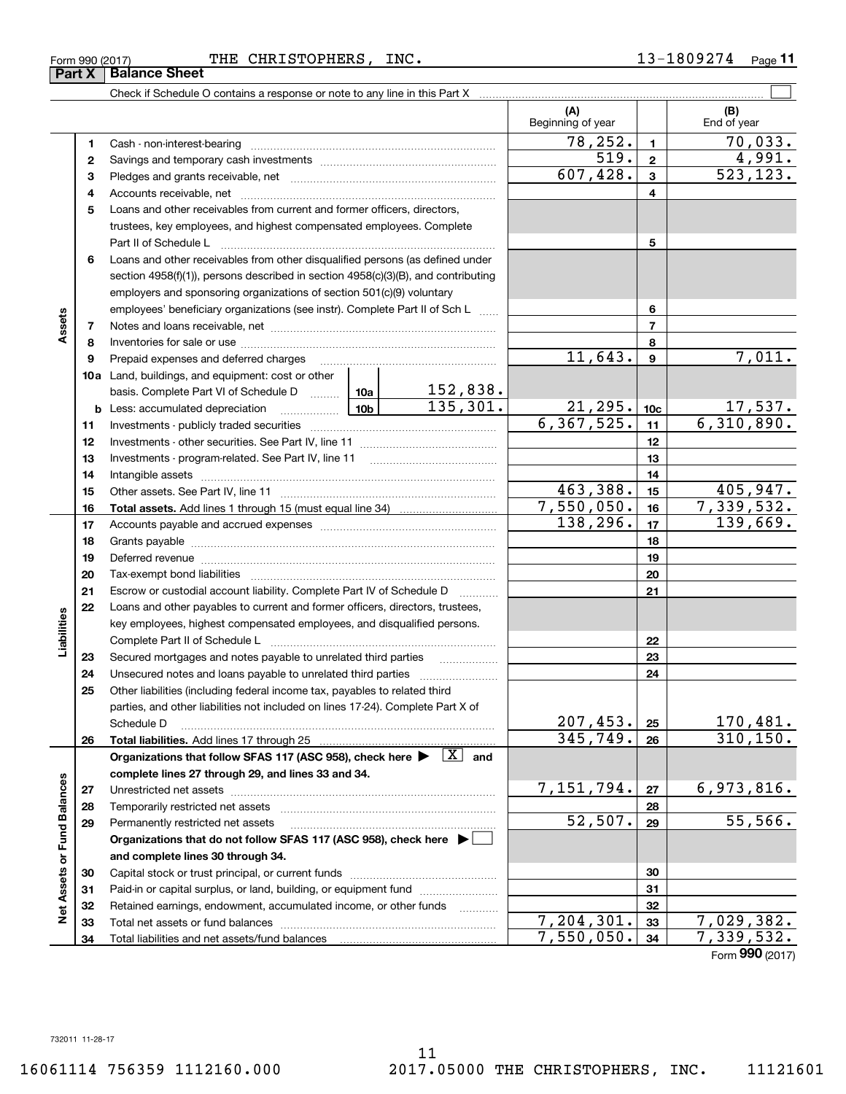732011 11-28-17

11 16061114 756359 1112160.000 2017.05000 THE CHRISTOPHERS, INC. 11121601

| Form 990 (2017) | <b>Deal V. I Delegas Chast</b> |     |               |      |               | Page |
|-----------------|--------------------------------|-----|---------------|------|---------------|------|
|                 |                                | THE | CHRISTOPHERS, | INC. | $3 - 1809274$ |      |

|                             | Part X | <b>Balance Sheet</b>                                                                                                                                                                                                           |  |                             |                            |                         |                              |
|-----------------------------|--------|--------------------------------------------------------------------------------------------------------------------------------------------------------------------------------------------------------------------------------|--|-----------------------------|----------------------------|-------------------------|------------------------------|
|                             |        |                                                                                                                                                                                                                                |  |                             |                            |                         |                              |
|                             |        |                                                                                                                                                                                                                                |  |                             | (A)<br>Beginning of year   |                         | (B)<br>End of year           |
|                             | 1      |                                                                                                                                                                                                                                |  |                             | 78,252.                    | 1                       | 70,033.                      |
|                             | 2      |                                                                                                                                                                                                                                |  |                             | 519.                       | $\overline{\mathbf{c}}$ | 4,991.                       |
|                             | З      |                                                                                                                                                                                                                                |  |                             | 607,428.                   | $\mathbf{3}$            | 523, 123.                    |
|                             | 4      |                                                                                                                                                                                                                                |  |                             |                            | 4                       |                              |
|                             | 5      | Loans and other receivables from current and former officers, directors,                                                                                                                                                       |  |                             |                            |                         |                              |
|                             |        | trustees, key employees, and highest compensated employees. Complete                                                                                                                                                           |  |                             |                            |                         |                              |
|                             |        |                                                                                                                                                                                                                                |  |                             |                            | 5                       |                              |
|                             | 6      | Loans and other receivables from other disqualified persons (as defined under                                                                                                                                                  |  |                             |                            |                         |                              |
|                             |        | section $4958(f)(1)$ , persons described in section $4958(c)(3)(B)$ , and contributing                                                                                                                                         |  |                             |                            |                         |                              |
|                             |        | employers and sponsoring organizations of section 501(c)(9) voluntary                                                                                                                                                          |  |                             |                            |                         |                              |
|                             |        | employees' beneficiary organizations (see instr). Complete Part II of Sch L                                                                                                                                                    |  |                             |                            | 6                       |                              |
| Assets                      | 7      |                                                                                                                                                                                                                                |  |                             | $\overline{7}$             |                         |                              |
|                             | 8      |                                                                                                                                                                                                                                |  |                             |                            | 8                       |                              |
|                             | 9      | Prepaid expenses and deferred charges                                                                                                                                                                                          |  | 11,643.                     | $\boldsymbol{9}$           | 7,011.                  |                              |
|                             |        | <b>10a</b> Land, buildings, and equipment: cost or other                                                                                                                                                                       |  |                             |                            |                         |                              |
|                             |        | basis. Complete Part VI of Schedule D  10a                                                                                                                                                                                     |  | $\frac{152,838.}{135,301.}$ |                            |                         |                              |
|                             |        | $\frac{10b}{10b}$<br><b>b</b> Less: accumulated depreciation                                                                                                                                                                   |  |                             | $\frac{21,295}{6,367,525}$ | 10 <sub>c</sub>         | $\frac{17,537.}{6,310,890.}$ |
|                             | 11     |                                                                                                                                                                                                                                |  |                             |                            | 11                      |                              |
|                             | 12     |                                                                                                                                                                                                                                |  |                             |                            | 12                      |                              |
|                             | 13     |                                                                                                                                                                                                                                |  |                             | 13                         |                         |                              |
|                             | 14     |                                                                                                                                                                                                                                |  |                             | 14                         |                         |                              |
|                             | 15     |                                                                                                                                                                                                                                |  |                             | 463,388.                   | 15                      | 405,947.                     |
|                             | 16     |                                                                                                                                                                                                                                |  |                             | 7,550,050.                 | 16                      | 7,339,532.                   |
|                             | 17     |                                                                                                                                                                                                                                |  | 138, 296.                   | 17                         | 139,669.                |                              |
|                             | 18     |                                                                                                                                                                                                                                |  | 18                          |                            |                         |                              |
|                             | 19     | Deferred revenue manual contracts and contracts are all the manual contracts and contracts are contracted and contracts are contracted and contract are contracted and contract are contracted and contract are contracted and |  |                             |                            | 19                      |                              |
|                             | 20     |                                                                                                                                                                                                                                |  |                             |                            | 20                      |                              |
|                             | 21     | Escrow or custodial account liability. Complete Part IV of Schedule D                                                                                                                                                          |  | $\cdots$                    |                            | 21                      |                              |
|                             | 22     | Loans and other payables to current and former officers, directors, trustees,                                                                                                                                                  |  |                             |                            |                         |                              |
| Liabilities                 |        | key employees, highest compensated employees, and disqualified persons.                                                                                                                                                        |  |                             |                            |                         |                              |
|                             |        |                                                                                                                                                                                                                                |  |                             |                            | 22                      |                              |
|                             | 23     | Secured mortgages and notes payable to unrelated third parties                                                                                                                                                                 |  | $\overline{\phantom{a}}$    |                            | 23                      |                              |
|                             | 24     |                                                                                                                                                                                                                                |  |                             |                            | 24                      |                              |
|                             | 25     | Other liabilities (including federal income tax, payables to related third                                                                                                                                                     |  |                             |                            |                         |                              |
|                             |        | parties, and other liabilities not included on lines 17-24). Complete Part X of                                                                                                                                                |  |                             | 207,453.                   |                         |                              |
|                             |        | Schedule D                                                                                                                                                                                                                     |  |                             | 345,749.                   | 25<br>26                | $\frac{170,481.}{310,150.}$  |
|                             | 26     | Total liabilities. Add lines 17 through 25                                                                                                                                                                                     |  |                             |                            |                         |                              |
|                             |        | Organizations that follow SFAS 117 (ASC 958), check here $\blacktriangleright \begin{array}{ c } \hline X & \text{and} \end{array}$<br>complete lines 27 through 29, and lines 33 and 34.                                      |  |                             |                            |                         |                              |
|                             | 27     |                                                                                                                                                                                                                                |  |                             | 7,151,794.                 | 27                      | 6,973,816.                   |
|                             | 28     | Temporarily restricted net assets                                                                                                                                                                                              |  |                             |                            | 28                      |                              |
|                             | 29     | Permanently restricted net assets                                                                                                                                                                                              |  |                             | 52,507.                    | 29                      | 55,566.                      |
|                             |        | Organizations that do not follow SFAS 117 (ASC 958), check here ▶ │                                                                                                                                                            |  |                             |                            |                         |                              |
|                             |        | and complete lines 30 through 34.                                                                                                                                                                                              |  |                             |                            |                         |                              |
| Net Assets or Fund Balances | 30     |                                                                                                                                                                                                                                |  |                             |                            | 30                      |                              |
|                             | 31     | Paid-in or capital surplus, or land, building, or equipment fund                                                                                                                                                               |  |                             |                            | 31                      |                              |
|                             | 32     | Retained earnings, endowment, accumulated income, or other funds                                                                                                                                                               |  |                             |                            | 32                      |                              |
|                             | 33     |                                                                                                                                                                                                                                |  |                             | 7, 204, 301.               | 33                      | 7,029,382.                   |
|                             | 34     |                                                                                                                                                                                                                                |  |                             | 7,550,050.                 | 34                      | 7,339,532.                   |
|                             |        |                                                                                                                                                                                                                                |  |                             |                            |                         | Form 990 (2017)              |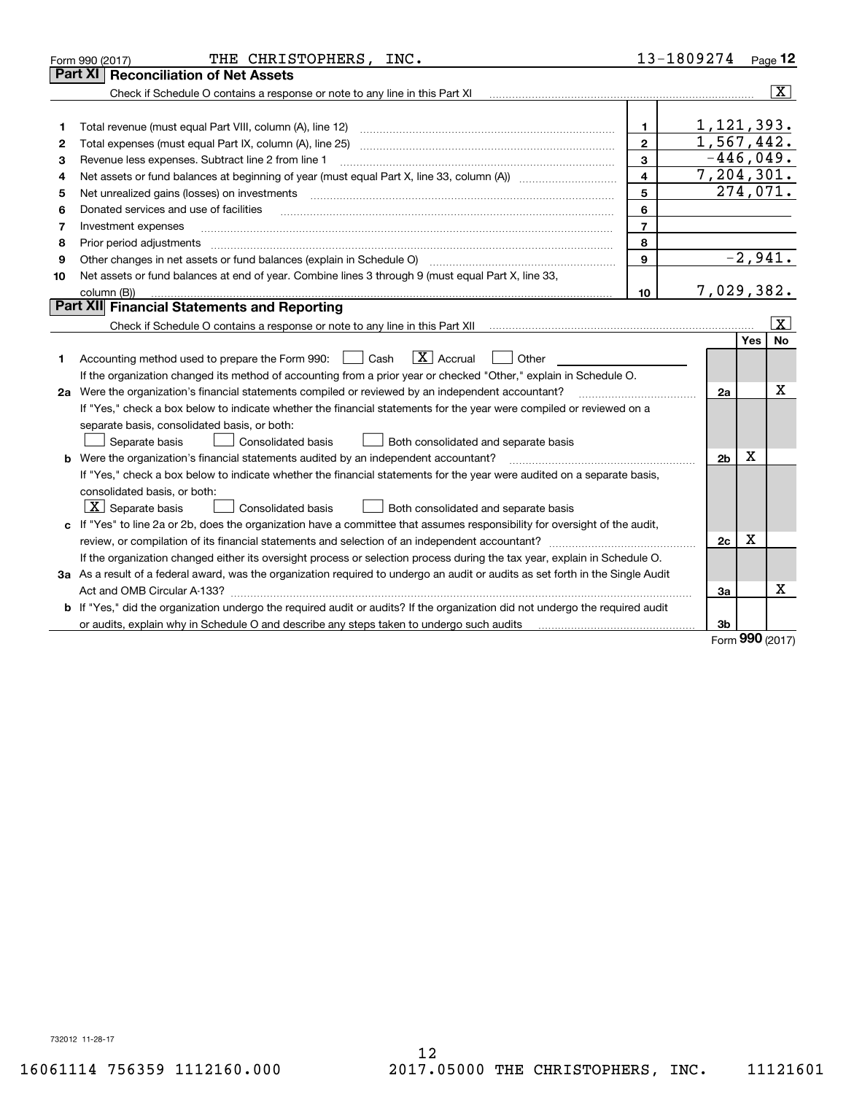|    | THE CHRISTOPHERS, INC.<br>Form 990 (2017)                                                                                       |                         | 13-1809274     | $_{\text{Page}}$ 12     |
|----|---------------------------------------------------------------------------------------------------------------------------------|-------------------------|----------------|-------------------------|
|    | <b>Reconciliation of Net Assets</b><br>Part XI                                                                                  |                         |                |                         |
|    | Check if Schedule O contains a response or note to any line in this Part XI                                                     |                         |                | $ \mathbf{X} $          |
|    |                                                                                                                                 |                         |                |                         |
| 1  | Total revenue (must equal Part VIII, column (A), line 12)                                                                       | 1.                      |                | 1,121,393.              |
| 2  | Total expenses (must equal Part IX, column (A), line 25)                                                                        | $\mathbf{2}$            |                | 1,567,442.              |
| 3  | Revenue less expenses. Subtract line 2 from line 1                                                                              | 3                       |                | $-446,049$ .            |
| 4  |                                                                                                                                 | $\overline{\mathbf{4}}$ |                | 7,204,301.              |
| 5  | Net unrealized gains (losses) on investments                                                                                    | 5                       |                | 274,071.                |
| 6  | Donated services and use of facilities                                                                                          | 6                       |                |                         |
| 7  | Investment expenses                                                                                                             | $\overline{7}$          |                |                         |
| 8  | Prior period adjustments                                                                                                        | 8                       |                |                         |
| 9  |                                                                                                                                 | 9                       |                | $-2,941.$               |
| 10 | Net assets or fund balances at end of year. Combine lines 3 through 9 (must equal Part X, line 33,                              |                         |                |                         |
|    | column (B))                                                                                                                     | 10                      |                | 7,029,382.              |
|    | Part XII Financial Statements and Reporting                                                                                     |                         |                |                         |
|    |                                                                                                                                 |                         |                | $\overline{\mathbf{X}}$ |
|    |                                                                                                                                 |                         |                | Yes<br>No               |
| 1. | $\boxed{\mathbf{X}}$ Accrual<br>Accounting method used to prepare the Form 990: <u>June</u> Cash<br>Other                       |                         |                |                         |
|    | If the organization changed its method of accounting from a prior year or checked "Other," explain in Schedule O.               |                         |                |                         |
|    | 2a Were the organization's financial statements compiled or reviewed by an independent accountant?                              |                         | 2a             | x                       |
|    | If "Yes," check a box below to indicate whether the financial statements for the year were compiled or reviewed on a            |                         |                |                         |
|    | separate basis, consolidated basis, or both:                                                                                    |                         |                |                         |
|    | Both consolidated and separate basis<br>Separate basis<br><b>Consolidated basis</b>                                             |                         |                |                         |
|    | <b>b</b> Were the organization's financial statements audited by an independent accountant?                                     |                         | 2 <sub>b</sub> | X                       |
|    | If "Yes," check a box below to indicate whether the financial statements for the year were audited on a separate basis,         |                         |                |                         |
|    | consolidated basis, or both:                                                                                                    |                         |                |                         |
|    | $\lfloor x \rfloor$ Separate basis<br><b>Consolidated basis</b><br>Both consolidated and separate basis                         |                         |                |                         |
|    | c If "Yes" to line 2a or 2b, does the organization have a committee that assumes responsibility for oversight of the audit,     |                         |                |                         |
|    | review, or compilation of its financial statements and selection of an independent accountant?                                  |                         | 2c             | х                       |
|    | If the organization changed either its oversight process or selection process during the tax year, explain in Schedule O.       |                         |                |                         |
|    | 3a As a result of a federal award, was the organization required to undergo an audit or audits as set forth in the Single Audit |                         |                |                         |
|    |                                                                                                                                 |                         | За             | х                       |
|    | b If "Yes," did the organization undergo the required audit or audits? If the organization did not undergo the required audit   |                         |                |                         |
|    | or audits, explain why in Schedule O and describe any steps taken to undergo such audits                                        |                         | 3b             | nnn                     |

Form (2017) **990**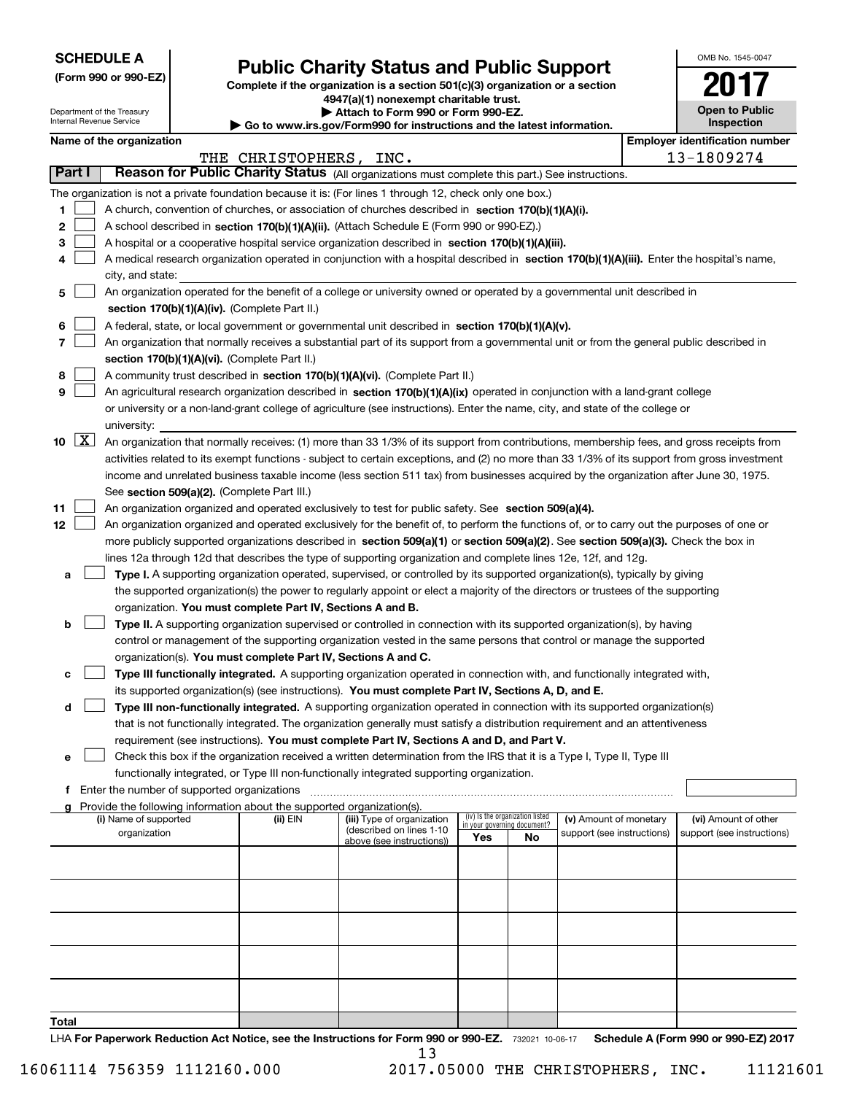| <b>SCHEDULE A</b> |
|-------------------|
|-------------------|

Department of the Treasury Internal Revenue Service

**(Form 990 or 990-EZ)**

# **Public Charity Status and Public Support**

**Complete if the organization is a section 501(c)(3) organization or a section 4947(a)(1) nonexempt charitable trust. | Attach to Form 990 or Form 990-EZ.** 

|  | ▶ Go to www.irs.gov/Form990 for instructions and the latest information. |  |  |
|--|--------------------------------------------------------------------------|--|--|

| OMB No. 1545-0047                   |
|-------------------------------------|
|                                     |
| <b>Open to Public</b><br>Inspection |

|        |                    | Name of the organization                                                                                                                                                                                                                                                               |                   |                                                        |     |                                                                |                            |  | <b>Employer identification number</b> |  |  |  |  |  |
|--------|--------------------|----------------------------------------------------------------------------------------------------------------------------------------------------------------------------------------------------------------------------------------------------------------------------------------|-------------------|--------------------------------------------------------|-----|----------------------------------------------------------------|----------------------------|--|---------------------------------------|--|--|--|--|--|
|        |                    |                                                                                                                                                                                                                                                                                        | THE CHRISTOPHERS, | INC.                                                   |     |                                                                |                            |  | 13-1809274                            |  |  |  |  |  |
| Part I |                    | Reason for Public Charity Status (All organizations must complete this part.) See instructions.                                                                                                                                                                                        |                   |                                                        |     |                                                                |                            |  |                                       |  |  |  |  |  |
|        |                    | The organization is not a private foundation because it is: (For lines 1 through 12, check only one box.)                                                                                                                                                                              |                   |                                                        |     |                                                                |                            |  |                                       |  |  |  |  |  |
| 1.     |                    | A church, convention of churches, or association of churches described in section 170(b)(1)(A)(i).                                                                                                                                                                                     |                   |                                                        |     |                                                                |                            |  |                                       |  |  |  |  |  |
| 2      |                    | A school described in section 170(b)(1)(A)(ii). (Attach Schedule E (Form 990 or 990-EZ).)                                                                                                                                                                                              |                   |                                                        |     |                                                                |                            |  |                                       |  |  |  |  |  |
| 3      |                    | A hospital or a cooperative hospital service organization described in section 170(b)(1)(A)(iii).                                                                                                                                                                                      |                   |                                                        |     |                                                                |                            |  |                                       |  |  |  |  |  |
|        |                    | A medical research organization operated in conjunction with a hospital described in section 170(b)(1)(A)(iii). Enter the hospital's name,                                                                                                                                             |                   |                                                        |     |                                                                |                            |  |                                       |  |  |  |  |  |
|        |                    | city, and state:                                                                                                                                                                                                                                                                       |                   |                                                        |     |                                                                |                            |  |                                       |  |  |  |  |  |
| 5      |                    | An organization operated for the benefit of a college or university owned or operated by a governmental unit described in                                                                                                                                                              |                   |                                                        |     |                                                                |                            |  |                                       |  |  |  |  |  |
|        |                    | section 170(b)(1)(A)(iv). (Complete Part II.)                                                                                                                                                                                                                                          |                   |                                                        |     |                                                                |                            |  |                                       |  |  |  |  |  |
| 6      |                    | A federal, state, or local government or governmental unit described in section 170(b)(1)(A)(v).                                                                                                                                                                                       |                   |                                                        |     |                                                                |                            |  |                                       |  |  |  |  |  |
| 7      |                    | An organization that normally receives a substantial part of its support from a governmental unit or from the general public described in                                                                                                                                              |                   |                                                        |     |                                                                |                            |  |                                       |  |  |  |  |  |
|        |                    | section 170(b)(1)(A)(vi). (Complete Part II.)                                                                                                                                                                                                                                          |                   |                                                        |     |                                                                |                            |  |                                       |  |  |  |  |  |
| 8      |                    | A community trust described in section 170(b)(1)(A)(vi). (Complete Part II.)                                                                                                                                                                                                           |                   |                                                        |     |                                                                |                            |  |                                       |  |  |  |  |  |
| 9      |                    | An agricultural research organization described in section 170(b)(1)(A)(ix) operated in conjunction with a land-grant college                                                                                                                                                          |                   |                                                        |     |                                                                |                            |  |                                       |  |  |  |  |  |
|        |                    | or university or a non-land-grant college of agriculture (see instructions). Enter the name, city, and state of the college or                                                                                                                                                         |                   |                                                        |     |                                                                |                            |  |                                       |  |  |  |  |  |
|        |                    | university:                                                                                                                                                                                                                                                                            |                   |                                                        |     |                                                                |                            |  |                                       |  |  |  |  |  |
| 10     | $\boxed{\text{X}}$ | An organization that normally receives: (1) more than 33 1/3% of its support from contributions, membership fees, and gross receipts from                                                                                                                                              |                   |                                                        |     |                                                                |                            |  |                                       |  |  |  |  |  |
|        |                    |                                                                                                                                                                                                                                                                                        |                   |                                                        |     |                                                                |                            |  |                                       |  |  |  |  |  |
|        |                    | activities related to its exempt functions - subject to certain exceptions, and (2) no more than 33 1/3% of its support from gross investment<br>income and unrelated business taxable income (less section 511 tax) from businesses acquired by the organization after June 30, 1975. |                   |                                                        |     |                                                                |                            |  |                                       |  |  |  |  |  |
|        |                    | See section 509(a)(2). (Complete Part III.)                                                                                                                                                                                                                                            |                   |                                                        |     |                                                                |                            |  |                                       |  |  |  |  |  |
| 11     |                    | An organization organized and operated exclusively to test for public safety. See section 509(a)(4).                                                                                                                                                                                   |                   |                                                        |     |                                                                |                            |  |                                       |  |  |  |  |  |
| 12     |                    | An organization organized and operated exclusively for the benefit of, to perform the functions of, or to carry out the purposes of one or                                                                                                                                             |                   |                                                        |     |                                                                |                            |  |                                       |  |  |  |  |  |
|        |                    | more publicly supported organizations described in section 509(a)(1) or section 509(a)(2). See section 509(a)(3). Check the box in                                                                                                                                                     |                   |                                                        |     |                                                                |                            |  |                                       |  |  |  |  |  |
|        |                    | lines 12a through 12d that describes the type of supporting organization and complete lines 12e, 12f, and 12g.                                                                                                                                                                         |                   |                                                        |     |                                                                |                            |  |                                       |  |  |  |  |  |
| a      |                    | Type I. A supporting organization operated, supervised, or controlled by its supported organization(s), typically by giving                                                                                                                                                            |                   |                                                        |     |                                                                |                            |  |                                       |  |  |  |  |  |
|        |                    | the supported organization(s) the power to regularly appoint or elect a majority of the directors or trustees of the supporting                                                                                                                                                        |                   |                                                        |     |                                                                |                            |  |                                       |  |  |  |  |  |
|        |                    | organization. You must complete Part IV, Sections A and B.                                                                                                                                                                                                                             |                   |                                                        |     |                                                                |                            |  |                                       |  |  |  |  |  |
| b      |                    | Type II. A supporting organization supervised or controlled in connection with its supported organization(s), by having                                                                                                                                                                |                   |                                                        |     |                                                                |                            |  |                                       |  |  |  |  |  |
|        |                    | control or management of the supporting organization vested in the same persons that control or manage the supported                                                                                                                                                                   |                   |                                                        |     |                                                                |                            |  |                                       |  |  |  |  |  |
|        |                    | organization(s). You must complete Part IV, Sections A and C.                                                                                                                                                                                                                          |                   |                                                        |     |                                                                |                            |  |                                       |  |  |  |  |  |
| c      |                    | Type III functionally integrated. A supporting organization operated in connection with, and functionally integrated with,                                                                                                                                                             |                   |                                                        |     |                                                                |                            |  |                                       |  |  |  |  |  |
|        |                    | its supported organization(s) (see instructions). You must complete Part IV, Sections A, D, and E.                                                                                                                                                                                     |                   |                                                        |     |                                                                |                            |  |                                       |  |  |  |  |  |
| d      |                    | Type III non-functionally integrated. A supporting organization operated in connection with its supported organization(s)                                                                                                                                                              |                   |                                                        |     |                                                                |                            |  |                                       |  |  |  |  |  |
|        |                    | that is not functionally integrated. The organization generally must satisfy a distribution requirement and an attentiveness                                                                                                                                                           |                   |                                                        |     |                                                                |                            |  |                                       |  |  |  |  |  |
|        |                    | requirement (see instructions). You must complete Part IV, Sections A and D, and Part V.                                                                                                                                                                                               |                   |                                                        |     |                                                                |                            |  |                                       |  |  |  |  |  |
|        |                    | Check this box if the organization received a written determination from the IRS that it is a Type I, Type II, Type III                                                                                                                                                                |                   |                                                        |     |                                                                |                            |  |                                       |  |  |  |  |  |
|        |                    | functionally integrated, or Type III non-functionally integrated supporting organization.                                                                                                                                                                                              |                   |                                                        |     |                                                                |                            |  |                                       |  |  |  |  |  |
|        |                    | f Enter the number of supported organizations                                                                                                                                                                                                                                          |                   |                                                        |     |                                                                |                            |  |                                       |  |  |  |  |  |
|        |                    | g Provide the following information about the supported organization(s).                                                                                                                                                                                                               |                   |                                                        |     |                                                                |                            |  |                                       |  |  |  |  |  |
|        |                    | (i) Name of supported                                                                                                                                                                                                                                                                  | (ii) EIN          | (iii) Type of organization<br>(described on lines 1-10 |     | (iv) Is the organization listed<br>in your governing document? | (v) Amount of monetary     |  | (vi) Amount of other                  |  |  |  |  |  |
|        |                    | organization                                                                                                                                                                                                                                                                           |                   | above (see instructions))                              | Yes | No                                                             | support (see instructions) |  | support (see instructions)            |  |  |  |  |  |
|        |                    |                                                                                                                                                                                                                                                                                        |                   |                                                        |     |                                                                |                            |  |                                       |  |  |  |  |  |
|        |                    |                                                                                                                                                                                                                                                                                        |                   |                                                        |     |                                                                |                            |  |                                       |  |  |  |  |  |
|        |                    |                                                                                                                                                                                                                                                                                        |                   |                                                        |     |                                                                |                            |  |                                       |  |  |  |  |  |
|        |                    |                                                                                                                                                                                                                                                                                        |                   |                                                        |     |                                                                |                            |  |                                       |  |  |  |  |  |
|        |                    |                                                                                                                                                                                                                                                                                        |                   |                                                        |     |                                                                |                            |  |                                       |  |  |  |  |  |
|        |                    |                                                                                                                                                                                                                                                                                        |                   |                                                        |     |                                                                |                            |  |                                       |  |  |  |  |  |
|        |                    |                                                                                                                                                                                                                                                                                        |                   |                                                        |     |                                                                |                            |  |                                       |  |  |  |  |  |
|        |                    |                                                                                                                                                                                                                                                                                        |                   |                                                        |     |                                                                |                            |  |                                       |  |  |  |  |  |
|        |                    |                                                                                                                                                                                                                                                                                        |                   |                                                        |     |                                                                |                            |  |                                       |  |  |  |  |  |
| Total  |                    |                                                                                                                                                                                                                                                                                        |                   |                                                        |     |                                                                |                            |  |                                       |  |  |  |  |  |

LHA For Paperwork Reduction Act Notice, see the Instructions for Form 990 or 990-EZ. 732021 10-06-17 Schedule A (Form 990 or 990-EZ) 2017 13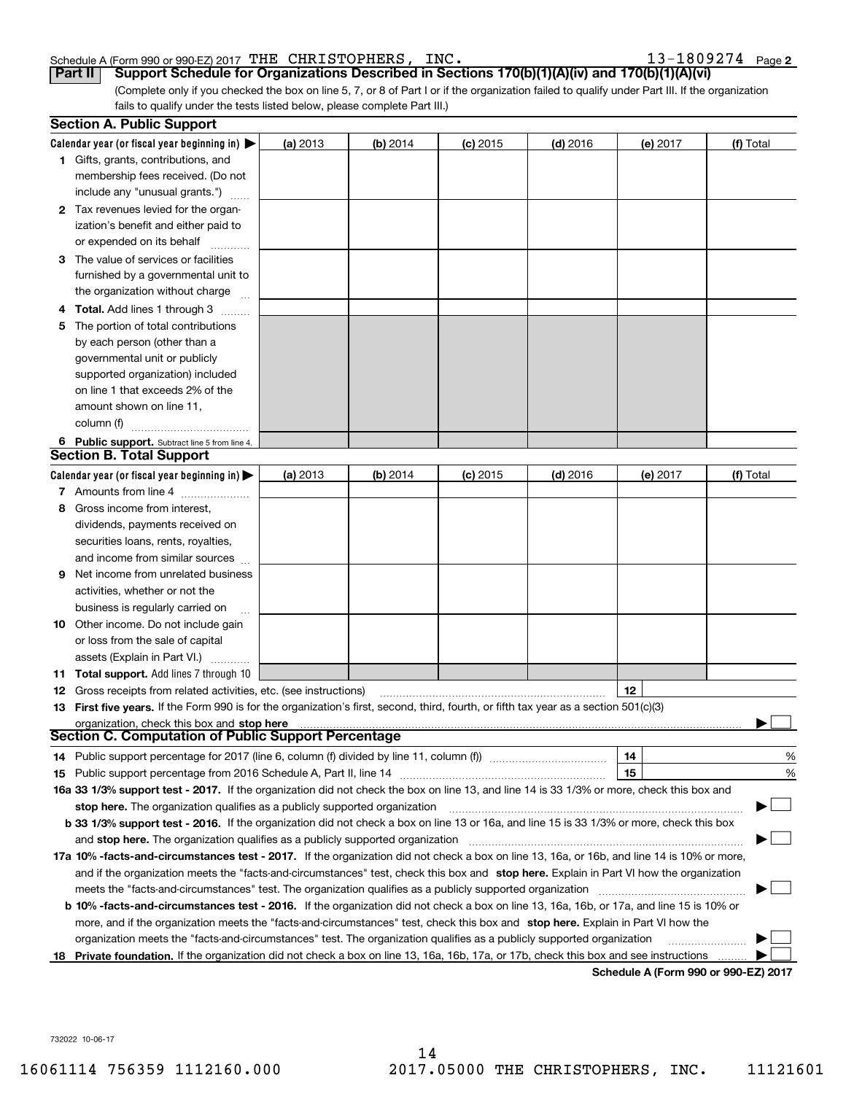#### Schedule A (Form 990 or 990-EZ) 2017 Page THE CHRISTOPHERS, INC. 13-1809274

**2**

(Complete only if you checked the box on line 5, 7, or 8 of Part I or if the organization failed to qualify under Part III. If the organization fails to qualify under the tests listed below, please complete Part III.) **Part II Support Schedule for Organizations Described in Sections 170(b)(1)(A)(iv) and 170(b)(1)(A)(vi)**

|    | <b>Section A. Public Support</b>                                                                                                               |          |            |            |            |                                      |           |
|----|------------------------------------------------------------------------------------------------------------------------------------------------|----------|------------|------------|------------|--------------------------------------|-----------|
|    | Calendar year (or fiscal year beginning in) $\blacktriangleright$                                                                              | (a) 2013 | $(b)$ 2014 | $(c)$ 2015 | $(d)$ 2016 | (e) 2017                             | (f) Total |
|    | 1 Gifts, grants, contributions, and                                                                                                            |          |            |            |            |                                      |           |
|    | membership fees received. (Do not                                                                                                              |          |            |            |            |                                      |           |
|    | include any "unusual grants.")                                                                                                                 |          |            |            |            |                                      |           |
|    | 2 Tax revenues levied for the organ-                                                                                                           |          |            |            |            |                                      |           |
|    | ization's benefit and either paid to                                                                                                           |          |            |            |            |                                      |           |
|    | or expended on its behalf                                                                                                                      |          |            |            |            |                                      |           |
|    | 3 The value of services or facilities                                                                                                          |          |            |            |            |                                      |           |
|    | furnished by a governmental unit to                                                                                                            |          |            |            |            |                                      |           |
|    | the organization without charge                                                                                                                |          |            |            |            |                                      |           |
|    | 4 Total. Add lines 1 through 3                                                                                                                 |          |            |            |            |                                      |           |
| 5. | The portion of total contributions                                                                                                             |          |            |            |            |                                      |           |
|    | by each person (other than a                                                                                                                   |          |            |            |            |                                      |           |
|    | governmental unit or publicly                                                                                                                  |          |            |            |            |                                      |           |
|    | supported organization) included                                                                                                               |          |            |            |            |                                      |           |
|    | on line 1 that exceeds 2% of the                                                                                                               |          |            |            |            |                                      |           |
|    | amount shown on line 11,                                                                                                                       |          |            |            |            |                                      |           |
|    | column (f)                                                                                                                                     |          |            |            |            |                                      |           |
|    | 6 Public support. Subtract line 5 from line 4.                                                                                                 |          |            |            |            |                                      |           |
|    | <b>Section B. Total Support</b>                                                                                                                |          |            |            |            |                                      |           |
|    | Calendar year (or fiscal year beginning in)                                                                                                    | (a) 2013 | $(b)$ 2014 | $(c)$ 2015 | $(d)$ 2016 | (e) 2017                             | (f) Total |
|    | 7 Amounts from line 4                                                                                                                          |          |            |            |            |                                      |           |
| 8  | Gross income from interest,                                                                                                                    |          |            |            |            |                                      |           |
|    | dividends, payments received on                                                                                                                |          |            |            |            |                                      |           |
|    | securities loans, rents, royalties,                                                                                                            |          |            |            |            |                                      |           |
|    | and income from similar sources                                                                                                                |          |            |            |            |                                      |           |
|    | <b>9</b> Net income from unrelated business                                                                                                    |          |            |            |            |                                      |           |
|    | activities, whether or not the                                                                                                                 |          |            |            |            |                                      |           |
|    | business is regularly carried on                                                                                                               |          |            |            |            |                                      |           |
|    | <b>10</b> Other income. Do not include gain                                                                                                    |          |            |            |            |                                      |           |
|    | or loss from the sale of capital                                                                                                               |          |            |            |            |                                      |           |
|    | assets (Explain in Part VI.)                                                                                                                   |          |            |            |            |                                      |           |
|    | <b>11 Total support.</b> Add lines 7 through 10                                                                                                |          |            |            |            |                                      |           |
|    | <b>12</b> Gross receipts from related activities, etc. (see instructions)                                                                      |          |            |            |            | 12                                   |           |
|    | 13 First five years. If the Form 990 is for the organization's first, second, third, fourth, or fifth tax year as a section 501(c)(3)          |          |            |            |            |                                      |           |
|    | organization, check this box and stop here                                                                                                     |          |            |            |            |                                      |           |
|    | <b>Section C. Computation of Public Support Percentage</b>                                                                                     |          |            |            |            |                                      |           |
|    | 14 Public support percentage for 2017 (line 6, column (f) divided by line 11, column (f) <i>marrouum</i> mass                                  |          |            |            |            | 14                                   | %         |
|    |                                                                                                                                                |          |            |            |            | 15                                   | $\%$      |
|    | 16a 33 1/3% support test - 2017. If the organization did not check the box on line 13, and line 14 is 33 1/3% or more, check this box and      |          |            |            |            |                                      |           |
|    | stop here. The organization qualifies as a publicly supported organization                                                                     |          |            |            |            |                                      |           |
|    | b 33 1/3% support test - 2016. If the organization did not check a box on line 13 or 16a, and line 15 is 33 1/3% or more, check this box       |          |            |            |            |                                      |           |
|    | and stop here. The organization qualifies as a publicly supported organization                                                                 |          |            |            |            |                                      |           |
|    | 17a 10% -facts-and-circumstances test - 2017. If the organization did not check a box on line 13, 16a, or 16b, and line 14 is 10% or more,     |          |            |            |            |                                      |           |
|    | and if the organization meets the "facts-and-circumstances" test, check this box and stop here. Explain in Part VI how the organization        |          |            |            |            |                                      |           |
|    | meets the "facts-and-circumstances" test. The organization qualifies as a publicly supported organization                                      |          |            |            |            |                                      |           |
|    | <b>b 10% -facts-and-circumstances test - 2016.</b> If the organization did not check a box on line 13, 16a, 16b, or 17a, and line 15 is 10% or |          |            |            |            |                                      |           |
|    | more, and if the organization meets the "facts-and-circumstances" test, check this box and stop here. Explain in Part VI how the               |          |            |            |            |                                      |           |
|    | organization meets the "facts-and-circumstances" test. The organization qualifies as a publicly supported organization                         |          |            |            |            |                                      |           |
| 18 | Private foundation. If the organization did not check a box on line 13, 16a, 16b, 17a, or 17b, check this box and see instructions             |          |            |            |            |                                      |           |
|    |                                                                                                                                                |          |            |            |            | Schedule A (Form 990 or 990-F7) 2017 |           |

**Schedule A (Form 990 or 990-EZ) 2017**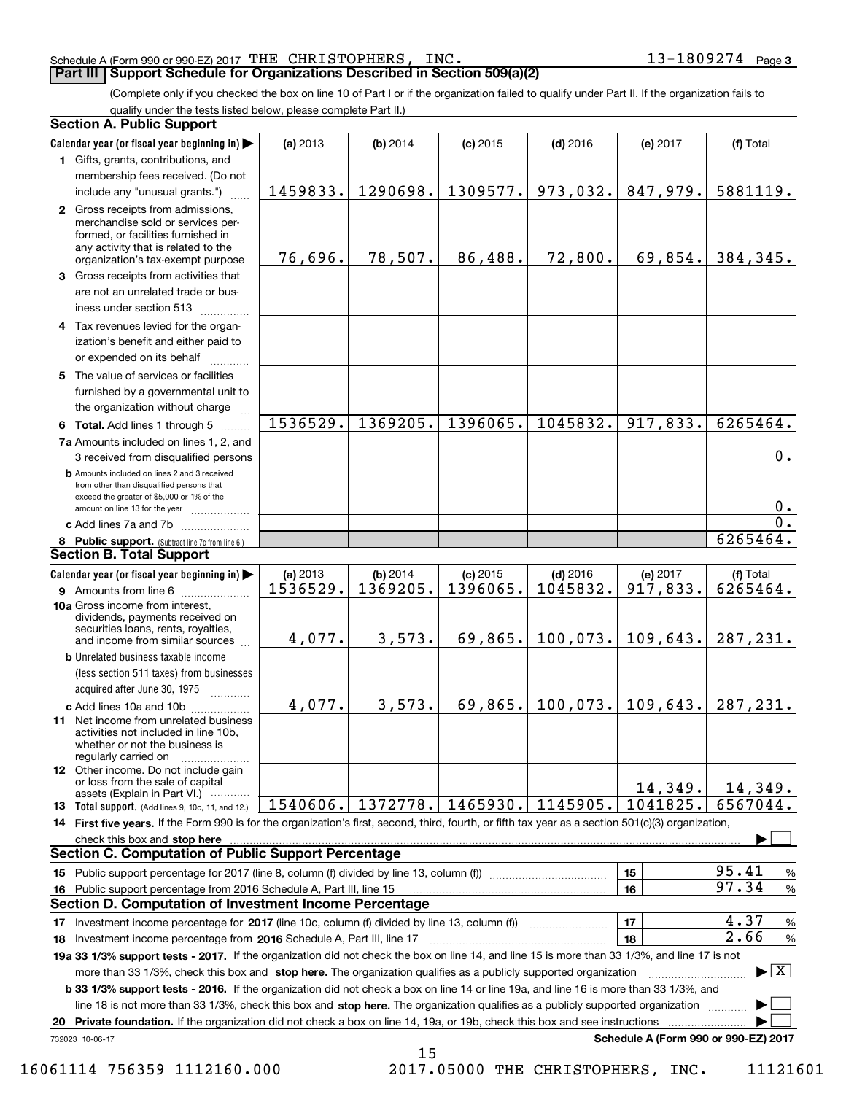#### Schedule A (Form 990 or 990-EZ) 2017 Page THE CHRISTOPHERS, INC. 13-1809274

#### **Part III Support Schedule for Organizations Described in Section 509(a)(2)**

(Complete only if you checked the box on line 10 of Part I or if the organization failed to qualify under Part II. If the organization fails to qualify under the tests listed below, please complete Part II.)

|    | <b>Section A. Public Support</b>                                                                                                                                                                                                                            |          |          |            |            |                                      |                                          |
|----|-------------------------------------------------------------------------------------------------------------------------------------------------------------------------------------------------------------------------------------------------------------|----------|----------|------------|------------|--------------------------------------|------------------------------------------|
|    | Calendar year (or fiscal year beginning in)                                                                                                                                                                                                                 | (a) 2013 | (b) 2014 | $(c)$ 2015 | $(d)$ 2016 | (e) 2017                             | (f) Total                                |
|    | 1 Gifts, grants, contributions, and                                                                                                                                                                                                                         |          |          |            |            |                                      |                                          |
|    | membership fees received. (Do not                                                                                                                                                                                                                           |          |          |            |            |                                      |                                          |
|    | include any "unusual grants.")                                                                                                                                                                                                                              | 1459833. | 1290698. | 1309577.   | 973,032.   | 847,979.                             | 5881119.                                 |
|    | 2 Gross receipts from admissions,<br>merchandise sold or services per-<br>formed, or facilities furnished in<br>any activity that is related to the<br>organization's tax-exempt purpose                                                                    | 76,696.  | 78,507.  | 86,488.    | 72,800.    | 69,854.                              | 384,345.                                 |
|    | 3 Gross receipts from activities that<br>are not an unrelated trade or bus-                                                                                                                                                                                 |          |          |            |            |                                      |                                          |
|    | iness under section 513                                                                                                                                                                                                                                     |          |          |            |            |                                      |                                          |
|    | 4 Tax revenues levied for the organ-<br>ization's benefit and either paid to<br>or expended on its behalf                                                                                                                                                   |          |          |            |            |                                      |                                          |
|    | 5 The value of services or facilities<br>furnished by a governmental unit to<br>the organization without charge                                                                                                                                             |          |          |            |            |                                      |                                          |
|    | 6 Total. Add lines 1 through 5                                                                                                                                                                                                                              | 1536529. | 1369205. | 1396065.   | 1045832.   | 917,833.                             | 6265464.                                 |
|    | 7a Amounts included on lines 1, 2, and<br>3 received from disqualified persons                                                                                                                                                                              |          |          |            |            |                                      | 0.                                       |
|    | <b>b</b> Amounts included on lines 2 and 3 received<br>from other than disqualified persons that<br>exceed the greater of \$5,000 or 1% of the<br>amount on line 13 for the year                                                                            |          |          |            |            |                                      | 0.                                       |
|    | c Add lines 7a and 7b                                                                                                                                                                                                                                       |          |          |            |            |                                      | $\overline{0}$ .                         |
|    | 8 Public support. (Subtract line 7c from line 6.)                                                                                                                                                                                                           |          |          |            |            |                                      | 6265464.                                 |
|    | <b>Section B. Total Support</b>                                                                                                                                                                                                                             |          |          |            |            |                                      |                                          |
|    | Calendar year (or fiscal year beginning in)                                                                                                                                                                                                                 | (a) 2013 | (b) 2014 | $(c)$ 2015 | $(d)$ 2016 | (e) 2017                             | (f) Total                                |
|    | <b>9</b> Amounts from line 6                                                                                                                                                                                                                                | 1536529. | 1369205. | 1396065.   | 1045832.   | 917,833.                             | 6265464.                                 |
|    | 10a Gross income from interest,<br>dividends, payments received on<br>securities loans, rents, royalties,<br>and income from similar sources                                                                                                                | 4,077.   | 3,573.   | 69,865.    | 100,073.   | 109,643.                             | 287,231.                                 |
|    | <b>b</b> Unrelated business taxable income                                                                                                                                                                                                                  |          |          |            |            |                                      |                                          |
|    | (less section 511 taxes) from businesses<br>acquired after June 30, 1975<br>a a bhailtean                                                                                                                                                                   |          |          |            |            |                                      |                                          |
|    | c Add lines 10a and 10b<br>11 Net income from unrelated business<br>activities not included in line 10b,<br>whether or not the business is<br>regularly carried on                                                                                          | 4,077.   | 3,573.   | 69,865.    | 100,073.   | 109,643.                             | 287,231.                                 |
|    | 12 Other income. Do not include gain<br>or loss from the sale of capital<br>assets (Explain in Part VI.)                                                                                                                                                    |          |          |            |            | 14,349.                              | 14,349.                                  |
|    | 13 Total support. (Add lines 9, 10c, 11, and 12.)                                                                                                                                                                                                           | 1540606. | 1372778. | 1465930.   | 1145905.   | 1041825.                             | 6567044.                                 |
|    | 14 First five years. If the Form 990 is for the organization's first, second, third, fourth, or fifth tax year as a section 501(c)(3) organization,                                                                                                         |          |          |            |            |                                      |                                          |
|    | check this box and stop here manufactured and the control of the control of the control of the control of the control of the control of the control of the control of the control of the control of the control of the control                              |          |          |            |            |                                      |                                          |
|    | <b>Section C. Computation of Public Support Percentage</b>                                                                                                                                                                                                  |          |          |            |            |                                      |                                          |
|    | 15 Public support percentage for 2017 (line 8, column (f) divided by line 13, column (f))                                                                                                                                                                   |          |          |            |            | 15                                   | 95.41<br>%                               |
|    | 16 Public support percentage from 2016 Schedule A, Part III, line 15                                                                                                                                                                                        |          |          |            |            | 16                                   | 97.34<br>$\%$                            |
|    | <b>Section D. Computation of Investment Income Percentage</b>                                                                                                                                                                                               |          |          |            |            |                                      |                                          |
|    | 17 Investment income percentage for 2017 (line 10c, column (f) divided by line 13, column (f))                                                                                                                                                              |          |          |            |            | 17                                   | 4.37<br>%                                |
|    | <b>18</b> Investment income percentage from <b>2016</b> Schedule A, Part III, line 17                                                                                                                                                                       |          |          |            |            | 18                                   | 2.66<br>$\%$                             |
|    | 19a 33 1/3% support tests - 2017. If the organization did not check the box on line 14, and line 15 is more than 33 1/3%, and line 17 is not                                                                                                                |          |          |            |            |                                      |                                          |
|    | more than 33 1/3%, check this box and stop here. The organization qualifies as a publicly supported organization                                                                                                                                            |          |          |            |            |                                      | $\blacktriangleright$ $\boxed{\text{X}}$ |
|    | b 33 1/3% support tests - 2016. If the organization did not check a box on line 14 or line 19a, and line 16 is more than 33 1/3%, and                                                                                                                       |          |          |            |            |                                      |                                          |
| 20 | line 18 is not more than 33 1/3%, check this box and stop here. The organization qualifies as a publicly supported organization<br>Private foundation. If the organization did not check a box on line 14, 19a, or 19b, check this box and see instructions |          |          |            |            |                                      |                                          |
|    | 732023 10-06-17                                                                                                                                                                                                                                             |          |          |            |            | Schedule A (Form 990 or 990-EZ) 2017 |                                          |
|    |                                                                                                                                                                                                                                                             |          |          |            |            |                                      |                                          |

### 16061114 756359 1112160.000 2017.05000 THE CHRISTOPHERS, INC. 11121601

15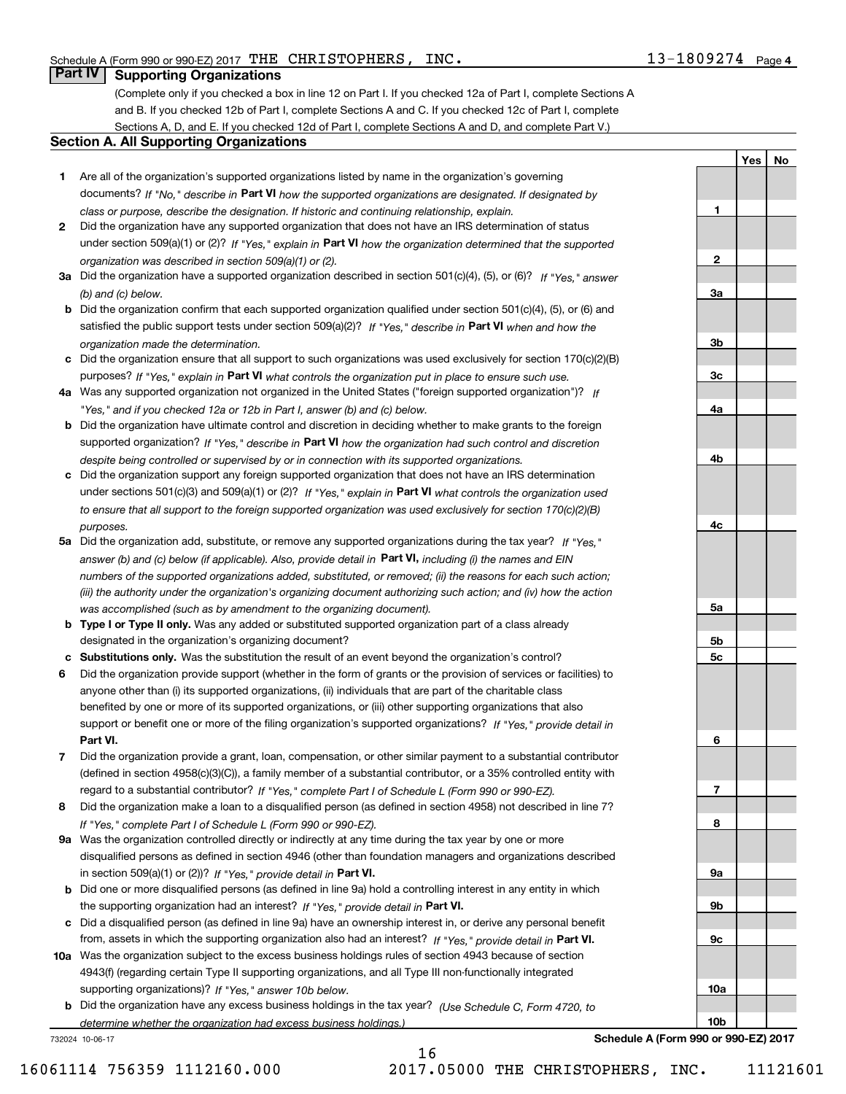**1**

**2**

**3a**

**3b**

**3c**

**4a**

**4b**

**4c**

**5a**

**5b5c**

**6**

**7**

**8**

**9a**

**9b**

**9c**

**10a**

**10b**

**YesNo**

### **Part IV Supporting Organizations**

(Complete only if you checked a box in line 12 on Part I. If you checked 12a of Part I, complete Sections A and B. If you checked 12b of Part I, complete Sections A and C. If you checked 12c of Part I, complete Sections A, D, and E. If you checked 12d of Part I, complete Sections A and D, and complete Part V.)

#### **Section A. All Supporting Organizations**

- **1** Are all of the organization's supported organizations listed by name in the organization's governing documents? If "No," describe in **Part VI** how the supported organizations are designated. If designated by *class or purpose, describe the designation. If historic and continuing relationship, explain.*
- **2** Did the organization have any supported organization that does not have an IRS determination of status under section 509(a)(1) or (2)? If "Yes," explain in Part VI how the organization determined that the supported *organization was described in section 509(a)(1) or (2).*
- **3a** Did the organization have a supported organization described in section 501(c)(4), (5), or (6)? If "Yes," answer *(b) and (c) below.*
- **b** Did the organization confirm that each supported organization qualified under section 501(c)(4), (5), or (6) and satisfied the public support tests under section 509(a)(2)? If "Yes," describe in **Part VI** when and how the *organization made the determination.*
- **c**Did the organization ensure that all support to such organizations was used exclusively for section 170(c)(2)(B) purposes? If "Yes," explain in **Part VI** what controls the organization put in place to ensure such use.
- **4a***If* Was any supported organization not organized in the United States ("foreign supported organization")? *"Yes," and if you checked 12a or 12b in Part I, answer (b) and (c) below.*
- **b** Did the organization have ultimate control and discretion in deciding whether to make grants to the foreign supported organization? If "Yes," describe in **Part VI** how the organization had such control and discretion *despite being controlled or supervised by or in connection with its supported organizations.*
- **c** Did the organization support any foreign supported organization that does not have an IRS determination under sections 501(c)(3) and 509(a)(1) or (2)? If "Yes," explain in **Part VI** what controls the organization used *to ensure that all support to the foreign supported organization was used exclusively for section 170(c)(2)(B) purposes.*
- **5a** Did the organization add, substitute, or remove any supported organizations during the tax year? If "Yes," answer (b) and (c) below (if applicable). Also, provide detail in **Part VI,** including (i) the names and EIN *numbers of the supported organizations added, substituted, or removed; (ii) the reasons for each such action; (iii) the authority under the organization's organizing document authorizing such action; and (iv) how the action was accomplished (such as by amendment to the organizing document).*
- **b** Type I or Type II only. Was any added or substituted supported organization part of a class already designated in the organization's organizing document?
- **cSubstitutions only.**  Was the substitution the result of an event beyond the organization's control?
- **6** Did the organization provide support (whether in the form of grants or the provision of services or facilities) to **Part VI.** *If "Yes," provide detail in* support or benefit one or more of the filing organization's supported organizations? anyone other than (i) its supported organizations, (ii) individuals that are part of the charitable class benefited by one or more of its supported organizations, or (iii) other supporting organizations that also
- **7**Did the organization provide a grant, loan, compensation, or other similar payment to a substantial contributor *If "Yes," complete Part I of Schedule L (Form 990 or 990-EZ).* regard to a substantial contributor? (defined in section 4958(c)(3)(C)), a family member of a substantial contributor, or a 35% controlled entity with
- **8** Did the organization make a loan to a disqualified person (as defined in section 4958) not described in line 7? *If "Yes," complete Part I of Schedule L (Form 990 or 990-EZ).*
- **9a** Was the organization controlled directly or indirectly at any time during the tax year by one or more in section 509(a)(1) or (2))? If "Yes," *provide detail in* <code>Part VI.</code> disqualified persons as defined in section 4946 (other than foundation managers and organizations described
- **b** Did one or more disqualified persons (as defined in line 9a) hold a controlling interest in any entity in which the supporting organization had an interest? If "Yes," provide detail in P**art VI**.
- **c**Did a disqualified person (as defined in line 9a) have an ownership interest in, or derive any personal benefit from, assets in which the supporting organization also had an interest? If "Yes," provide detail in P**art VI.**
- **10a** Was the organization subject to the excess business holdings rules of section 4943 because of section supporting organizations)? If "Yes," answer 10b below. 4943(f) (regarding certain Type II supporting organizations, and all Type III non-functionally integrated
- **b** Did the organization have any excess business holdings in the tax year? (Use Schedule C, Form 4720, to *determine whether the organization had excess business holdings.)*

16

732024 10-06-17

**Schedule A (Form 990 or 990-EZ) 2017**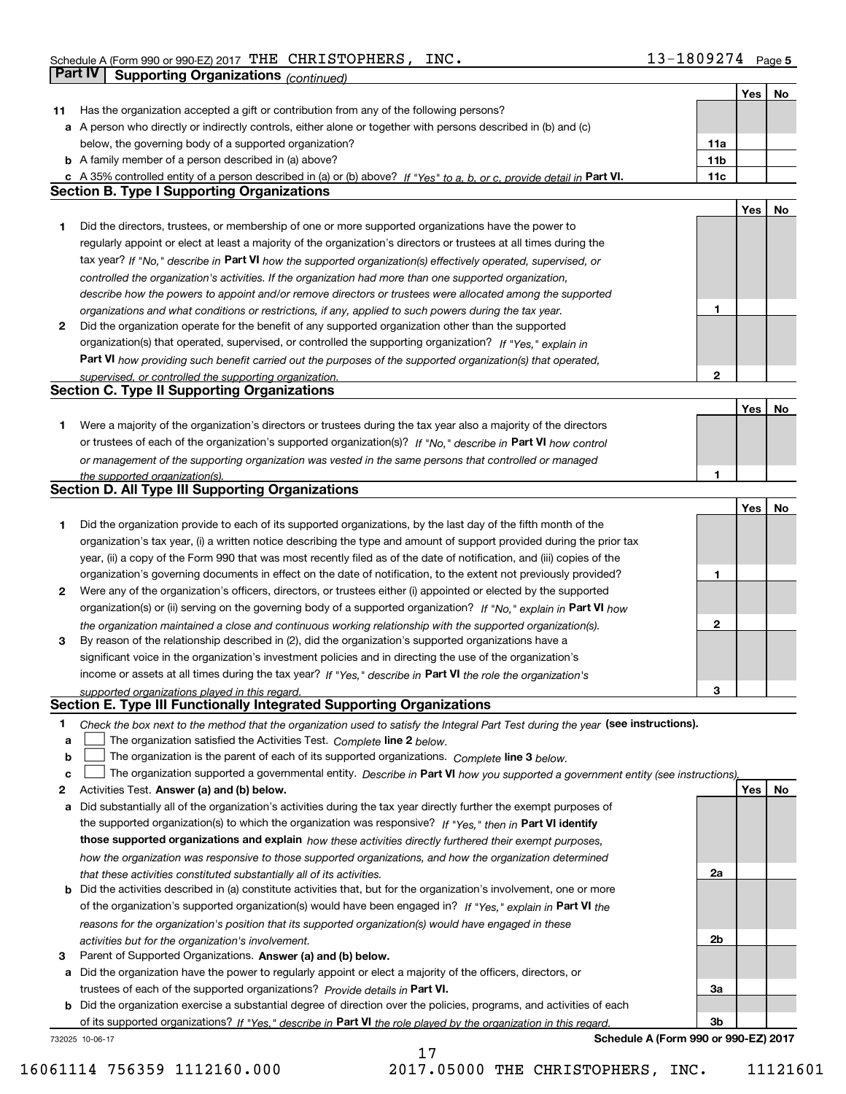|    | Part IV<br><b>Supporting Organizations (continued)</b>                                                                            |              |     |    |
|----|-----------------------------------------------------------------------------------------------------------------------------------|--------------|-----|----|
|    |                                                                                                                                   |              | Yes | No |
| 11 | Has the organization accepted a gift or contribution from any of the following persons?                                           |              |     |    |
|    | a A person who directly or indirectly controls, either alone or together with persons described in (b) and (c)                    |              |     |    |
|    | below, the governing body of a supported organization?                                                                            | 11a          |     |    |
|    | <b>b</b> A family member of a person described in (a) above?                                                                      | 11b          |     |    |
|    | c A 35% controlled entity of a person described in (a) or (b) above? If "Yes" to a, b, or c, provide detail in Part VI.           | 11c          |     |    |
|    | <b>Section B. Type I Supporting Organizations</b>                                                                                 |              |     |    |
|    |                                                                                                                                   |              | Yes | No |
| 1  | Did the directors, trustees, or membership of one or more supported organizations have the power to                               |              |     |    |
|    | regularly appoint or elect at least a majority of the organization's directors or trustees at all times during the                |              |     |    |
|    | tax year? If "No," describe in Part VI how the supported organization(s) effectively operated, supervised, or                     |              |     |    |
|    | controlled the organization's activities. If the organization had more than one supported organization,                           |              |     |    |
|    | describe how the powers to appoint and/or remove directors or trustees were allocated among the supported                         |              |     |    |
|    | organizations and what conditions or restrictions, if any, applied to such powers during the tax year.                            | 1            |     |    |
| 2  | Did the organization operate for the benefit of any supported organization other than the supported                               |              |     |    |
|    | organization(s) that operated, supervised, or controlled the supporting organization? If "Yes," explain in                        |              |     |    |
|    | Part VI how providing such benefit carried out the purposes of the supported organization(s) that operated,                       |              |     |    |
|    | supervised, or controlled the supporting organization.                                                                            | 2            |     |    |
|    | <b>Section C. Type II Supporting Organizations</b>                                                                                |              |     |    |
|    |                                                                                                                                   |              | Yes | No |
| 1  | Were a majority of the organization's directors or trustees during the tax year also a majority of the directors                  |              |     |    |
|    | or trustees of each of the organization's supported organization(s)? If "No," describe in Part VI how control                     |              |     |    |
|    | or management of the supporting organization was vested in the same persons that controlled or managed                            |              |     |    |
|    | the supported organization(s).                                                                                                    | 1            |     |    |
|    | <b>Section D. All Type III Supporting Organizations</b>                                                                           |              |     |    |
|    |                                                                                                                                   |              | Yes | No |
| 1  | Did the organization provide to each of its supported organizations, by the last day of the fifth month of the                    |              |     |    |
|    | organization's tax year, (i) a written notice describing the type and amount of support provided during the prior tax             |              |     |    |
|    | year, (ii) a copy of the Form 990 that was most recently filed as of the date of notification, and (iii) copies of the            |              |     |    |
|    | organization's governing documents in effect on the date of notification, to the extent not previously provided?                  | 1            |     |    |
| 2  | Were any of the organization's officers, directors, or trustees either (i) appointed or elected by the supported                  |              |     |    |
|    | organization(s) or (ii) serving on the governing body of a supported organization? If "No," explain in Part VI how                |              |     |    |
|    | the organization maintained a close and continuous working relationship with the supported organization(s).                       | $\mathbf{2}$ |     |    |
| 3  | By reason of the relationship described in (2), did the organization's supported organizations have a                             |              |     |    |
|    | significant voice in the organization's investment policies and in directing the use of the organization's                        |              |     |    |
|    | income or assets at all times during the tax year? If "Yes," describe in Part VI the role the organization's                      |              |     |    |
|    | supported organizations played in this regard.                                                                                    | 3            |     |    |
|    | Section E. Type III Functionally Integrated Supporting Organizations                                                              |              |     |    |
| 1  | Check the box next to the method that the organization used to satisfy the Integral Part Test during the year (see instructions). |              |     |    |
| a  | The organization satisfied the Activities Test. Complete line 2 below.                                                            |              |     |    |
| b  | The organization is the parent of each of its supported organizations. Complete line 3 below.                                     |              |     |    |
| C  | The organization supported a governmental entity. Describe in Part VI how you supported a government entity (see instructions),   |              |     |    |
| 2  | Activities Test. Answer (a) and (b) below.                                                                                        |              | Yes | No |
| a  | Did substantially all of the organization's activities during the tax year directly further the exempt purposes of                |              |     |    |
|    | the supported organization(s) to which the organization was responsive? If "Yes," then in Part VI identify                        |              |     |    |
|    | those supported organizations and explain how these activities directly furthered their exempt purposes,                          |              |     |    |
|    | how the organization was responsive to those supported organizations, and how the organization determined                         |              |     |    |
|    | that these activities constituted substantially all of its activities.                                                            | 2a           |     |    |
| b  | Did the activities described in (a) constitute activities that, but for the organization's involvement, one or more               |              |     |    |
|    | of the organization's supported organization(s) would have been engaged in? If "Yes," explain in Part VI the                      |              |     |    |
|    | reasons for the organization's position that its supported organization(s) would have engaged in these                            |              |     |    |
|    | activities but for the organization's involvement.                                                                                | 2b           |     |    |
| з  | Parent of Supported Organizations. Answer (a) and (b) below.                                                                      |              |     |    |
| а  | Did the organization have the power to regularly appoint or elect a majority of the officers, directors, or                       |              |     |    |
|    | trustees of each of the supported organizations? Provide details in Part VI.                                                      | За           |     |    |
|    | <b>b</b> Did the organization exercise a substantial degree of direction over the policies, programs, and activities of each      |              |     |    |
|    | of its supported organizations? If "Yes." describe in Part VI the role played by the organization in this regard                  | Зb           |     |    |
|    | Schedule A (Form 990 or 990-EZ) 2017<br>732025 10-06-17                                                                           |              |     |    |

16061114 756359 1112160.000 2017.05000 THE CHRISTOPHERS, INC. 11121601

17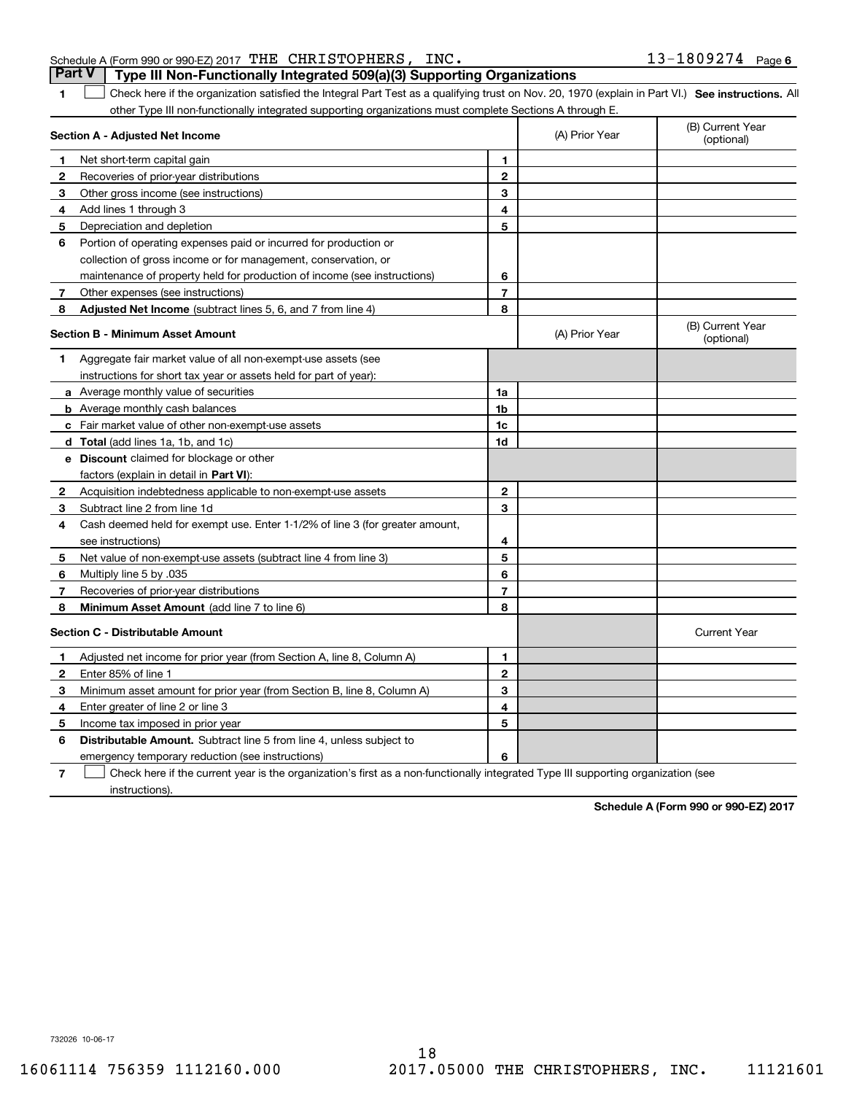#### Schedule A (Form 990 or 990-EZ) 2017 Page THE CHRISTOPHERS, INC. 13-1809274 **Part V Type III Non-Functionally Integrated 509(a)(3) Supporting Organizations**

1 Check here if the organization satisfied the Integral Part Test as a qualifying trust on Nov. 20, 1970 (explain in Part VI.) See instructions. All other Type III non-functionally integrated supporting organizations must complete Sections A through E.

|             | Section A - Adjusted Net Income                                                                                                   |                | (A) Prior Year | (B) Current Year<br>(optional) |
|-------------|-----------------------------------------------------------------------------------------------------------------------------------|----------------|----------------|--------------------------------|
| 1.          | Net short term capital gain                                                                                                       | 1              |                |                                |
| 2           | Recoveries of prior-year distributions                                                                                            | $\overline{2}$ |                |                                |
| 3           | Other gross income (see instructions)                                                                                             | 3              |                |                                |
| 4           | Add lines 1 through 3                                                                                                             | 4              |                |                                |
| 5           | Depreciation and depletion                                                                                                        | 5              |                |                                |
| 6           | Portion of operating expenses paid or incurred for production or                                                                  |                |                |                                |
|             | collection of gross income or for management, conservation, or                                                                    |                |                |                                |
|             | maintenance of property held for production of income (see instructions)                                                          | 6              |                |                                |
| 7           | Other expenses (see instructions)                                                                                                 | $\overline{7}$ |                |                                |
| 8           | Adjusted Net Income (subtract lines 5, 6, and 7 from line 4)                                                                      | 8              |                |                                |
|             | <b>Section B - Minimum Asset Amount</b>                                                                                           |                | (A) Prior Year | (B) Current Year<br>(optional) |
| 1           | Aggregate fair market value of all non-exempt-use assets (see                                                                     |                |                |                                |
|             | instructions for short tax year or assets held for part of year):                                                                 |                |                |                                |
|             | a Average monthly value of securities                                                                                             | 1a             |                |                                |
|             | <b>b</b> Average monthly cash balances                                                                                            | 1 <sub>b</sub> |                |                                |
|             | c Fair market value of other non-exempt-use assets                                                                                | 1c             |                |                                |
|             | d Total (add lines 1a, 1b, and 1c)                                                                                                | 1d             |                |                                |
|             | e Discount claimed for blockage or other                                                                                          |                |                |                                |
|             | factors (explain in detail in <b>Part VI</b> ):                                                                                   |                |                |                                |
| 2           | Acquisition indebtedness applicable to non-exempt-use assets                                                                      | 2              |                |                                |
| 3           | Subtract line 2 from line 1d                                                                                                      | 3              |                |                                |
| 4           | Cash deemed held for exempt use. Enter 1-1/2% of line 3 (for greater amount,                                                      |                |                |                                |
|             | see instructions)                                                                                                                 | 4              |                |                                |
| 5           | Net value of non-exempt-use assets (subtract line 4 from line 3)                                                                  | 5              |                |                                |
| 6           | Multiply line 5 by .035                                                                                                           | 6              |                |                                |
| 7           | Recoveries of prior-year distributions                                                                                            | $\overline{7}$ |                |                                |
| 8           | Minimum Asset Amount (add line 7 to line 6)                                                                                       | 8              |                |                                |
|             | <b>Section C - Distributable Amount</b>                                                                                           |                |                | <b>Current Year</b>            |
| $\mathbf 1$ | Adjusted net income for prior year (from Section A, line 8, Column A)                                                             | 1              |                |                                |
| 2           | Enter 85% of line 1                                                                                                               | $\overline{2}$ |                |                                |
| з           | Minimum asset amount for prior year (from Section B, line 8, Column A)                                                            | 3              |                |                                |
| 4           | Enter greater of line 2 or line 3                                                                                                 | 4              |                |                                |
| 5           | Income tax imposed in prior year                                                                                                  | 5              |                |                                |
| 6           | <b>Distributable Amount.</b> Subtract line 5 from line 4, unless subject to                                                       |                |                |                                |
|             | emergency temporary reduction (see instructions)                                                                                  | 6              |                |                                |
| 7           | Check here if the current year is the organization's first as a non-functionally integrated Type III supporting organization (see |                |                |                                |

instructions).

**1**

**Schedule A (Form 990 or 990-EZ) 2017**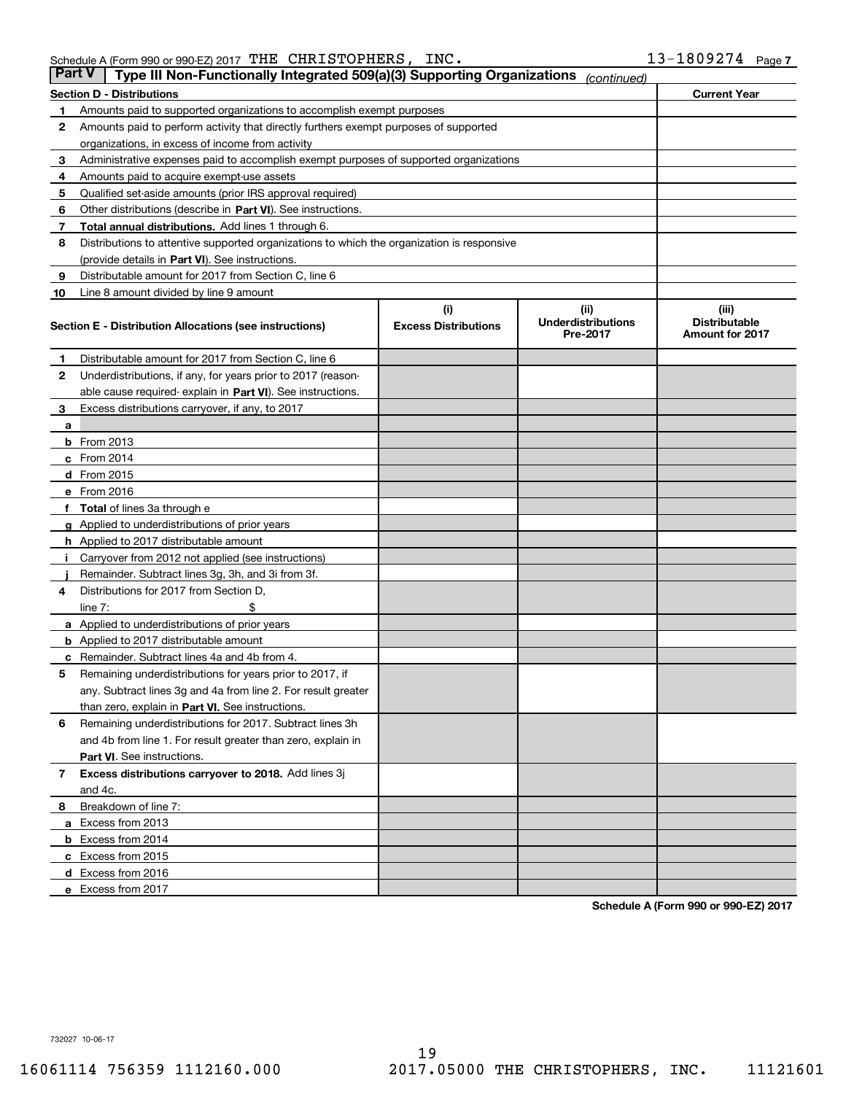Schedule A (Form 990 or 990-EZ) 2017 Page THE CHRISTOPHERS, INC. 13-1809274

| Part V | Type III Non-Functionally Integrated 509(a)(3) Supporting Organizations                    |                                    | (continued)                                   |                                                         |
|--------|--------------------------------------------------------------------------------------------|------------------------------------|-----------------------------------------------|---------------------------------------------------------|
|        | <b>Section D - Distributions</b>                                                           |                                    |                                               | <b>Current Year</b>                                     |
| 1      | Amounts paid to supported organizations to accomplish exempt purposes                      |                                    |                                               |                                                         |
| 2      | Amounts paid to perform activity that directly furthers exempt purposes of supported       |                                    |                                               |                                                         |
|        | organizations, in excess of income from activity                                           |                                    |                                               |                                                         |
| з      | Administrative expenses paid to accomplish exempt purposes of supported organizations      |                                    |                                               |                                                         |
| 4      | Amounts paid to acquire exempt-use assets                                                  |                                    |                                               |                                                         |
| 5      | Qualified set-aside amounts (prior IRS approval required)                                  |                                    |                                               |                                                         |
| 6      | Other distributions (describe in Part VI). See instructions.                               |                                    |                                               |                                                         |
| 7      | Total annual distributions. Add lines 1 through 6.                                         |                                    |                                               |                                                         |
| 8      | Distributions to attentive supported organizations to which the organization is responsive |                                    |                                               |                                                         |
|        | (provide details in Part VI). See instructions.                                            |                                    |                                               |                                                         |
| 9      | Distributable amount for 2017 from Section C, line 6                                       |                                    |                                               |                                                         |
| 10     | Line 8 amount divided by line 9 amount                                                     |                                    |                                               |                                                         |
|        | <b>Section E - Distribution Allocations (see instructions)</b>                             | (i)<br><b>Excess Distributions</b> | (ii)<br><b>Underdistributions</b><br>Pre-2017 | (iii)<br><b>Distributable</b><br><b>Amount for 2017</b> |
| 1      | Distributable amount for 2017 from Section C, line 6                                       |                                    |                                               |                                                         |
| 2      | Underdistributions, if any, for years prior to 2017 (reason-                               |                                    |                                               |                                                         |
|        | able cause required- explain in Part VI). See instructions.                                |                                    |                                               |                                                         |
| 3      | Excess distributions carryover, if any, to 2017                                            |                                    |                                               |                                                         |
| а      |                                                                                            |                                    |                                               |                                                         |
|        | <b>b</b> From 2013                                                                         |                                    |                                               |                                                         |
|        | $c$ From 2014                                                                              |                                    |                                               |                                                         |
|        | <b>d</b> From 2015                                                                         |                                    |                                               |                                                         |
|        | e From 2016                                                                                |                                    |                                               |                                                         |
| f      | Total of lines 3a through e                                                                |                                    |                                               |                                                         |
|        | <b>g</b> Applied to underdistributions of prior years                                      |                                    |                                               |                                                         |
|        | <b>h</b> Applied to 2017 distributable amount                                              |                                    |                                               |                                                         |
|        | Carryover from 2012 not applied (see instructions)                                         |                                    |                                               |                                                         |
|        | Remainder. Subtract lines 3g, 3h, and 3i from 3f.                                          |                                    |                                               |                                                         |
| 4      | Distributions for 2017 from Section D,                                                     |                                    |                                               |                                                         |
|        | line $7:$                                                                                  |                                    |                                               |                                                         |
|        | <b>a</b> Applied to underdistributions of prior years                                      |                                    |                                               |                                                         |
|        | <b>b</b> Applied to 2017 distributable amount                                              |                                    |                                               |                                                         |
| c      | Remainder. Subtract lines 4a and 4b from 4.                                                |                                    |                                               |                                                         |
| 5      | Remaining underdistributions for years prior to 2017, if                                   |                                    |                                               |                                                         |
|        | any. Subtract lines 3g and 4a from line 2. For result greater                              |                                    |                                               |                                                         |
|        | than zero, explain in Part VI. See instructions.                                           |                                    |                                               |                                                         |
| 6      | Remaining underdistributions for 2017. Subtract lines 3h                                   |                                    |                                               |                                                         |
|        | and 4b from line 1. For result greater than zero, explain in                               |                                    |                                               |                                                         |
|        | <b>Part VI.</b> See instructions.                                                          |                                    |                                               |                                                         |
| 7      | Excess distributions carryover to 2018. Add lines 3j                                       |                                    |                                               |                                                         |
|        | and 4c.                                                                                    |                                    |                                               |                                                         |
| 8      | Breakdown of line 7:                                                                       |                                    |                                               |                                                         |
|        | a Excess from 2013                                                                         |                                    |                                               |                                                         |
|        | b Excess from 2014                                                                         |                                    |                                               |                                                         |
|        | c Excess from 2015                                                                         |                                    |                                               |                                                         |
|        | d Excess from 2016                                                                         |                                    |                                               |                                                         |
|        | e Excess from 2017                                                                         |                                    |                                               |                                                         |

**Schedule A (Form 990 or 990-EZ) 2017**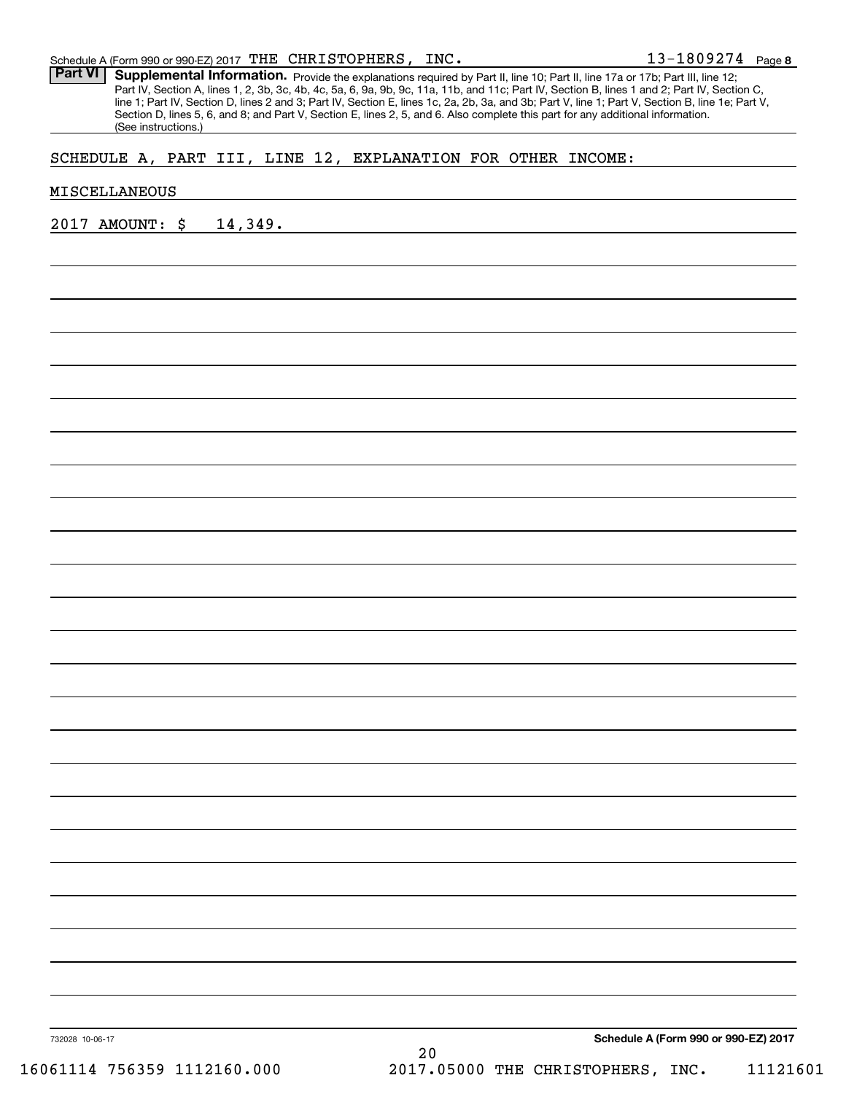Part VI | Supplemental Information. Provide the explanations required by Part II, line 10; Part II, line 17a or 17b; Part III, line 12; Part IV, Section A, lines 1, 2, 3b, 3c, 4b, 4c, 5a, 6, 9a, 9b, 9c, 11a, 11b, and 11c; Part IV, Section B, lines 1 and 2; Part IV, Section C, line 1; Part IV, Section D, lines 2 and 3; Part IV, Section E, lines 1c, 2a, 2b, 3a, and 3b; Part V, line 1; Part V, Section B, line 1e; Part V, Section D, lines 5, 6, and 8; and Part V, Section E, lines 2, 5, and 6. Also complete this part for any additional information. (See instructions.)

#### SCHEDULE A, PART III, LINE 12, EXPLANATION FOR OTHER INCOME:

#### MISCELLANEOUS

2017 AMOUNT: \$ 14,349.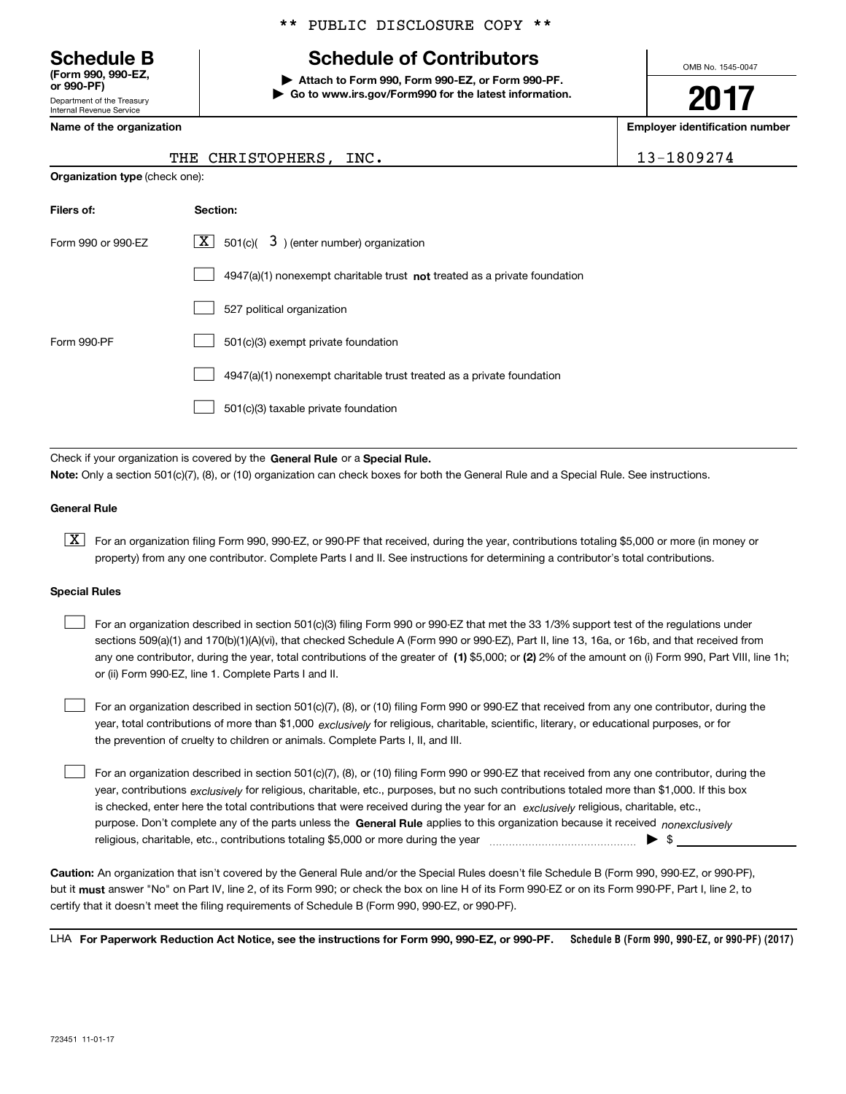Department of the Treasury **(Form 990, 990-EZ, or 990-PF)**

Internal Revenue Service

**Organization type** (check one):

#### \*\* PUBLIC DISCLOSURE COPY \*\*

# **Schedule B Schedule of Contributors**

**| Attach to Form 990, Form 990-EZ, or Form 990-PF.**

THE CHRISTOPHERS, INC.  $\vert$  1

**| Go to www.irs.gov/Form990 for the latest information.**

OMB No. 1545-0047

**2017**

**Name of the organization Employer identification number**

|  |  | 3-1809274 |  |
|--|--|-----------|--|
|--|--|-----------|--|

| Filers of:         | Section:                                                                           |
|--------------------|------------------------------------------------------------------------------------|
| Form 990 or 990-EZ | $ \mathbf{X} $ 501(c)( 3) (enter number) organization                              |
|                    | $4947(a)(1)$ nonexempt charitable trust <b>not</b> treated as a private foundation |
|                    | 527 political organization                                                         |
| Form 990-PF        | 501(c)(3) exempt private foundation                                                |
|                    | 4947(a)(1) nonexempt charitable trust treated as a private foundation              |
|                    | 501(c)(3) taxable private foundation                                               |
|                    |                                                                                    |

Check if your organization is covered by the **General Rule** or a **Special Rule. Note:**  Only a section 501(c)(7), (8), or (10) organization can check boxes for both the General Rule and a Special Rule. See instructions.

#### **General Rule**

 $\boxed{\textbf{X}}$  For an organization filing Form 990, 990-EZ, or 990-PF that received, during the year, contributions totaling \$5,000 or more (in money or property) from any one contributor. Complete Parts I and II. See instructions for determining a contributor's total contributions.

#### **Special Rules**

 $\mathcal{L}^{\text{max}}$ 

any one contributor, during the year, total contributions of the greater of  $\,$  (1) \$5,000; or **(2)** 2% of the amount on (i) Form 990, Part VIII, line 1h; For an organization described in section 501(c)(3) filing Form 990 or 990-EZ that met the 33 1/3% support test of the regulations under sections 509(a)(1) and 170(b)(1)(A)(vi), that checked Schedule A (Form 990 or 990-EZ), Part II, line 13, 16a, or 16b, and that received from or (ii) Form 990-EZ, line 1. Complete Parts I and II.  $\mathcal{L}^{\text{max}}$ 

year, total contributions of more than \$1,000 *exclusively* for religious, charitable, scientific, literary, or educational purposes, or for For an organization described in section 501(c)(7), (8), or (10) filing Form 990 or 990-EZ that received from any one contributor, during the the prevention of cruelty to children or animals. Complete Parts I, II, and III.  $\mathcal{L}^{\text{max}}$ 

purpose. Don't complete any of the parts unless the **General Rule** applies to this organization because it received *nonexclusively* year, contributions <sub>exclusively</sub> for religious, charitable, etc., purposes, but no such contributions totaled more than \$1,000. If this box is checked, enter here the total contributions that were received during the year for an  $\;$ exclusively religious, charitable, etc., For an organization described in section 501(c)(7), (8), or (10) filing Form 990 or 990-EZ that received from any one contributor, during the religious, charitable, etc., contributions totaling \$5,000 or more during the year  $\Box$ — $\Box$   $\Box$ 

**Caution:**  An organization that isn't covered by the General Rule and/or the Special Rules doesn't file Schedule B (Form 990, 990-EZ, or 990-PF),  **must** but it answer "No" on Part IV, line 2, of its Form 990; or check the box on line H of its Form 990-EZ or on its Form 990-PF, Part I, line 2, to certify that it doesn't meet the filing requirements of Schedule B (Form 990, 990-EZ, or 990-PF).

**Schedule B (Form 990, 990-EZ, or 990-PF) (2017) For Paperwork Reduction Act Notice, see the instructions for Form 990, 990-EZ, or 990-PF.** LHA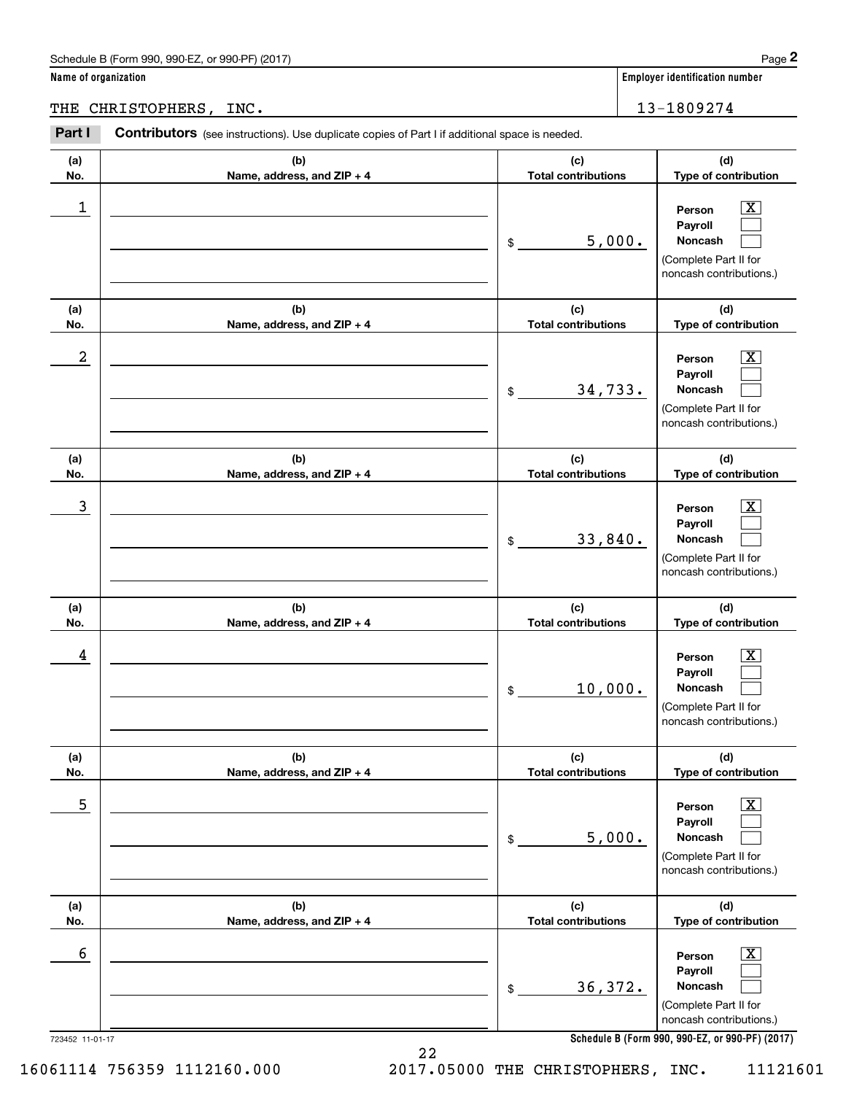|                      | Schedule B (Form 990, 990-EZ, or 990-PF) (2017)                                                |                                   |                                       | Page 2                                                                                                      |
|----------------------|------------------------------------------------------------------------------------------------|-----------------------------------|---------------------------------------|-------------------------------------------------------------------------------------------------------------|
| Name of organization |                                                                                                |                                   | <b>Employer identification number</b> |                                                                                                             |
| THE                  | CHRISTOPHERS, INC.                                                                             |                                   | 13-1809274                            |                                                                                                             |
| Part I               | Contributors (see instructions). Use duplicate copies of Part I if additional space is needed. |                                   |                                       |                                                                                                             |
| (a)<br>No.           | (b)<br>Name, address, and ZIP + 4                                                              | (c)<br><b>Total contributions</b> |                                       | (d)<br>Type of contribution                                                                                 |
| 1                    |                                                                                                | \$                                | 5,000.                                | $\overline{\mathbf{X}}$<br>Person<br>Payroll<br>Noncash<br>(Complete Part II for<br>noncash contributions.) |
| (a)<br>No.           | (b)<br>Name, address, and ZIP + 4                                                              | (c)<br><b>Total contributions</b> |                                       | (d)<br>Type of contribution                                                                                 |
| 2                    |                                                                                                | 34,733.<br>\$                     |                                       | $\overline{\mathbf{X}}$<br>Person<br>Payroll<br>Noncash<br>(Complete Part II for<br>noncash contributions.) |
| (a)<br>No.           | (b)<br>Name, address, and ZIP + 4                                                              | (c)<br><b>Total contributions</b> |                                       | (d)<br>Type of contribution                                                                                 |
| 3                    |                                                                                                | 33,840.<br>\$                     |                                       | $\overline{\mathbf{X}}$<br>Person<br>Payroll<br>Noncash<br>(Complete Part II for<br>noncash contributions.) |
| (a)<br>No.           | (b)<br>Name, address, and ZIP + 4                                                              | (c)<br><b>Total contributions</b> |                                       | (d)<br>Type of contribution                                                                                 |
| 4                    |                                                                                                | 10,000.<br>\$                     |                                       | $\mathbf{X}$<br>Person<br>Payroll<br>Noncash<br>(Complete Part II for<br>noncash contributions.)            |
| (a)<br>No.           | (b)<br>Name, address, and ZIP + 4                                                              | (c)<br><b>Total contributions</b> |                                       | (d)<br>Type of contribution                                                                                 |
| 5                    |                                                                                                | \$                                | 5,000.                                | $\boxed{\text{X}}$<br>Person<br>Payroll<br>Noncash<br>(Complete Part II for<br>noncash contributions.)      |
| (a)<br>No.           | (b)<br>Name, address, and ZIP + 4                                                              | (c)<br><b>Total contributions</b> |                                       | (d)<br>Type of contribution                                                                                 |
| 6                    |                                                                                                | 36,372.<br>\$                     |                                       | $\boxed{\text{X}}$<br>Person<br>Payroll<br>Noncash<br>(Complete Part II for<br>noncash contributions.)      |
| 723452 11-01-17      |                                                                                                |                                   |                                       | Schedule B (Form 990, 990-EZ, or 990-PF) (2017)                                                             |

22

16061114 756359 1112160.000 2017.05000 THE CHRISTOPHERS, INC. 11121601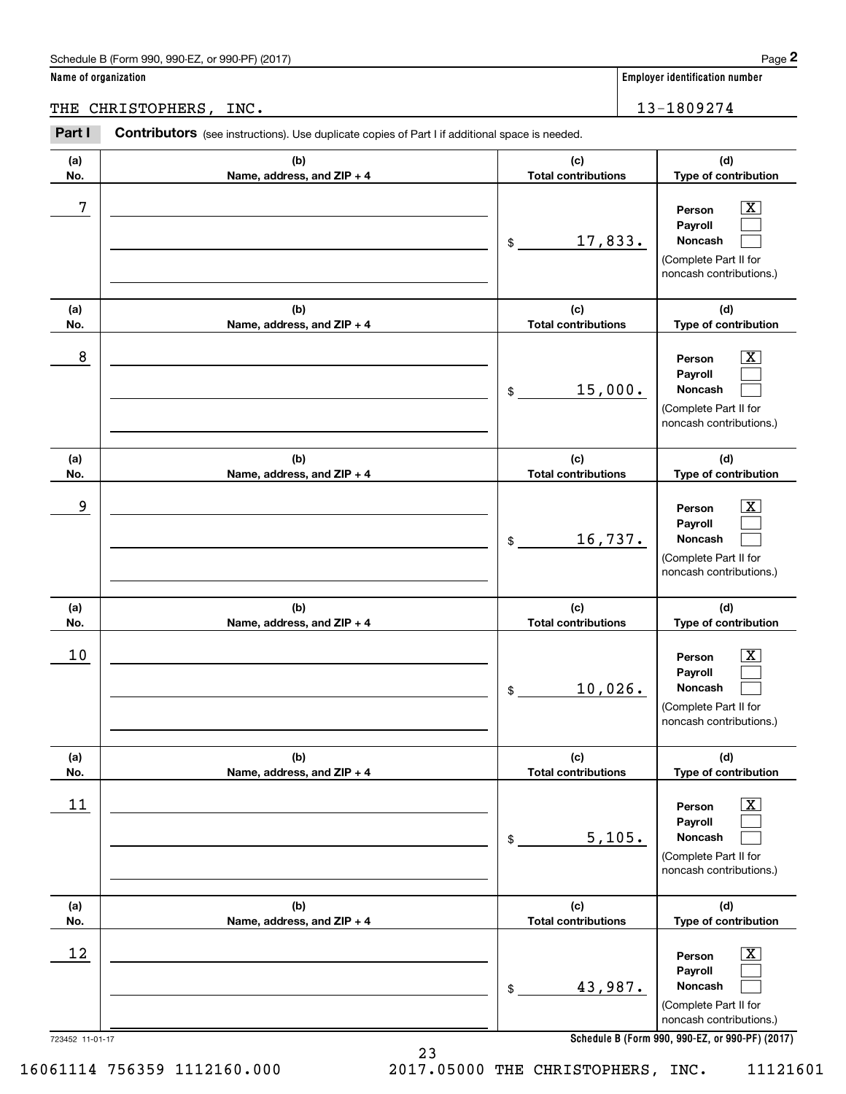|                      | Schedule B (Form 990, 990-EZ, or 990-PF) (2017)                                                |                                   |                                       | Page 2                                                                                                             |
|----------------------|------------------------------------------------------------------------------------------------|-----------------------------------|---------------------------------------|--------------------------------------------------------------------------------------------------------------------|
| Name of organization |                                                                                                |                                   | <b>Employer identification number</b> |                                                                                                                    |
| THE                  | CHRISTOPHERS, INC.                                                                             |                                   | 13-1809274                            |                                                                                                                    |
| Part I               | Contributors (see instructions). Use duplicate copies of Part I if additional space is needed. |                                   |                                       |                                                                                                                    |
| (a)<br>No.           | (b)<br>Name, address, and ZIP + 4                                                              | (c)<br><b>Total contributions</b> |                                       | (d)<br>Type of contribution                                                                                        |
| 7                    |                                                                                                | 17,833.<br>\$                     |                                       | $\overline{\mathbf{X}}$<br>Person<br>Payroll<br><b>Noncash</b><br>(Complete Part II for<br>noncash contributions.) |
| (a)<br>No.           | (b)<br>Name, address, and ZIP + 4                                                              | (c)<br><b>Total contributions</b> |                                       | (d)<br>Type of contribution                                                                                        |
| 8                    |                                                                                                | 15,000.<br>\$                     |                                       | $\overline{\mathbf{X}}$<br>Person<br>Payroll<br>Noncash<br>(Complete Part II for<br>noncash contributions.)        |
| (a)<br>No.           | (b)<br>Name, address, and ZIP + 4                                                              | (c)<br><b>Total contributions</b> |                                       | (d)<br>Type of contribution                                                                                        |
| 9                    |                                                                                                | 16,737.<br>\$                     |                                       | $\overline{\mathbf{X}}$<br>Person<br>Payroll<br>Noncash<br>(Complete Part II for<br>noncash contributions.)        |
| (a)<br>No.           | (b)<br>Name, address, and ZIP + 4                                                              | (c)<br><b>Total contributions</b> |                                       | (d)<br>Type of contribution                                                                                        |
| 10                   |                                                                                                | $10,026$ .<br>\$                  |                                       | $\mathbf{X}$<br>Person<br>Payroll<br>Noncash<br>(Complete Part II for<br>noncash contributions.)                   |
| (a)<br>No.           | (b)<br>Name, address, and ZIP + 4                                                              | (c)<br><b>Total contributions</b> |                                       | (d)<br>Type of contribution                                                                                        |
| 11                   |                                                                                                | \$                                | 5,105.                                | $\boxed{\text{X}}$<br>Person<br>Payroll<br>Noncash<br>(Complete Part II for<br>noncash contributions.)             |
| (a)<br>No.           | (b)<br>Name, address, and ZIP + 4                                                              | (c)<br><b>Total contributions</b> |                                       | (d)<br>Type of contribution                                                                                        |
| 12                   |                                                                                                | 43,987.<br>\$                     |                                       | $\boxed{\text{X}}$<br>Person<br>Payroll<br>Noncash<br>(Complete Part II for<br>noncash contributions.)             |
| 723452 11-01-17      |                                                                                                |                                   |                                       | Schedule B (Form 990, 990-EZ, or 990-PF) (2017)                                                                    |

16061114 756359 1112160.000 2017.05000 THE CHRISTOPHERS, INC. 11121601

23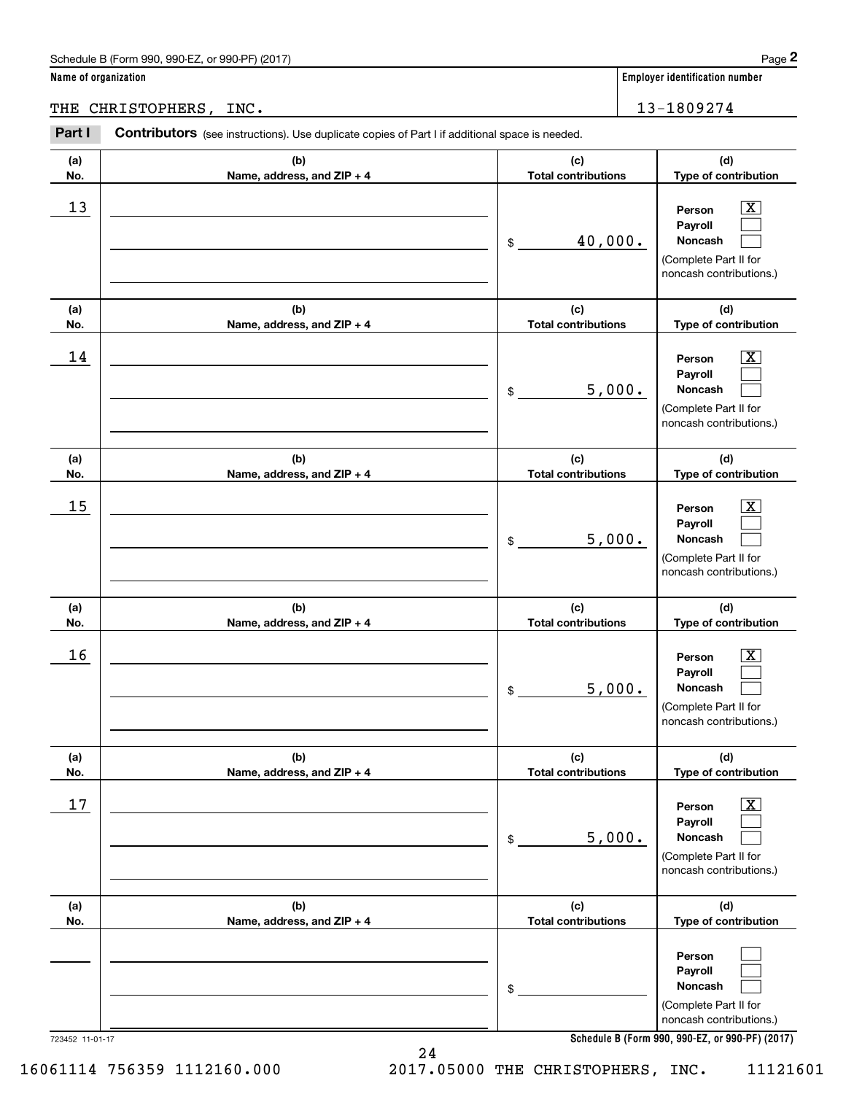| , G <i>A</i> LLOIUTADAD AI | . TIME. |
|----------------------------|---------|
|                            |         |
|                            |         |
|                            |         |

|                     | chedule B (Form 990, 990-EZ, or 990-PF) (2017)                                                 |                                   | Page 2                                                                                                      |
|---------------------|------------------------------------------------------------------------------------------------|-----------------------------------|-------------------------------------------------------------------------------------------------------------|
| ame of organization |                                                                                                |                                   | Employer identification number                                                                              |
|                     | HE CHRISTOPHERS,<br>INC.                                                                       |                                   | 13-1809274                                                                                                  |
| Part I              | Contributors (see instructions). Use duplicate copies of Part I if additional space is needed. |                                   |                                                                                                             |
| (a)<br>No.          | (b)<br>Name, address, and ZIP + 4                                                              | (c)<br><b>Total contributions</b> | (d)<br>Type of contribution                                                                                 |
| 13                  |                                                                                                | 40,000.<br>\$                     | $\overline{\text{X}}$<br>Person<br>Payroll<br>Noncash<br>(Complete Part II for<br>noncash contributions.)   |
| (a)<br>No.          | (b)<br>Name, address, and ZIP + 4                                                              | (c)<br><b>Total contributions</b> | (d)<br>Type of contribution                                                                                 |
| 14                  |                                                                                                | 5,000.<br>\$                      | $\overline{\text{X}}$<br>Person<br>Payroll<br>Noncash<br>(Complete Part II for<br>noncash contributions.)   |
| (a)<br>No.          | (b)<br>Name, address, and ZIP + 4                                                              | (c)<br><b>Total contributions</b> | (d)<br>Type of contribution                                                                                 |
| 15                  |                                                                                                | 5,000.<br>\$                      | $\overline{\text{X}}$<br>Person<br>Payroll<br>Noncash<br>(Complete Part II for<br>noncash contributions.)   |
| (a)<br>No.          | (b)<br>Name, address, and ZIP + 4                                                              | (c)<br><b>Total contributions</b> | (d)<br>Type of contribution                                                                                 |
| 16                  |                                                                                                | 5,000.<br>\$                      | $\mathbf{X}$<br>Person<br><b>Payroll</b><br>Noncash<br>(Complete Part II for<br>noncash contributions.)     |
| (a)<br>No.          | (b)<br>Name, address, and ZIP + 4                                                              | (c)<br><b>Total contributions</b> | (d)<br>Type of contribution                                                                                 |
| 17                  |                                                                                                | 5,000.<br>\$                      | $\overline{\mathbf{X}}$<br>Person<br>Payroll<br>Noncash<br>(Complete Part II for<br>noncash contributions.) |
| (a)<br>No.          | (b)<br>Name, address, and ZIP + 4                                                              | (c)<br><b>Total contributions</b> | (d)<br>Type of contribution                                                                                 |
|                     |                                                                                                | \$                                | Person<br>Payroll<br>Noncash<br>(Complete Part II for                                                       |

**Schedule B (Form 990, 990-EZ, or 990-PF) (2017)**

noncash contributions.)

24

723452 11-01-17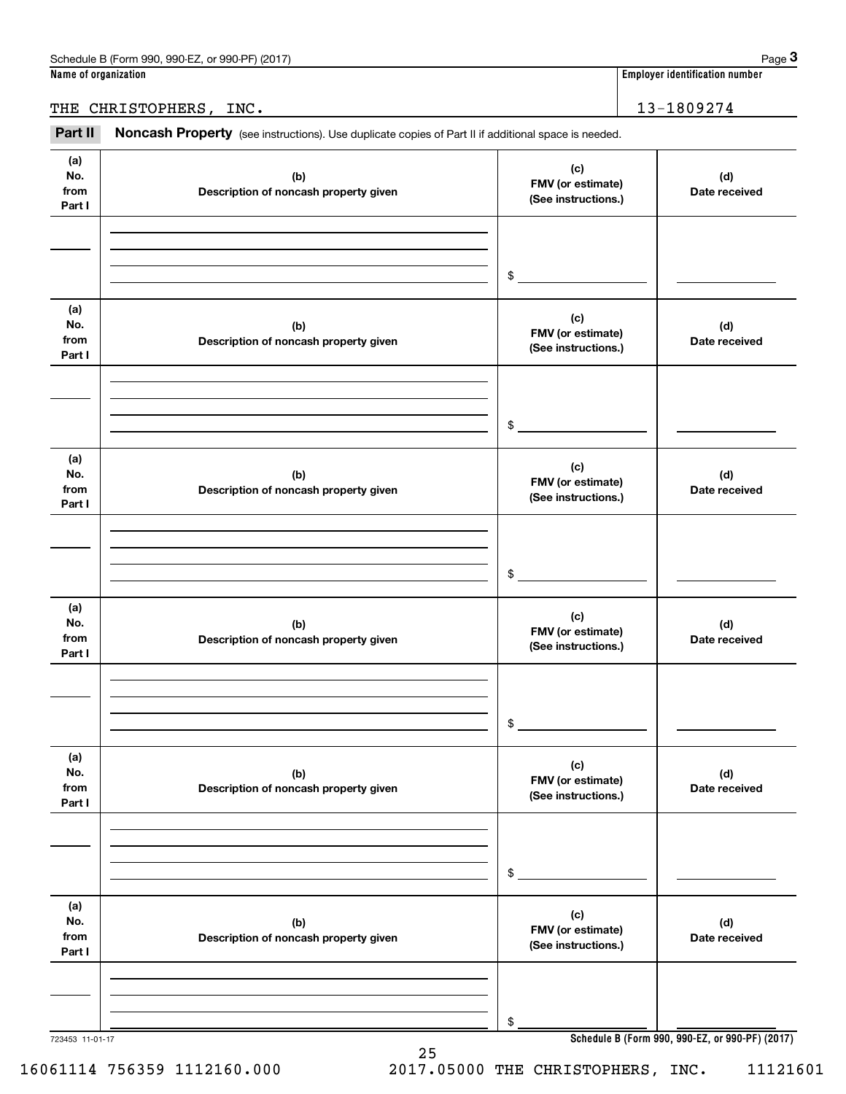#### THE CHRISTOPHERS, INC. 13-1809274

Employer identification number<br>
The CHRISTOPHERS, INC.<br> **Part II Noncash Property** (see instructions). Use duplicate copies of Part II if additional space is needed.<br> **Part II Noncash Property** (see instructions). Use

| (a)                                                                          |                                                 |                                                 |
|------------------------------------------------------------------------------|-------------------------------------------------|-------------------------------------------------|
| No.<br>(b)<br>from<br>Description of noncash property given<br>Part I        | (c)<br>FMV (or estimate)<br>(See instructions.) | (d)<br>Date received                            |
|                                                                              | $\mathfrak s$                                   |                                                 |
| (a)<br>No.<br>(b)<br>from<br>Description of noncash property given<br>Part I | (c)<br>FMV (or estimate)<br>(See instructions.) | (d)<br>Date received                            |
|                                                                              | $\mathfrak{S}$                                  |                                                 |
| (a)<br>No.<br>(b)<br>from<br>Description of noncash property given<br>Part I | (c)<br>FMV (or estimate)<br>(See instructions.) | (d)<br>Date received                            |
|                                                                              | $\mathfrak{S}$                                  |                                                 |
| (a)<br>No.<br>(b)<br>from<br>Description of noncash property given<br>Part I | (c)<br>FMV (or estimate)<br>(See instructions.) | (d)<br>Date received                            |
| \$                                                                           |                                                 |                                                 |
| (a)<br>No.<br>(b)<br>from<br>Description of noncash property given<br>Part I | (c)<br>FMV (or estimate)<br>(See instructions.) | (d)<br>Date received                            |
| \$                                                                           |                                                 |                                                 |
| (a)<br>No.<br>(b)<br>from<br>Description of noncash property given<br>Part I | (c)<br>FMV (or estimate)<br>(See instructions.) | (d)<br>Date received                            |
| \$<br>723453 11-01-17                                                        |                                                 | Schedule B (Form 990, 990-EZ, or 990-PF) (2017) |

16061114 756359 1112160.000 2017.05000 THE CHRISTOPHERS, INC. 11121601

**Schedule B (Form 990, 990-EZ, or 990-PF) (2017)**

25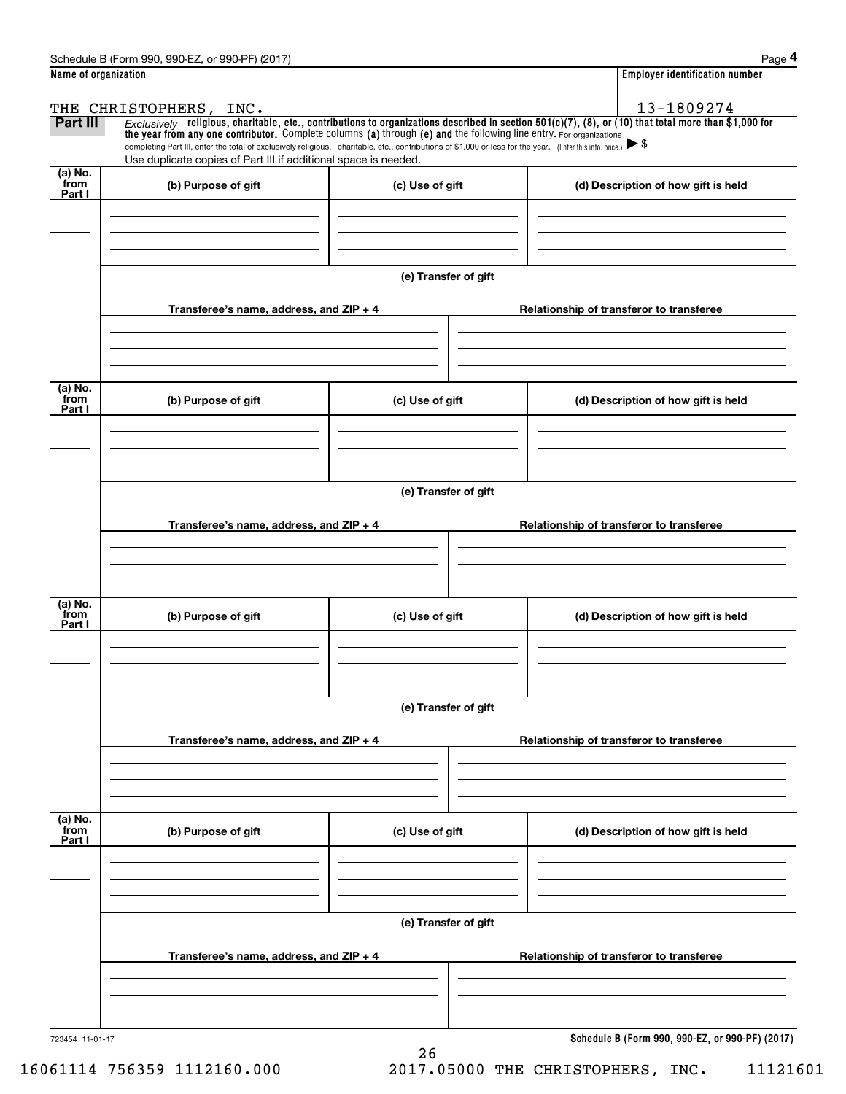|                      | Page 4<br><b>Employer identification number</b>                                                                                                                                                                                                                                                                                                                                                                                                                                                                                                                                                               |  |  |  |  |  |
|----------------------|---------------------------------------------------------------------------------------------------------------------------------------------------------------------------------------------------------------------------------------------------------------------------------------------------------------------------------------------------------------------------------------------------------------------------------------------------------------------------------------------------------------------------------------------------------------------------------------------------------------|--|--|--|--|--|
| Name of organization |                                                                                                                                                                                                                                                                                                                                                                                                                                                                                                                                                                                                               |  |  |  |  |  |
|                      | 13-1809274                                                                                                                                                                                                                                                                                                                                                                                                                                                                                                                                                                                                    |  |  |  |  |  |
|                      | $Exclusively$ religious, charitable, etc., contributions to organizations described in section 501(c)(7), (8), or (10) that total more than \$1,000 for                                                                                                                                                                                                                                                                                                                                                                                                                                                       |  |  |  |  |  |
|                      |                                                                                                                                                                                                                                                                                                                                                                                                                                                                                                                                                                                                               |  |  |  |  |  |
|                      |                                                                                                                                                                                                                                                                                                                                                                                                                                                                                                                                                                                                               |  |  |  |  |  |
|                      | (d) Description of how gift is held                                                                                                                                                                                                                                                                                                                                                                                                                                                                                                                                                                           |  |  |  |  |  |
|                      |                                                                                                                                                                                                                                                                                                                                                                                                                                                                                                                                                                                                               |  |  |  |  |  |
|                      |                                                                                                                                                                                                                                                                                                                                                                                                                                                                                                                                                                                                               |  |  |  |  |  |
|                      |                                                                                                                                                                                                                                                                                                                                                                                                                                                                                                                                                                                                               |  |  |  |  |  |
|                      |                                                                                                                                                                                                                                                                                                                                                                                                                                                                                                                                                                                                               |  |  |  |  |  |
|                      | Relationship of transferor to transferee                                                                                                                                                                                                                                                                                                                                                                                                                                                                                                                                                                      |  |  |  |  |  |
|                      |                                                                                                                                                                                                                                                                                                                                                                                                                                                                                                                                                                                                               |  |  |  |  |  |
|                      |                                                                                                                                                                                                                                                                                                                                                                                                                                                                                                                                                                                                               |  |  |  |  |  |
|                      |                                                                                                                                                                                                                                                                                                                                                                                                                                                                                                                                                                                                               |  |  |  |  |  |
| (c) Use of gift      | (d) Description of how gift is held                                                                                                                                                                                                                                                                                                                                                                                                                                                                                                                                                                           |  |  |  |  |  |
|                      |                                                                                                                                                                                                                                                                                                                                                                                                                                                                                                                                                                                                               |  |  |  |  |  |
|                      |                                                                                                                                                                                                                                                                                                                                                                                                                                                                                                                                                                                                               |  |  |  |  |  |
|                      |                                                                                                                                                                                                                                                                                                                                                                                                                                                                                                                                                                                                               |  |  |  |  |  |
| (e) Transfer of gift |                                                                                                                                                                                                                                                                                                                                                                                                                                                                                                                                                                                                               |  |  |  |  |  |
|                      | Relationship of transferor to transferee                                                                                                                                                                                                                                                                                                                                                                                                                                                                                                                                                                      |  |  |  |  |  |
|                      |                                                                                                                                                                                                                                                                                                                                                                                                                                                                                                                                                                                                               |  |  |  |  |  |
|                      |                                                                                                                                                                                                                                                                                                                                                                                                                                                                                                                                                                                                               |  |  |  |  |  |
|                      |                                                                                                                                                                                                                                                                                                                                                                                                                                                                                                                                                                                                               |  |  |  |  |  |
| (c) Use of gift      | (d) Description of how gift is held                                                                                                                                                                                                                                                                                                                                                                                                                                                                                                                                                                           |  |  |  |  |  |
|                      |                                                                                                                                                                                                                                                                                                                                                                                                                                                                                                                                                                                                               |  |  |  |  |  |
|                      |                                                                                                                                                                                                                                                                                                                                                                                                                                                                                                                                                                                                               |  |  |  |  |  |
|                      |                                                                                                                                                                                                                                                                                                                                                                                                                                                                                                                                                                                                               |  |  |  |  |  |
|                      |                                                                                                                                                                                                                                                                                                                                                                                                                                                                                                                                                                                                               |  |  |  |  |  |
|                      | Relationship of transferor to transferee                                                                                                                                                                                                                                                                                                                                                                                                                                                                                                                                                                      |  |  |  |  |  |
|                      |                                                                                                                                                                                                                                                                                                                                                                                                                                                                                                                                                                                                               |  |  |  |  |  |
|                      |                                                                                                                                                                                                                                                                                                                                                                                                                                                                                                                                                                                                               |  |  |  |  |  |
|                      |                                                                                                                                                                                                                                                                                                                                                                                                                                                                                                                                                                                                               |  |  |  |  |  |
| (c) Use of gift      | (d) Description of how gift is held                                                                                                                                                                                                                                                                                                                                                                                                                                                                                                                                                                           |  |  |  |  |  |
|                      |                                                                                                                                                                                                                                                                                                                                                                                                                                                                                                                                                                                                               |  |  |  |  |  |
|                      |                                                                                                                                                                                                                                                                                                                                                                                                                                                                                                                                                                                                               |  |  |  |  |  |
|                      |                                                                                                                                                                                                                                                                                                                                                                                                                                                                                                                                                                                                               |  |  |  |  |  |
| (e) Transfer of gift |                                                                                                                                                                                                                                                                                                                                                                                                                                                                                                                                                                                                               |  |  |  |  |  |
|                      | Relationship of transferor to transferee                                                                                                                                                                                                                                                                                                                                                                                                                                                                                                                                                                      |  |  |  |  |  |
|                      |                                                                                                                                                                                                                                                                                                                                                                                                                                                                                                                                                                                                               |  |  |  |  |  |
|                      |                                                                                                                                                                                                                                                                                                                                                                                                                                                                                                                                                                                                               |  |  |  |  |  |
|                      |                                                                                                                                                                                                                                                                                                                                                                                                                                                                                                                                                                                                               |  |  |  |  |  |
|                      | Schedule B (Form 990, 990-EZ, or 990-PF) (2017)                                                                                                                                                                                                                                                                                                                                                                                                                                                                                                                                                               |  |  |  |  |  |
|                      | the year from any one contributor. Complete columns (a) through (e) and the following line entry. For organizations<br>completing Part III, enter the total of exclusively religious, charitable, etc., contributions of \$1,000 or less for the year. (Enter this info. once.)<br>Use duplicate copies of Part III if additional space is needed.<br>(c) Use of gift<br>(e) Transfer of gift<br>Transferee's name, address, and $ZIP + 4$<br>Transferee's name, address, and $ZIP + 4$<br>(e) Transfer of gift<br>Transferee's name, address, and ZIP + 4<br>Transferee's name, address, and $ZIP + 4$<br>26 |  |  |  |  |  |

16061114 756359 1112160.000 2017.05000 THE CHRISTOPHERS, INC. 11121601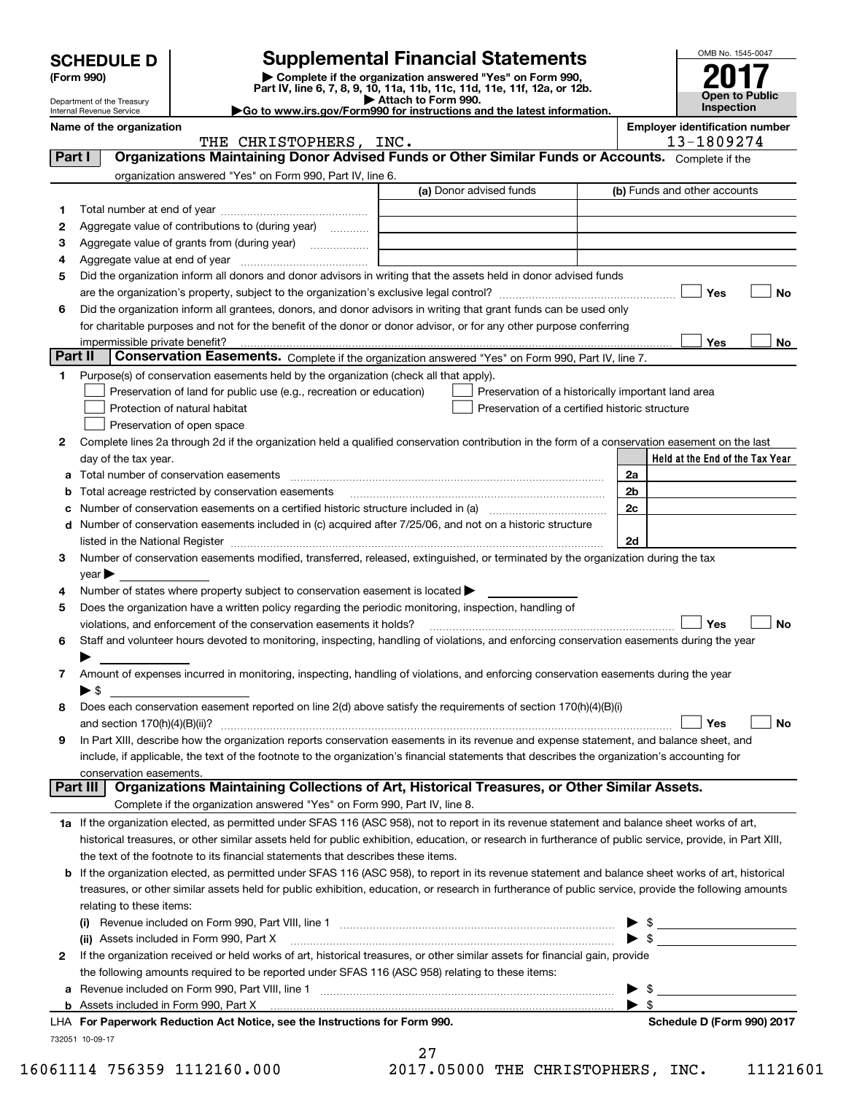|         | <b>SCHEDULE D</b>                                      |                                                                                                                                                                                                                                                                                                                                                                   |                     | <b>Supplemental Financial Statements</b>           |                         | OMB No. 1545-0047                     |
|---------|--------------------------------------------------------|-------------------------------------------------------------------------------------------------------------------------------------------------------------------------------------------------------------------------------------------------------------------------------------------------------------------------------------------------------------------|---------------------|----------------------------------------------------|-------------------------|---------------------------------------|
|         | (Form 990)                                             |                                                                                                                                                                                                                                                                                                                                                                   |                     |                                                    |                         |                                       |
|         |                                                        | Complete if the organization answered "Yes" on Form 990,<br>Part IV, line 6, 7, 8, 9, 10, 11a, 11b, 11c, 11d, 11e, 11f, 12a, or 12b.                                                                                                                                                                                                                              | Attach to Form 990. |                                                    |                         | <b>Open to Public</b>                 |
|         | Department of the Treasury<br>Internal Revenue Service | <b>Inspection</b>                                                                                                                                                                                                                                                                                                                                                 |                     |                                                    |                         |                                       |
|         | Name of the organization                               |                                                                                                                                                                                                                                                                                                                                                                   |                     |                                                    |                         | <b>Employer identification number</b> |
| Part I  |                                                        | THE CHRISTOPHERS, INC.<br>Organizations Maintaining Donor Advised Funds or Other Similar Funds or Accounts. Complete if the                                                                                                                                                                                                                                       |                     |                                                    |                         | 13-1809274                            |
|         |                                                        | organization answered "Yes" on Form 990, Part IV, line 6.                                                                                                                                                                                                                                                                                                         |                     |                                                    |                         |                                       |
|         |                                                        |                                                                                                                                                                                                                                                                                                                                                                   |                     | (a) Donor advised funds                            |                         | (b) Funds and other accounts          |
| 1       |                                                        |                                                                                                                                                                                                                                                                                                                                                                   |                     |                                                    |                         |                                       |
| 2       |                                                        | Aggregate value of contributions to (during year)                                                                                                                                                                                                                                                                                                                 |                     |                                                    |                         |                                       |
| з       |                                                        |                                                                                                                                                                                                                                                                                                                                                                   |                     |                                                    |                         |                                       |
| 4       |                                                        |                                                                                                                                                                                                                                                                                                                                                                   |                     |                                                    |                         |                                       |
| 5       |                                                        | Did the organization inform all donors and donor advisors in writing that the assets held in donor advised funds                                                                                                                                                                                                                                                  |                     |                                                    |                         |                                       |
|         |                                                        |                                                                                                                                                                                                                                                                                                                                                                   |                     |                                                    |                         | Yes<br>No                             |
| 6       |                                                        | Did the organization inform all grantees, donors, and donor advisors in writing that grant funds can be used only                                                                                                                                                                                                                                                 |                     |                                                    |                         |                                       |
|         |                                                        | for charitable purposes and not for the benefit of the donor or donor advisor, or for any other purpose conferring                                                                                                                                                                                                                                                |                     |                                                    |                         |                                       |
| Part II | impermissible private benefit?                         | Conservation Easements. Complete if the organization answered "Yes" on Form 990, Part IV, line 7.                                                                                                                                                                                                                                                                 |                     |                                                    |                         | Yes<br>No                             |
| 1       |                                                        | Purpose(s) of conservation easements held by the organization (check all that apply).                                                                                                                                                                                                                                                                             |                     |                                                    |                         |                                       |
|         |                                                        | Preservation of land for public use (e.g., recreation or education)                                                                                                                                                                                                                                                                                               |                     | Preservation of a historically important land area |                         |                                       |
|         |                                                        | Protection of natural habitat                                                                                                                                                                                                                                                                                                                                     |                     | Preservation of a certified historic structure     |                         |                                       |
|         |                                                        | Preservation of open space                                                                                                                                                                                                                                                                                                                                        |                     |                                                    |                         |                                       |
| 2       |                                                        | Complete lines 2a through 2d if the organization held a qualified conservation contribution in the form of a conservation easement on the last                                                                                                                                                                                                                    |                     |                                                    |                         |                                       |
|         | day of the tax year.                                   |                                                                                                                                                                                                                                                                                                                                                                   |                     |                                                    |                         | Held at the End of the Tax Year       |
| а       |                                                        |                                                                                                                                                                                                                                                                                                                                                                   |                     |                                                    | 2a                      |                                       |
| b       |                                                        | Total acreage restricted by conservation easements                                                                                                                                                                                                                                                                                                                |                     |                                                    | 2b                      |                                       |
| c       |                                                        | Number of conservation easements on a certified historic structure included in (a) manufacture included in (a)                                                                                                                                                                                                                                                    |                     |                                                    | 2c                      |                                       |
| d       |                                                        | Number of conservation easements included in (c) acquired after 7/25/06, and not on a historic structure                                                                                                                                                                                                                                                          |                     |                                                    |                         |                                       |
| з       |                                                        | listed in the National Register [11, 1200] [12] The National Register [11, 1200] [12] The National Register [11, 1200] [12] The National Register [11, 1200] [12] The National Register [11, 1200] [12] The National Register<br>Number of conservation easements modified, transferred, released, extinguished, or terminated by the organization during the tax |                     |                                                    | 2d                      |                                       |
|         | $\vee$ ear                                             |                                                                                                                                                                                                                                                                                                                                                                   |                     |                                                    |                         |                                       |
| 4       |                                                        | Number of states where property subject to conservation easement is located $\blacktriangleright$                                                                                                                                                                                                                                                                 |                     |                                                    |                         |                                       |
| 5       |                                                        | Does the organization have a written policy regarding the periodic monitoring, inspection, handling of                                                                                                                                                                                                                                                            |                     |                                                    |                         |                                       |
|         |                                                        | violations, and enforcement of the conservation easements it holds?                                                                                                                                                                                                                                                                                               |                     |                                                    |                         | Yes<br>No                             |
| 6       |                                                        | Staff and volunteer hours devoted to monitoring, inspecting, handling of violations, and enforcing conservation easements during the year                                                                                                                                                                                                                         |                     |                                                    |                         |                                       |
|         |                                                        |                                                                                                                                                                                                                                                                                                                                                                   |                     |                                                    |                         |                                       |
| 7       |                                                        | Amount of expenses incurred in monitoring, inspecting, handling of violations, and enforcing conservation easements during the year                                                                                                                                                                                                                               |                     |                                                    |                         |                                       |
|         | ▶ \$                                                   |                                                                                                                                                                                                                                                                                                                                                                   |                     |                                                    |                         |                                       |
| 8       |                                                        | Does each conservation easement reported on line 2(d) above satisfy the requirements of section 170(h)(4)(B)(i)                                                                                                                                                                                                                                                   |                     |                                                    |                         |                                       |
|         |                                                        |                                                                                                                                                                                                                                                                                                                                                                   |                     |                                                    |                         | Yes<br><b>No</b>                      |
| 9       |                                                        | In Part XIII, describe how the organization reports conservation easements in its revenue and expense statement, and balance sheet, and<br>include, if applicable, the text of the footnote to the organization's financial statements that describes the organization's accounting for                                                                           |                     |                                                    |                         |                                       |
|         | conservation easements.                                |                                                                                                                                                                                                                                                                                                                                                                   |                     |                                                    |                         |                                       |
|         | Part III l                                             | Organizations Maintaining Collections of Art, Historical Treasures, or Other Similar Assets.                                                                                                                                                                                                                                                                      |                     |                                                    |                         |                                       |
|         |                                                        | Complete if the organization answered "Yes" on Form 990, Part IV, line 8.                                                                                                                                                                                                                                                                                         |                     |                                                    |                         |                                       |
|         |                                                        | 1a If the organization elected, as permitted under SFAS 116 (ASC 958), not to report in its revenue statement and balance sheet works of art,                                                                                                                                                                                                                     |                     |                                                    |                         |                                       |
|         |                                                        | historical treasures, or other similar assets held for public exhibition, education, or research in furtherance of public service, provide, in Part XIII,                                                                                                                                                                                                         |                     |                                                    |                         |                                       |
|         |                                                        | the text of the footnote to its financial statements that describes these items.                                                                                                                                                                                                                                                                                  |                     |                                                    |                         |                                       |
|         |                                                        | <b>b</b> If the organization elected, as permitted under SFAS 116 (ASC 958), to report in its revenue statement and balance sheet works of art, historical                                                                                                                                                                                                        |                     |                                                    |                         |                                       |
|         |                                                        | treasures, or other similar assets held for public exhibition, education, or research in furtherance of public service, provide the following amounts                                                                                                                                                                                                             |                     |                                                    |                         |                                       |
|         | relating to these items:                               |                                                                                                                                                                                                                                                                                                                                                                   |                     |                                                    |                         |                                       |
|         |                                                        |                                                                                                                                                                                                                                                                                                                                                                   |                     |                                                    |                         |                                       |
|         |                                                        | (ii) Assets included in Form 990, Part X                                                                                                                                                                                                                                                                                                                          |                     |                                                    |                         |                                       |
| 2       |                                                        | If the organization received or held works of art, historical treasures, or other similar assets for financial gain, provide                                                                                                                                                                                                                                      |                     |                                                    |                         |                                       |
|         |                                                        | the following amounts required to be reported under SFAS 116 (ASC 958) relating to these items:                                                                                                                                                                                                                                                                   |                     |                                                    |                         |                                       |
| а       |                                                        | Revenue included on Form 990, Part VIII, line 1 [2000] [2000] [2000] [2000] [2000] [2000] [2000] [2000] [2000                                                                                                                                                                                                                                                     |                     |                                                    | $\blacktriangleright$ s |                                       |
|         |                                                        | LHA For Paperwork Reduction Act Notice, see the Instructions for Form 990.                                                                                                                                                                                                                                                                                        |                     |                                                    |                         | Schedule D (Form 990) 2017            |
|         | 732051 10-09-17                                        |                                                                                                                                                                                                                                                                                                                                                                   |                     |                                                    |                         |                                       |
|         |                                                        |                                                                                                                                                                                                                                                                                                                                                                   | 27                  |                                                    |                         |                                       |

| 16061114 756359 1112160.00 |  |  |  |  |
|----------------------------|--|--|--|--|
|----------------------------|--|--|--|--|

| 017.05000 |  |  |  |  |
|-----------|--|--|--|--|

160611112 16061 1112 1606 1112 1600 1112 1600 1112 1601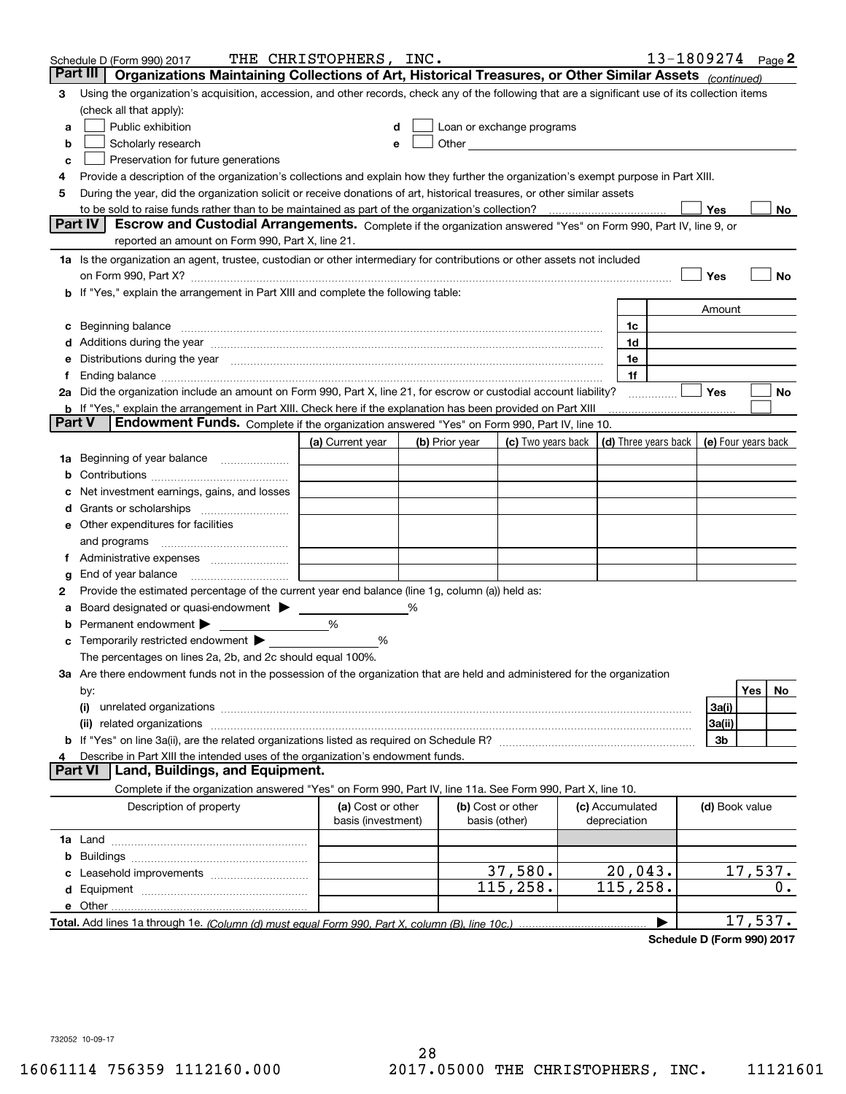| Organizations Maintaining Collections of Art, Historical Treasures, or Other Similar Assets (continued)<br>Part III<br>Using the organization's acquisition, accession, and other records, check any of the following that are a significant use of its collection items<br>3<br>(check all that apply):<br>Public exhibition<br>Loan or exchange programs<br>d<br>а<br>Other and the contract of the contract of the contract of the contract of the contract of the contract of the contract of the contract of the contract of the contract of the contract of the contract of the contract of the<br>Scholarly research<br>b<br>Preservation for future generations<br>с<br>Provide a description of the organization's collections and explain how they further the organization's exempt purpose in Part XIII.<br>4<br>During the year, did the organization solicit or receive donations of art, historical treasures, or other similar assets<br>5<br>to be sold to raise funds rather than to be maintained as part of the organization's collection?<br>Yes<br>Escrow and Custodial Arrangements. Complete if the organization answered "Yes" on Form 990, Part IV, line 9, or<br><b>Part IV</b><br>reported an amount on Form 990, Part X, line 21.<br>1a Is the organization an agent, trustee, custodian or other intermediary for contributions or other assets not included<br>Yes<br>on Form 990, Part X? [11] matter and the contract of the contract of the contract of the contract of the contract of the contract of the contract of the contract of the contract of the contract of the contract of the contr<br>b If "Yes," explain the arrangement in Part XIII and complete the following table:<br>Amount<br>c Beginning balance measurements and the contract of the contract of the contract of the contract of the contract of the contract of the contract of the contract of the contract of the contract of the contract of the contr<br>1c<br>1d<br>e Distributions during the year manufactured and continuum control of the control of the control of the state of the control of the control of the control of the control of the control of the control of the control of the<br>1e<br>1f<br>Yes<br>2a Did the organization include an amount on Form 990, Part X, line 21, for escrow or custodial account liability?<br><b>b</b> If "Yes," explain the arrangement in Part XIII. Check here if the explanation has been provided on Part XIII<br>Part V<br>Endowment Funds. Complete if the organization answered "Yes" on Form 990, Part IV, line 10.<br>(c) Two years back   (d) Three years back   (e) Four years back<br>(a) Current year<br>(b) Prior year<br>1a Beginning of year balance<br>b<br>Net investment earnings, gains, and losses<br>c<br>d Grants or scholarships<br>e Other expenditures for facilities<br>and programs<br>g<br>Provide the estimated percentage of the current year end balance (line 1g, column (a)) held as:<br>2<br>Board designated or quasi-endowment > ______<br>%<br>а<br>Permanent endowment<br>%<br>b<br><b>c</b> Temporarily restricted endowment $\blacktriangleright$<br>%<br>The percentages on lines 2a, 2b, and 2c should equal 100%.<br>3a Are there endowment funds not in the possession of the organization that are held and administered for the organization<br>Yes<br>No<br>by:<br>(i)<br>3a(i)<br>3a(ii)<br>3b<br>Describe in Part XIII the intended uses of the organization's endowment funds. |   | Schedule D (Form 990) 2017 | THE CHRISTOPHERS, INC. |  |  |  |  |  | 13-1809274 Page 2 |  |    |
|-----------------------------------------------------------------------------------------------------------------------------------------------------------------------------------------------------------------------------------------------------------------------------------------------------------------------------------------------------------------------------------------------------------------------------------------------------------------------------------------------------------------------------------------------------------------------------------------------------------------------------------------------------------------------------------------------------------------------------------------------------------------------------------------------------------------------------------------------------------------------------------------------------------------------------------------------------------------------------------------------------------------------------------------------------------------------------------------------------------------------------------------------------------------------------------------------------------------------------------------------------------------------------------------------------------------------------------------------------------------------------------------------------------------------------------------------------------------------------------------------------------------------------------------------------------------------------------------------------------------------------------------------------------------------------------------------------------------------------------------------------------------------------------------------------------------------------------------------------------------------------------------------------------------------------------------------------------------------------------------------------------------------------------------------------------------------------------------------------------------------------------------------------------------------------------------------------------------------------------------------------------------------------------------------------------------------------------------------------------------------------------------------------------------------------------------------------------------------------------------------------------------------------------------------------------------------------------------------------------------------------------------------------------------------------------------------------------------------------------------------------------------------------------------------------------------------------------------------------------------------------------------------------------------------------------------------------------------------------------------------------------------------------------------------------------------------------------------------------------------------------------------------------------------------------------------------------------------------------------------------------------------------------------------------------------------------------------------------------------------------------------------------------------------------------------------------------------------------------------------------------|---|----------------------------|------------------------|--|--|--|--|--|-------------------|--|----|
|                                                                                                                                                                                                                                                                                                                                                                                                                                                                                                                                                                                                                                                                                                                                                                                                                                                                                                                                                                                                                                                                                                                                                                                                                                                                                                                                                                                                                                                                                                                                                                                                                                                                                                                                                                                                                                                                                                                                                                                                                                                                                                                                                                                                                                                                                                                                                                                                                                                                                                                                                                                                                                                                                                                                                                                                                                                                                                                                                                                                                                                                                                                                                                                                                                                                                                                                                                                                                                                                                                     |   |                            |                        |  |  |  |  |  |                   |  |    |
|                                                                                                                                                                                                                                                                                                                                                                                                                                                                                                                                                                                                                                                                                                                                                                                                                                                                                                                                                                                                                                                                                                                                                                                                                                                                                                                                                                                                                                                                                                                                                                                                                                                                                                                                                                                                                                                                                                                                                                                                                                                                                                                                                                                                                                                                                                                                                                                                                                                                                                                                                                                                                                                                                                                                                                                                                                                                                                                                                                                                                                                                                                                                                                                                                                                                                                                                                                                                                                                                                                     |   |                            |                        |  |  |  |  |  |                   |  |    |
|                                                                                                                                                                                                                                                                                                                                                                                                                                                                                                                                                                                                                                                                                                                                                                                                                                                                                                                                                                                                                                                                                                                                                                                                                                                                                                                                                                                                                                                                                                                                                                                                                                                                                                                                                                                                                                                                                                                                                                                                                                                                                                                                                                                                                                                                                                                                                                                                                                                                                                                                                                                                                                                                                                                                                                                                                                                                                                                                                                                                                                                                                                                                                                                                                                                                                                                                                                                                                                                                                                     |   |                            |                        |  |  |  |  |  |                   |  |    |
|                                                                                                                                                                                                                                                                                                                                                                                                                                                                                                                                                                                                                                                                                                                                                                                                                                                                                                                                                                                                                                                                                                                                                                                                                                                                                                                                                                                                                                                                                                                                                                                                                                                                                                                                                                                                                                                                                                                                                                                                                                                                                                                                                                                                                                                                                                                                                                                                                                                                                                                                                                                                                                                                                                                                                                                                                                                                                                                                                                                                                                                                                                                                                                                                                                                                                                                                                                                                                                                                                                     |   |                            |                        |  |  |  |  |  |                   |  |    |
|                                                                                                                                                                                                                                                                                                                                                                                                                                                                                                                                                                                                                                                                                                                                                                                                                                                                                                                                                                                                                                                                                                                                                                                                                                                                                                                                                                                                                                                                                                                                                                                                                                                                                                                                                                                                                                                                                                                                                                                                                                                                                                                                                                                                                                                                                                                                                                                                                                                                                                                                                                                                                                                                                                                                                                                                                                                                                                                                                                                                                                                                                                                                                                                                                                                                                                                                                                                                                                                                                                     |   |                            |                        |  |  |  |  |  |                   |  |    |
|                                                                                                                                                                                                                                                                                                                                                                                                                                                                                                                                                                                                                                                                                                                                                                                                                                                                                                                                                                                                                                                                                                                                                                                                                                                                                                                                                                                                                                                                                                                                                                                                                                                                                                                                                                                                                                                                                                                                                                                                                                                                                                                                                                                                                                                                                                                                                                                                                                                                                                                                                                                                                                                                                                                                                                                                                                                                                                                                                                                                                                                                                                                                                                                                                                                                                                                                                                                                                                                                                                     |   |                            |                        |  |  |  |  |  |                   |  |    |
|                                                                                                                                                                                                                                                                                                                                                                                                                                                                                                                                                                                                                                                                                                                                                                                                                                                                                                                                                                                                                                                                                                                                                                                                                                                                                                                                                                                                                                                                                                                                                                                                                                                                                                                                                                                                                                                                                                                                                                                                                                                                                                                                                                                                                                                                                                                                                                                                                                                                                                                                                                                                                                                                                                                                                                                                                                                                                                                                                                                                                                                                                                                                                                                                                                                                                                                                                                                                                                                                                                     |   |                            |                        |  |  |  |  |  |                   |  |    |
|                                                                                                                                                                                                                                                                                                                                                                                                                                                                                                                                                                                                                                                                                                                                                                                                                                                                                                                                                                                                                                                                                                                                                                                                                                                                                                                                                                                                                                                                                                                                                                                                                                                                                                                                                                                                                                                                                                                                                                                                                                                                                                                                                                                                                                                                                                                                                                                                                                                                                                                                                                                                                                                                                                                                                                                                                                                                                                                                                                                                                                                                                                                                                                                                                                                                                                                                                                                                                                                                                                     |   |                            |                        |  |  |  |  |  |                   |  | No |
|                                                                                                                                                                                                                                                                                                                                                                                                                                                                                                                                                                                                                                                                                                                                                                                                                                                                                                                                                                                                                                                                                                                                                                                                                                                                                                                                                                                                                                                                                                                                                                                                                                                                                                                                                                                                                                                                                                                                                                                                                                                                                                                                                                                                                                                                                                                                                                                                                                                                                                                                                                                                                                                                                                                                                                                                                                                                                                                                                                                                                                                                                                                                                                                                                                                                                                                                                                                                                                                                                                     |   |                            |                        |  |  |  |  |  |                   |  |    |
|                                                                                                                                                                                                                                                                                                                                                                                                                                                                                                                                                                                                                                                                                                                                                                                                                                                                                                                                                                                                                                                                                                                                                                                                                                                                                                                                                                                                                                                                                                                                                                                                                                                                                                                                                                                                                                                                                                                                                                                                                                                                                                                                                                                                                                                                                                                                                                                                                                                                                                                                                                                                                                                                                                                                                                                                                                                                                                                                                                                                                                                                                                                                                                                                                                                                                                                                                                                                                                                                                                     |   |                            |                        |  |  |  |  |  |                   |  |    |
|                                                                                                                                                                                                                                                                                                                                                                                                                                                                                                                                                                                                                                                                                                                                                                                                                                                                                                                                                                                                                                                                                                                                                                                                                                                                                                                                                                                                                                                                                                                                                                                                                                                                                                                                                                                                                                                                                                                                                                                                                                                                                                                                                                                                                                                                                                                                                                                                                                                                                                                                                                                                                                                                                                                                                                                                                                                                                                                                                                                                                                                                                                                                                                                                                                                                                                                                                                                                                                                                                                     |   |                            |                        |  |  |  |  |  |                   |  |    |
|                                                                                                                                                                                                                                                                                                                                                                                                                                                                                                                                                                                                                                                                                                                                                                                                                                                                                                                                                                                                                                                                                                                                                                                                                                                                                                                                                                                                                                                                                                                                                                                                                                                                                                                                                                                                                                                                                                                                                                                                                                                                                                                                                                                                                                                                                                                                                                                                                                                                                                                                                                                                                                                                                                                                                                                                                                                                                                                                                                                                                                                                                                                                                                                                                                                                                                                                                                                                                                                                                                     |   |                            |                        |  |  |  |  |  |                   |  | No |
|                                                                                                                                                                                                                                                                                                                                                                                                                                                                                                                                                                                                                                                                                                                                                                                                                                                                                                                                                                                                                                                                                                                                                                                                                                                                                                                                                                                                                                                                                                                                                                                                                                                                                                                                                                                                                                                                                                                                                                                                                                                                                                                                                                                                                                                                                                                                                                                                                                                                                                                                                                                                                                                                                                                                                                                                                                                                                                                                                                                                                                                                                                                                                                                                                                                                                                                                                                                                                                                                                                     |   |                            |                        |  |  |  |  |  |                   |  |    |
|                                                                                                                                                                                                                                                                                                                                                                                                                                                                                                                                                                                                                                                                                                                                                                                                                                                                                                                                                                                                                                                                                                                                                                                                                                                                                                                                                                                                                                                                                                                                                                                                                                                                                                                                                                                                                                                                                                                                                                                                                                                                                                                                                                                                                                                                                                                                                                                                                                                                                                                                                                                                                                                                                                                                                                                                                                                                                                                                                                                                                                                                                                                                                                                                                                                                                                                                                                                                                                                                                                     |   |                            |                        |  |  |  |  |  |                   |  |    |
|                                                                                                                                                                                                                                                                                                                                                                                                                                                                                                                                                                                                                                                                                                                                                                                                                                                                                                                                                                                                                                                                                                                                                                                                                                                                                                                                                                                                                                                                                                                                                                                                                                                                                                                                                                                                                                                                                                                                                                                                                                                                                                                                                                                                                                                                                                                                                                                                                                                                                                                                                                                                                                                                                                                                                                                                                                                                                                                                                                                                                                                                                                                                                                                                                                                                                                                                                                                                                                                                                                     |   |                            |                        |  |  |  |  |  |                   |  |    |
|                                                                                                                                                                                                                                                                                                                                                                                                                                                                                                                                                                                                                                                                                                                                                                                                                                                                                                                                                                                                                                                                                                                                                                                                                                                                                                                                                                                                                                                                                                                                                                                                                                                                                                                                                                                                                                                                                                                                                                                                                                                                                                                                                                                                                                                                                                                                                                                                                                                                                                                                                                                                                                                                                                                                                                                                                                                                                                                                                                                                                                                                                                                                                                                                                                                                                                                                                                                                                                                                                                     |   |                            |                        |  |  |  |  |  |                   |  |    |
|                                                                                                                                                                                                                                                                                                                                                                                                                                                                                                                                                                                                                                                                                                                                                                                                                                                                                                                                                                                                                                                                                                                                                                                                                                                                                                                                                                                                                                                                                                                                                                                                                                                                                                                                                                                                                                                                                                                                                                                                                                                                                                                                                                                                                                                                                                                                                                                                                                                                                                                                                                                                                                                                                                                                                                                                                                                                                                                                                                                                                                                                                                                                                                                                                                                                                                                                                                                                                                                                                                     |   |                            |                        |  |  |  |  |  |                   |  |    |
|                                                                                                                                                                                                                                                                                                                                                                                                                                                                                                                                                                                                                                                                                                                                                                                                                                                                                                                                                                                                                                                                                                                                                                                                                                                                                                                                                                                                                                                                                                                                                                                                                                                                                                                                                                                                                                                                                                                                                                                                                                                                                                                                                                                                                                                                                                                                                                                                                                                                                                                                                                                                                                                                                                                                                                                                                                                                                                                                                                                                                                                                                                                                                                                                                                                                                                                                                                                                                                                                                                     |   |                            |                        |  |  |  |  |  |                   |  |    |
|                                                                                                                                                                                                                                                                                                                                                                                                                                                                                                                                                                                                                                                                                                                                                                                                                                                                                                                                                                                                                                                                                                                                                                                                                                                                                                                                                                                                                                                                                                                                                                                                                                                                                                                                                                                                                                                                                                                                                                                                                                                                                                                                                                                                                                                                                                                                                                                                                                                                                                                                                                                                                                                                                                                                                                                                                                                                                                                                                                                                                                                                                                                                                                                                                                                                                                                                                                                                                                                                                                     |   |                            |                        |  |  |  |  |  |                   |  | No |
|                                                                                                                                                                                                                                                                                                                                                                                                                                                                                                                                                                                                                                                                                                                                                                                                                                                                                                                                                                                                                                                                                                                                                                                                                                                                                                                                                                                                                                                                                                                                                                                                                                                                                                                                                                                                                                                                                                                                                                                                                                                                                                                                                                                                                                                                                                                                                                                                                                                                                                                                                                                                                                                                                                                                                                                                                                                                                                                                                                                                                                                                                                                                                                                                                                                                                                                                                                                                                                                                                                     |   |                            |                        |  |  |  |  |  |                   |  |    |
|                                                                                                                                                                                                                                                                                                                                                                                                                                                                                                                                                                                                                                                                                                                                                                                                                                                                                                                                                                                                                                                                                                                                                                                                                                                                                                                                                                                                                                                                                                                                                                                                                                                                                                                                                                                                                                                                                                                                                                                                                                                                                                                                                                                                                                                                                                                                                                                                                                                                                                                                                                                                                                                                                                                                                                                                                                                                                                                                                                                                                                                                                                                                                                                                                                                                                                                                                                                                                                                                                                     |   |                            |                        |  |  |  |  |  |                   |  |    |
|                                                                                                                                                                                                                                                                                                                                                                                                                                                                                                                                                                                                                                                                                                                                                                                                                                                                                                                                                                                                                                                                                                                                                                                                                                                                                                                                                                                                                                                                                                                                                                                                                                                                                                                                                                                                                                                                                                                                                                                                                                                                                                                                                                                                                                                                                                                                                                                                                                                                                                                                                                                                                                                                                                                                                                                                                                                                                                                                                                                                                                                                                                                                                                                                                                                                                                                                                                                                                                                                                                     |   |                            |                        |  |  |  |  |  |                   |  |    |
|                                                                                                                                                                                                                                                                                                                                                                                                                                                                                                                                                                                                                                                                                                                                                                                                                                                                                                                                                                                                                                                                                                                                                                                                                                                                                                                                                                                                                                                                                                                                                                                                                                                                                                                                                                                                                                                                                                                                                                                                                                                                                                                                                                                                                                                                                                                                                                                                                                                                                                                                                                                                                                                                                                                                                                                                                                                                                                                                                                                                                                                                                                                                                                                                                                                                                                                                                                                                                                                                                                     |   |                            |                        |  |  |  |  |  |                   |  |    |
|                                                                                                                                                                                                                                                                                                                                                                                                                                                                                                                                                                                                                                                                                                                                                                                                                                                                                                                                                                                                                                                                                                                                                                                                                                                                                                                                                                                                                                                                                                                                                                                                                                                                                                                                                                                                                                                                                                                                                                                                                                                                                                                                                                                                                                                                                                                                                                                                                                                                                                                                                                                                                                                                                                                                                                                                                                                                                                                                                                                                                                                                                                                                                                                                                                                                                                                                                                                                                                                                                                     |   |                            |                        |  |  |  |  |  |                   |  |    |
|                                                                                                                                                                                                                                                                                                                                                                                                                                                                                                                                                                                                                                                                                                                                                                                                                                                                                                                                                                                                                                                                                                                                                                                                                                                                                                                                                                                                                                                                                                                                                                                                                                                                                                                                                                                                                                                                                                                                                                                                                                                                                                                                                                                                                                                                                                                                                                                                                                                                                                                                                                                                                                                                                                                                                                                                                                                                                                                                                                                                                                                                                                                                                                                                                                                                                                                                                                                                                                                                                                     |   |                            |                        |  |  |  |  |  |                   |  |    |
|                                                                                                                                                                                                                                                                                                                                                                                                                                                                                                                                                                                                                                                                                                                                                                                                                                                                                                                                                                                                                                                                                                                                                                                                                                                                                                                                                                                                                                                                                                                                                                                                                                                                                                                                                                                                                                                                                                                                                                                                                                                                                                                                                                                                                                                                                                                                                                                                                                                                                                                                                                                                                                                                                                                                                                                                                                                                                                                                                                                                                                                                                                                                                                                                                                                                                                                                                                                                                                                                                                     |   |                            |                        |  |  |  |  |  |                   |  |    |
|                                                                                                                                                                                                                                                                                                                                                                                                                                                                                                                                                                                                                                                                                                                                                                                                                                                                                                                                                                                                                                                                                                                                                                                                                                                                                                                                                                                                                                                                                                                                                                                                                                                                                                                                                                                                                                                                                                                                                                                                                                                                                                                                                                                                                                                                                                                                                                                                                                                                                                                                                                                                                                                                                                                                                                                                                                                                                                                                                                                                                                                                                                                                                                                                                                                                                                                                                                                                                                                                                                     |   |                            |                        |  |  |  |  |  |                   |  |    |
|                                                                                                                                                                                                                                                                                                                                                                                                                                                                                                                                                                                                                                                                                                                                                                                                                                                                                                                                                                                                                                                                                                                                                                                                                                                                                                                                                                                                                                                                                                                                                                                                                                                                                                                                                                                                                                                                                                                                                                                                                                                                                                                                                                                                                                                                                                                                                                                                                                                                                                                                                                                                                                                                                                                                                                                                                                                                                                                                                                                                                                                                                                                                                                                                                                                                                                                                                                                                                                                                                                     |   |                            |                        |  |  |  |  |  |                   |  |    |
|                                                                                                                                                                                                                                                                                                                                                                                                                                                                                                                                                                                                                                                                                                                                                                                                                                                                                                                                                                                                                                                                                                                                                                                                                                                                                                                                                                                                                                                                                                                                                                                                                                                                                                                                                                                                                                                                                                                                                                                                                                                                                                                                                                                                                                                                                                                                                                                                                                                                                                                                                                                                                                                                                                                                                                                                                                                                                                                                                                                                                                                                                                                                                                                                                                                                                                                                                                                                                                                                                                     |   |                            |                        |  |  |  |  |  |                   |  |    |
|                                                                                                                                                                                                                                                                                                                                                                                                                                                                                                                                                                                                                                                                                                                                                                                                                                                                                                                                                                                                                                                                                                                                                                                                                                                                                                                                                                                                                                                                                                                                                                                                                                                                                                                                                                                                                                                                                                                                                                                                                                                                                                                                                                                                                                                                                                                                                                                                                                                                                                                                                                                                                                                                                                                                                                                                                                                                                                                                                                                                                                                                                                                                                                                                                                                                                                                                                                                                                                                                                                     |   |                            |                        |  |  |  |  |  |                   |  |    |
|                                                                                                                                                                                                                                                                                                                                                                                                                                                                                                                                                                                                                                                                                                                                                                                                                                                                                                                                                                                                                                                                                                                                                                                                                                                                                                                                                                                                                                                                                                                                                                                                                                                                                                                                                                                                                                                                                                                                                                                                                                                                                                                                                                                                                                                                                                                                                                                                                                                                                                                                                                                                                                                                                                                                                                                                                                                                                                                                                                                                                                                                                                                                                                                                                                                                                                                                                                                                                                                                                                     |   |                            |                        |  |  |  |  |  |                   |  |    |
|                                                                                                                                                                                                                                                                                                                                                                                                                                                                                                                                                                                                                                                                                                                                                                                                                                                                                                                                                                                                                                                                                                                                                                                                                                                                                                                                                                                                                                                                                                                                                                                                                                                                                                                                                                                                                                                                                                                                                                                                                                                                                                                                                                                                                                                                                                                                                                                                                                                                                                                                                                                                                                                                                                                                                                                                                                                                                                                                                                                                                                                                                                                                                                                                                                                                                                                                                                                                                                                                                                     |   |                            |                        |  |  |  |  |  |                   |  |    |
|                                                                                                                                                                                                                                                                                                                                                                                                                                                                                                                                                                                                                                                                                                                                                                                                                                                                                                                                                                                                                                                                                                                                                                                                                                                                                                                                                                                                                                                                                                                                                                                                                                                                                                                                                                                                                                                                                                                                                                                                                                                                                                                                                                                                                                                                                                                                                                                                                                                                                                                                                                                                                                                                                                                                                                                                                                                                                                                                                                                                                                                                                                                                                                                                                                                                                                                                                                                                                                                                                                     |   |                            |                        |  |  |  |  |  |                   |  |    |
|                                                                                                                                                                                                                                                                                                                                                                                                                                                                                                                                                                                                                                                                                                                                                                                                                                                                                                                                                                                                                                                                                                                                                                                                                                                                                                                                                                                                                                                                                                                                                                                                                                                                                                                                                                                                                                                                                                                                                                                                                                                                                                                                                                                                                                                                                                                                                                                                                                                                                                                                                                                                                                                                                                                                                                                                                                                                                                                                                                                                                                                                                                                                                                                                                                                                                                                                                                                                                                                                                                     |   |                            |                        |  |  |  |  |  |                   |  |    |
|                                                                                                                                                                                                                                                                                                                                                                                                                                                                                                                                                                                                                                                                                                                                                                                                                                                                                                                                                                                                                                                                                                                                                                                                                                                                                                                                                                                                                                                                                                                                                                                                                                                                                                                                                                                                                                                                                                                                                                                                                                                                                                                                                                                                                                                                                                                                                                                                                                                                                                                                                                                                                                                                                                                                                                                                                                                                                                                                                                                                                                                                                                                                                                                                                                                                                                                                                                                                                                                                                                     |   |                            |                        |  |  |  |  |  |                   |  |    |
|                                                                                                                                                                                                                                                                                                                                                                                                                                                                                                                                                                                                                                                                                                                                                                                                                                                                                                                                                                                                                                                                                                                                                                                                                                                                                                                                                                                                                                                                                                                                                                                                                                                                                                                                                                                                                                                                                                                                                                                                                                                                                                                                                                                                                                                                                                                                                                                                                                                                                                                                                                                                                                                                                                                                                                                                                                                                                                                                                                                                                                                                                                                                                                                                                                                                                                                                                                                                                                                                                                     |   |                            |                        |  |  |  |  |  |                   |  |    |
|                                                                                                                                                                                                                                                                                                                                                                                                                                                                                                                                                                                                                                                                                                                                                                                                                                                                                                                                                                                                                                                                                                                                                                                                                                                                                                                                                                                                                                                                                                                                                                                                                                                                                                                                                                                                                                                                                                                                                                                                                                                                                                                                                                                                                                                                                                                                                                                                                                                                                                                                                                                                                                                                                                                                                                                                                                                                                                                                                                                                                                                                                                                                                                                                                                                                                                                                                                                                                                                                                                     |   |                            |                        |  |  |  |  |  |                   |  |    |
|                                                                                                                                                                                                                                                                                                                                                                                                                                                                                                                                                                                                                                                                                                                                                                                                                                                                                                                                                                                                                                                                                                                                                                                                                                                                                                                                                                                                                                                                                                                                                                                                                                                                                                                                                                                                                                                                                                                                                                                                                                                                                                                                                                                                                                                                                                                                                                                                                                                                                                                                                                                                                                                                                                                                                                                                                                                                                                                                                                                                                                                                                                                                                                                                                                                                                                                                                                                                                                                                                                     |   |                            |                        |  |  |  |  |  |                   |  |    |
|                                                                                                                                                                                                                                                                                                                                                                                                                                                                                                                                                                                                                                                                                                                                                                                                                                                                                                                                                                                                                                                                                                                                                                                                                                                                                                                                                                                                                                                                                                                                                                                                                                                                                                                                                                                                                                                                                                                                                                                                                                                                                                                                                                                                                                                                                                                                                                                                                                                                                                                                                                                                                                                                                                                                                                                                                                                                                                                                                                                                                                                                                                                                                                                                                                                                                                                                                                                                                                                                                                     |   |                            |                        |  |  |  |  |  |                   |  |    |
|                                                                                                                                                                                                                                                                                                                                                                                                                                                                                                                                                                                                                                                                                                                                                                                                                                                                                                                                                                                                                                                                                                                                                                                                                                                                                                                                                                                                                                                                                                                                                                                                                                                                                                                                                                                                                                                                                                                                                                                                                                                                                                                                                                                                                                                                                                                                                                                                                                                                                                                                                                                                                                                                                                                                                                                                                                                                                                                                                                                                                                                                                                                                                                                                                                                                                                                                                                                                                                                                                                     | 4 |                            |                        |  |  |  |  |  |                   |  |    |
| Land, Buildings, and Equipment.<br><b>Part VI</b>                                                                                                                                                                                                                                                                                                                                                                                                                                                                                                                                                                                                                                                                                                                                                                                                                                                                                                                                                                                                                                                                                                                                                                                                                                                                                                                                                                                                                                                                                                                                                                                                                                                                                                                                                                                                                                                                                                                                                                                                                                                                                                                                                                                                                                                                                                                                                                                                                                                                                                                                                                                                                                                                                                                                                                                                                                                                                                                                                                                                                                                                                                                                                                                                                                                                                                                                                                                                                                                   |   |                            |                        |  |  |  |  |  |                   |  |    |
| Complete if the organization answered "Yes" on Form 990, Part IV, line 11a. See Form 990, Part X, line 10.                                                                                                                                                                                                                                                                                                                                                                                                                                                                                                                                                                                                                                                                                                                                                                                                                                                                                                                                                                                                                                                                                                                                                                                                                                                                                                                                                                                                                                                                                                                                                                                                                                                                                                                                                                                                                                                                                                                                                                                                                                                                                                                                                                                                                                                                                                                                                                                                                                                                                                                                                                                                                                                                                                                                                                                                                                                                                                                                                                                                                                                                                                                                                                                                                                                                                                                                                                                          |   |                            |                        |  |  |  |  |  |                   |  |    |
| Description of property<br>(a) Cost or other<br>(b) Cost or other<br>(c) Accumulated<br>(d) Book value<br>basis (investment)<br>basis (other)<br>depreciation                                                                                                                                                                                                                                                                                                                                                                                                                                                                                                                                                                                                                                                                                                                                                                                                                                                                                                                                                                                                                                                                                                                                                                                                                                                                                                                                                                                                                                                                                                                                                                                                                                                                                                                                                                                                                                                                                                                                                                                                                                                                                                                                                                                                                                                                                                                                                                                                                                                                                                                                                                                                                                                                                                                                                                                                                                                                                                                                                                                                                                                                                                                                                                                                                                                                                                                                       |   |                            |                        |  |  |  |  |  |                   |  |    |
|                                                                                                                                                                                                                                                                                                                                                                                                                                                                                                                                                                                                                                                                                                                                                                                                                                                                                                                                                                                                                                                                                                                                                                                                                                                                                                                                                                                                                                                                                                                                                                                                                                                                                                                                                                                                                                                                                                                                                                                                                                                                                                                                                                                                                                                                                                                                                                                                                                                                                                                                                                                                                                                                                                                                                                                                                                                                                                                                                                                                                                                                                                                                                                                                                                                                                                                                                                                                                                                                                                     |   |                            |                        |  |  |  |  |  |                   |  |    |
|                                                                                                                                                                                                                                                                                                                                                                                                                                                                                                                                                                                                                                                                                                                                                                                                                                                                                                                                                                                                                                                                                                                                                                                                                                                                                                                                                                                                                                                                                                                                                                                                                                                                                                                                                                                                                                                                                                                                                                                                                                                                                                                                                                                                                                                                                                                                                                                                                                                                                                                                                                                                                                                                                                                                                                                                                                                                                                                                                                                                                                                                                                                                                                                                                                                                                                                                                                                                                                                                                                     |   |                            |                        |  |  |  |  |  |                   |  |    |
| 37,580.<br>20,043.<br>17,537.<br>c                                                                                                                                                                                                                                                                                                                                                                                                                                                                                                                                                                                                                                                                                                                                                                                                                                                                                                                                                                                                                                                                                                                                                                                                                                                                                                                                                                                                                                                                                                                                                                                                                                                                                                                                                                                                                                                                                                                                                                                                                                                                                                                                                                                                                                                                                                                                                                                                                                                                                                                                                                                                                                                                                                                                                                                                                                                                                                                                                                                                                                                                                                                                                                                                                                                                                                                                                                                                                                                                  |   |                            |                        |  |  |  |  |  |                   |  |    |
| 115,258.<br>115,258.                                                                                                                                                                                                                                                                                                                                                                                                                                                                                                                                                                                                                                                                                                                                                                                                                                                                                                                                                                                                                                                                                                                                                                                                                                                                                                                                                                                                                                                                                                                                                                                                                                                                                                                                                                                                                                                                                                                                                                                                                                                                                                                                                                                                                                                                                                                                                                                                                                                                                                                                                                                                                                                                                                                                                                                                                                                                                                                                                                                                                                                                                                                                                                                                                                                                                                                                                                                                                                                                                |   |                            |                        |  |  |  |  |  |                   |  | 0. |
|                                                                                                                                                                                                                                                                                                                                                                                                                                                                                                                                                                                                                                                                                                                                                                                                                                                                                                                                                                                                                                                                                                                                                                                                                                                                                                                                                                                                                                                                                                                                                                                                                                                                                                                                                                                                                                                                                                                                                                                                                                                                                                                                                                                                                                                                                                                                                                                                                                                                                                                                                                                                                                                                                                                                                                                                                                                                                                                                                                                                                                                                                                                                                                                                                                                                                                                                                                                                                                                                                                     |   |                            |                        |  |  |  |  |  |                   |  |    |
| 17,537.                                                                                                                                                                                                                                                                                                                                                                                                                                                                                                                                                                                                                                                                                                                                                                                                                                                                                                                                                                                                                                                                                                                                                                                                                                                                                                                                                                                                                                                                                                                                                                                                                                                                                                                                                                                                                                                                                                                                                                                                                                                                                                                                                                                                                                                                                                                                                                                                                                                                                                                                                                                                                                                                                                                                                                                                                                                                                                                                                                                                                                                                                                                                                                                                                                                                                                                                                                                                                                                                                             |   |                            |                        |  |  |  |  |  |                   |  |    |

**Schedule D (Form 990) 2017**

732052 10-09-17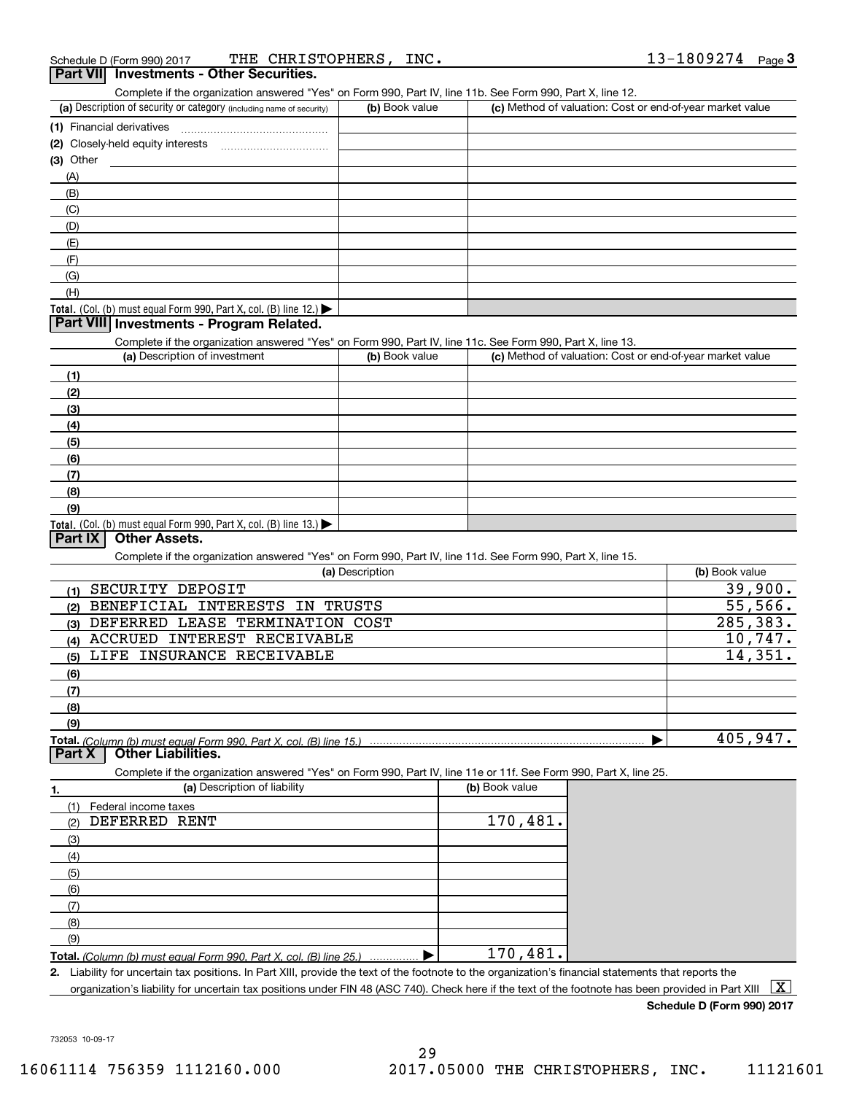|            | THE CHRISTOPHERS, INC.<br>Schedule D (Form 990) 2017<br>Part VII Investments - Other Securities.                                            |                 |                |                                                                      |
|------------|---------------------------------------------------------------------------------------------------------------------------------------------|-----------------|----------------|----------------------------------------------------------------------|
|            | Complete if the organization answered "Yes" on Form 990, Part IV, line 11b. See Form 990, Part X, line 12.                                  |                 |                |                                                                      |
|            | (a) Description of security or category (including name of security)                                                                        | (b) Book value  |                | (c) Method of valuation: Cost or end-of-year market value            |
|            | (1) Financial derivatives                                                                                                                   |                 |                |                                                                      |
|            | (2) Closely-held equity interests                                                                                                           |                 |                |                                                                      |
| (3) Other  |                                                                                                                                             |                 |                |                                                                      |
| (A)        |                                                                                                                                             |                 |                |                                                                      |
| (B)        |                                                                                                                                             |                 |                |                                                                      |
| (C)        |                                                                                                                                             |                 |                |                                                                      |
| (D)        |                                                                                                                                             |                 |                |                                                                      |
| (E)        |                                                                                                                                             |                 |                |                                                                      |
| (F)        |                                                                                                                                             |                 |                |                                                                      |
| (G)        |                                                                                                                                             |                 |                |                                                                      |
| (H)        |                                                                                                                                             |                 |                |                                                                      |
|            | Total. (Col. (b) must equal Form 990, Part X, col. (B) line 12.) $\blacktriangleright$                                                      |                 |                |                                                                      |
|            | Part VIII Investments - Program Related.                                                                                                    |                 |                |                                                                      |
|            | Complete if the organization answered "Yes" on Form 990, Part IV, line 11c. See Form 990, Part X, line 13.<br>(a) Description of investment | (b) Book value  |                | (c) Method of valuation: Cost or end-of-year market value            |
|            |                                                                                                                                             |                 |                |                                                                      |
| (1)        |                                                                                                                                             |                 |                |                                                                      |
| (2)        |                                                                                                                                             |                 |                |                                                                      |
| (3)        |                                                                                                                                             |                 |                |                                                                      |
| (4)        |                                                                                                                                             |                 |                |                                                                      |
| (5)        |                                                                                                                                             |                 |                |                                                                      |
| (6)<br>(7) |                                                                                                                                             |                 |                |                                                                      |
|            |                                                                                                                                             |                 |                |                                                                      |
|            |                                                                                                                                             |                 |                |                                                                      |
| (8)        |                                                                                                                                             |                 |                |                                                                      |
| (9)        |                                                                                                                                             |                 |                |                                                                      |
|            | Total. (Col. (b) must equal Form 990, Part X, col. (B) line 13.) $\blacktriangleright$<br><b>Other Assets.</b>                              |                 |                |                                                                      |
| Part IX    |                                                                                                                                             |                 |                |                                                                      |
|            | Complete if the organization answered "Yes" on Form 990, Part IV, line 11d. See Form 990, Part X, line 15.                                  | (a) Description |                | (b) Book value                                                       |
|            |                                                                                                                                             |                 |                |                                                                      |
| (1)        | SECURITY DEPOSIT                                                                                                                            |                 |                |                                                                      |
|            | (2) BENEFICIAL INTERESTS IN TRUSTS                                                                                                          |                 |                |                                                                      |
|            | (3) DEFERRED LEASE TERMINATION COST                                                                                                         |                 |                |                                                                      |
|            | (4) ACCRUED INTEREST RECEIVABLE<br>LIFE INSURANCE RECEIVABLE                                                                                |                 |                |                                                                      |
| (5)        |                                                                                                                                             |                 |                |                                                                      |
| (6)<br>(7) |                                                                                                                                             |                 |                |                                                                      |
| (8)        |                                                                                                                                             |                 |                | 39,900.<br>55,566.<br>285, 383.<br>$\overline{10, 747}$ .<br>14,351. |
| (9)        |                                                                                                                                             |                 |                |                                                                      |
| Part X     | <b>Other Liabilities.</b>                                                                                                                   |                 |                | 405,947.                                                             |
|            | Complete if the organization answered "Yes" on Form 990, Part IV, line 11e or 11f. See Form 990, Part X, line 25.                           |                 |                |                                                                      |
|            | (a) Description of liability                                                                                                                |                 | (b) Book value |                                                                      |
| (1)        | Federal income taxes                                                                                                                        |                 |                |                                                                      |
| (2)        | DEFERRED RENT                                                                                                                               |                 | 170,481.       |                                                                      |
| (3)        |                                                                                                                                             |                 |                |                                                                      |
| (4)        |                                                                                                                                             |                 |                |                                                                      |
| 1.<br>(5)  |                                                                                                                                             |                 |                |                                                                      |
| (6)        |                                                                                                                                             |                 |                |                                                                      |
| (7)        |                                                                                                                                             |                 |                |                                                                      |
| (8)        |                                                                                                                                             |                 |                |                                                                      |
| (9)        |                                                                                                                                             |                 | 170,481.       |                                                                      |

**Schedule D (Form 990) 2017**

732053 10-09-17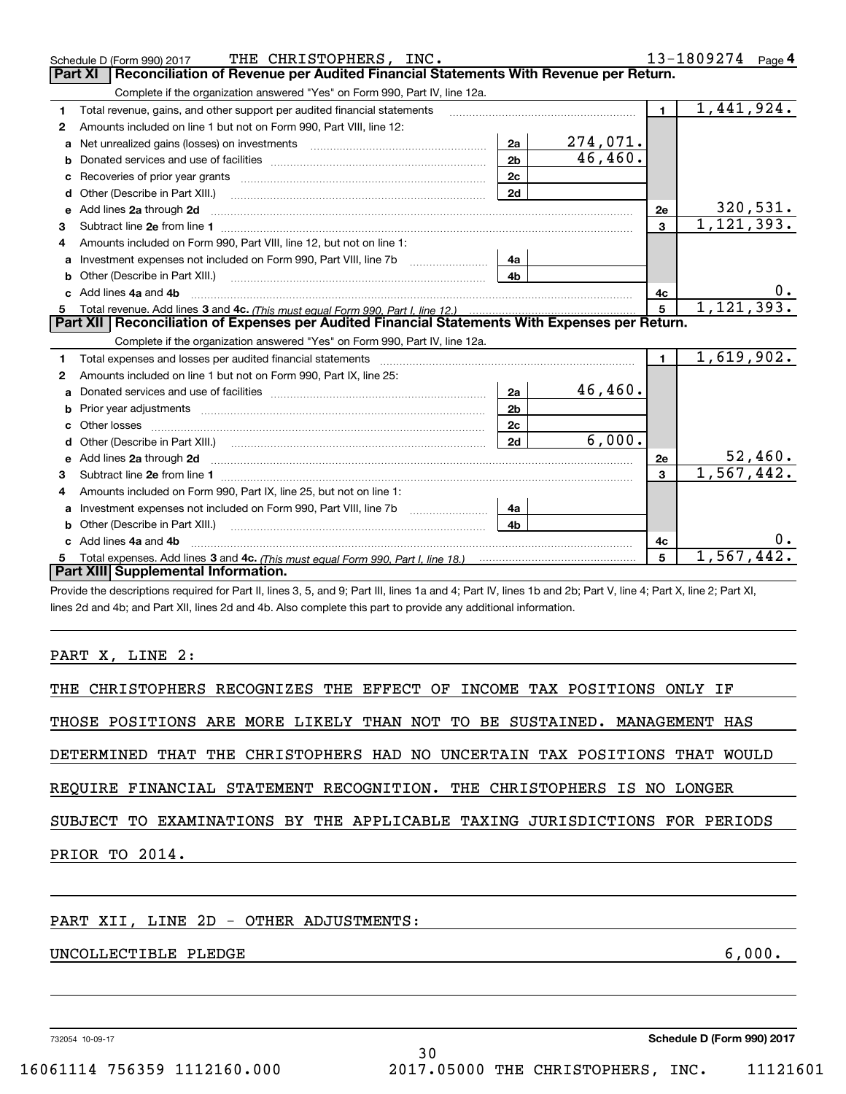|              | THE CHRISTOPHERS, INC.<br>Schedule D (Form 990) 2017                                                                                                                                                                                      |          |                | 13-1809274 Page 4          |    |
|--------------|-------------------------------------------------------------------------------------------------------------------------------------------------------------------------------------------------------------------------------------------|----------|----------------|----------------------------|----|
|              | Reconciliation of Revenue per Audited Financial Statements With Revenue per Return.<br><b>Part XI</b>                                                                                                                                     |          |                |                            |    |
|              | Complete if the organization answered "Yes" on Form 990, Part IV, line 12a.                                                                                                                                                               |          |                |                            |    |
| 1            | Total revenue, gains, and other support per audited financial statements                                                                                                                                                                  |          | $\mathbf{1}$   | 1,441,924.                 |    |
| $\mathbf{2}$ | Amounts included on line 1 but not on Form 990, Part VIII, line 12:                                                                                                                                                                       |          |                |                            |    |
| a            | 2a<br>Net unrealized gains (losses) on investments [11] matter contracts and the unrealized gains (losses) on investments                                                                                                                 | 274,071. |                |                            |    |
|              | 2 <sub>b</sub>                                                                                                                                                                                                                            | 46,460.  |                |                            |    |
|              | 2c                                                                                                                                                                                                                                        |          |                |                            |    |
| d            | 2d<br>Other (Describe in Part XIII.) <b>Construction Contract Construction</b> Chern Construction Chern Chern Chern Chern Chern Chern Chern Chern Chern Chern Chern Chern Chern Chern Chern Chern Chern Chern Chern Chern Chern Chern Che |          |                |                            |    |
| е            | Add lines 2a through 2d                                                                                                                                                                                                                   |          | 2e             | 320,531.                   |    |
| 3            |                                                                                                                                                                                                                                           |          | 3              | 1, 121, 393.               |    |
| 4            | Amounts included on Form 990, Part VIII, line 12, but not on line 1:                                                                                                                                                                      |          |                |                            |    |
| a            | Investment expenses not included on Form 990, Part VIII, line 7b [1000000000000000000000000000000000<br>4a                                                                                                                                |          |                |                            |    |
|              | 4b<br>Other (Describe in Part XIII.) <b>COLOGIST: (2014)</b> (2014) <b>COLOGIST: (2014)</b> Other (Describe in Part XIII.)                                                                                                                |          |                |                            |    |
|              | Add lines 4a and 4b                                                                                                                                                                                                                       |          | 4с             |                            |    |
| 5            | Part XII   Reconciliation of Expenses per Audited Financial Statements With Expenses per Return.                                                                                                                                          |          | 5              | 1, 121, 393.               |    |
|              | Complete if the organization answered "Yes" on Form 990, Part IV, line 12a.                                                                                                                                                               |          |                |                            |    |
| 1            | Total expenses and losses per audited financial statements                                                                                                                                                                                |          | $\blacksquare$ | 1,619,902.                 |    |
| 2            | Amounts included on line 1 but not on Form 990, Part IX, line 25:                                                                                                                                                                         |          |                |                            |    |
| a            | 2a                                                                                                                                                                                                                                        | 46,460.  |                |                            |    |
| b            | 2 <sub>b</sub>                                                                                                                                                                                                                            |          |                |                            |    |
|              | 2c                                                                                                                                                                                                                                        |          |                |                            |    |
|              | 2d                                                                                                                                                                                                                                        | 6,000.   |                |                            |    |
|              |                                                                                                                                                                                                                                           |          | 2e             | $\frac{52,460}{1,567,442}$ |    |
| 3            |                                                                                                                                                                                                                                           |          | 3              |                            |    |
| 4            | Amounts included on Form 990, Part IX, line 25, but not on line 1:                                                                                                                                                                        |          |                |                            |    |
| a            | 4a                                                                                                                                                                                                                                        |          |                |                            |    |
|              | 4 <sub>h</sub>                                                                                                                                                                                                                            |          |                |                            |    |
|              | c Add lines 4a and 4b                                                                                                                                                                                                                     |          | 4с             |                            | υ. |
|              |                                                                                                                                                                                                                                           |          | 5              | 1,567,442.                 |    |
|              | Part XIII Supplemental Information.                                                                                                                                                                                                       |          |                |                            |    |
|              | Provide the descriptions required for Part II, lines 3, 5, and 9; Part III, lines 1a and 4; Part IV, lines 1b and 2b; Part V, line 4; Part X, line 2; Part XI,                                                                            |          |                |                            |    |

lines 2d and 4b; and Part XII, lines 2d and 4b. Also complete this part to provide any additional information.

PART X, LINE 2:

| THE CHRISTOPHERS RECOGNIZES THE EFFECT OF INCOME TAX POSITIONS ONLY IF     |
|----------------------------------------------------------------------------|
| THOSE POSITIONS ARE MORE LIKELY THAN NOT TO BE SUSTAINED. MANAGEMENT HAS   |
| DETERMINED THAT THE CHRISTOPHERS HAD NO UNCERTAIN TAX POSITIONS THAT WOULD |
| REOUIRE FINANCIAL STATEMENT RECOGNITION. THE CHRISTOPHERS IS NO LONGER     |
| SUBJECT TO EXAMINATIONS BY THE APPLICABLE TAXING JURISDICTIONS FOR PERIODS |
| PRIOR TO 2014.                                                             |
|                                                                            |
| $PAPW$ VII I.TNE $2D - QWHPR$ I.THE WENTS.                                 |

## PART XII, LINE ZD - OTHER ADJUSTMENTS:

# UNCOLLECTIBLE PLEDGE 6,000.

732054 10-09-17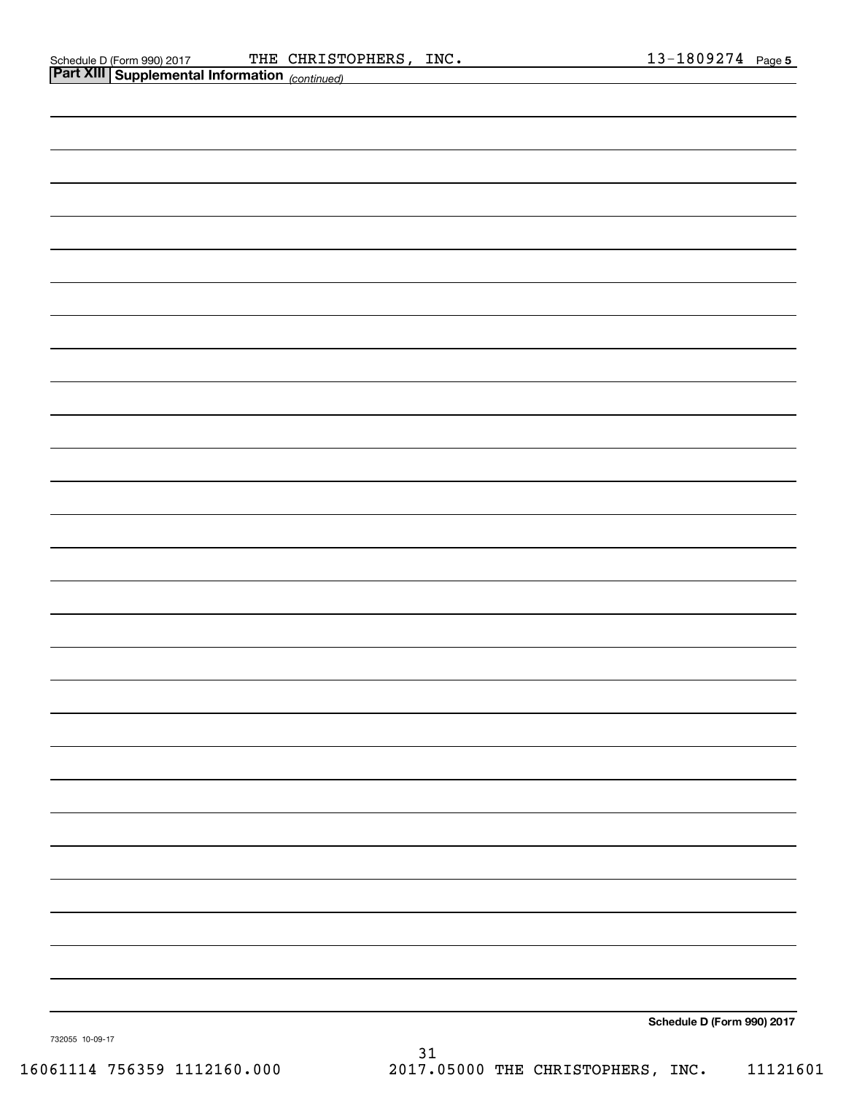|                 | <b>Part XIII Supplemental Information</b> (continued) |  |  |                            |
|-----------------|-------------------------------------------------------|--|--|----------------------------|
|                 |                                                       |  |  |                            |
|                 |                                                       |  |  |                            |
|                 |                                                       |  |  |                            |
|                 |                                                       |  |  |                            |
|                 |                                                       |  |  |                            |
|                 |                                                       |  |  |                            |
|                 |                                                       |  |  |                            |
|                 |                                                       |  |  |                            |
|                 |                                                       |  |  |                            |
|                 |                                                       |  |  |                            |
|                 |                                                       |  |  |                            |
|                 |                                                       |  |  |                            |
|                 |                                                       |  |  |                            |
|                 |                                                       |  |  |                            |
|                 |                                                       |  |  |                            |
|                 |                                                       |  |  |                            |
|                 |                                                       |  |  |                            |
|                 |                                                       |  |  |                            |
|                 |                                                       |  |  |                            |
|                 |                                                       |  |  |                            |
|                 |                                                       |  |  |                            |
|                 |                                                       |  |  |                            |
|                 |                                                       |  |  |                            |
|                 |                                                       |  |  |                            |
|                 |                                                       |  |  |                            |
|                 |                                                       |  |  |                            |
|                 |                                                       |  |  |                            |
|                 |                                                       |  |  |                            |
|                 |                                                       |  |  |                            |
|                 |                                                       |  |  |                            |
|                 |                                                       |  |  |                            |
|                 |                                                       |  |  | Schedule D (Form 990) 2017 |
| 732055 10-09-17 |                                                       |  |  |                            |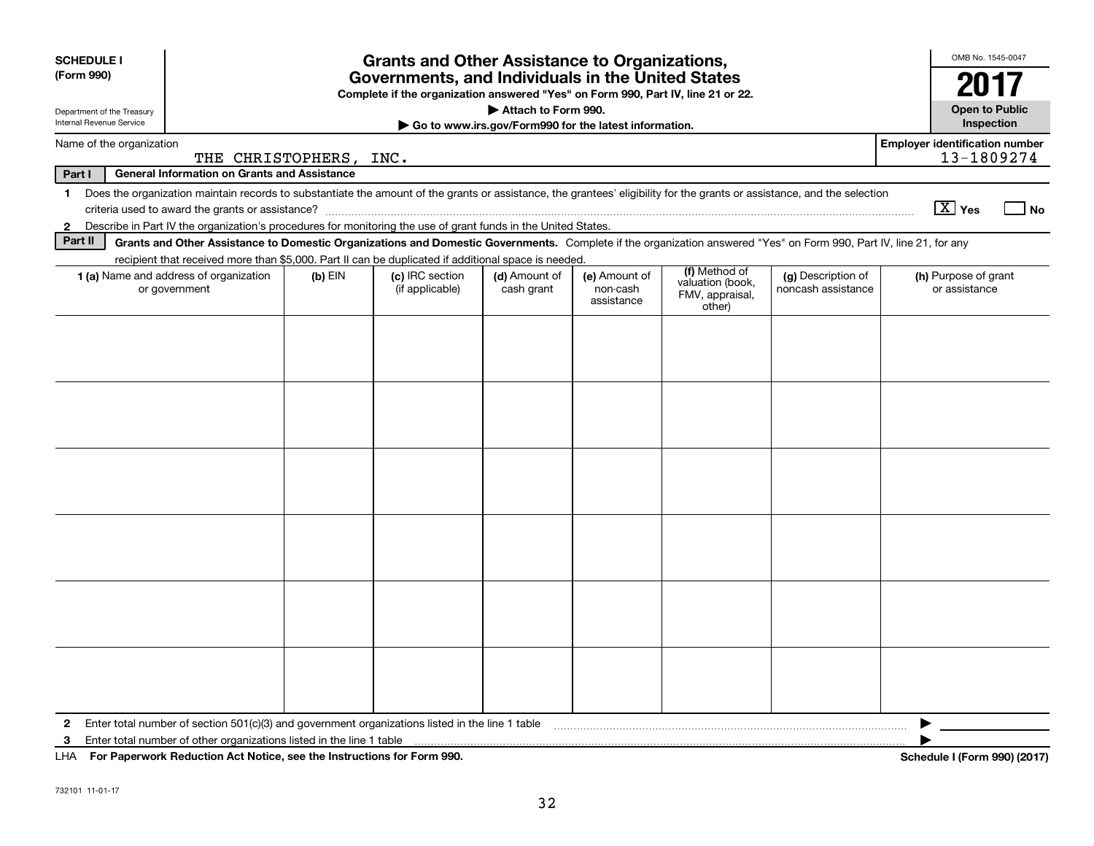| <b>SCHEDULE I</b><br>(Form 990)<br>Department of the Treasury              |                                                                                                                                                                                                                                                                                           |           | <b>Grants and Other Assistance to Organizations,</b><br>Governments, and Individuals in the United States<br>Complete if the organization answered "Yes" on Form 990, Part IV, line 21 or 22. | Attach to Form 990.                                   |                                         |                                                                |                                          | OMB No. 1545-0047<br>2017<br><b>Open to Public</b>  |
|----------------------------------------------------------------------------|-------------------------------------------------------------------------------------------------------------------------------------------------------------------------------------------------------------------------------------------------------------------------------------------|-----------|-----------------------------------------------------------------------------------------------------------------------------------------------------------------------------------------------|-------------------------------------------------------|-----------------------------------------|----------------------------------------------------------------|------------------------------------------|-----------------------------------------------------|
| Internal Revenue Service                                                   |                                                                                                                                                                                                                                                                                           |           |                                                                                                                                                                                               | Go to www.irs.gov/Form990 for the latest information. |                                         |                                                                |                                          | Inspection                                          |
| Name of the organization                                                   | THE CHRISTOPHERS, INC.                                                                                                                                                                                                                                                                    |           |                                                                                                                                                                                               |                                                       |                                         |                                                                |                                          | <b>Employer identification number</b><br>13-1809274 |
| Part I                                                                     | <b>General Information on Grants and Assistance</b>                                                                                                                                                                                                                                       |           |                                                                                                                                                                                               |                                                       |                                         |                                                                |                                          |                                                     |
| $\mathbf 1$<br>$\mathbf{2}$                                                | Does the organization maintain records to substantiate the amount of the grants or assistance, the grantees' eligibility for the grants or assistance, and the selection<br>Describe in Part IV the organization's procedures for monitoring the use of grant funds in the United States. |           |                                                                                                                                                                                               |                                                       |                                         |                                                                |                                          | $\boxed{\text{X}}$ Yes<br>  No                      |
| Part II                                                                    | Grants and Other Assistance to Domestic Organizations and Domestic Governments. Complete if the organization answered "Yes" on Form 990, Part IV, line 21, for any                                                                                                                        |           |                                                                                                                                                                                               |                                                       |                                         |                                                                |                                          |                                                     |
|                                                                            | recipient that received more than \$5,000. Part II can be duplicated if additional space is needed.                                                                                                                                                                                       |           |                                                                                                                                                                                               |                                                       |                                         |                                                                |                                          |                                                     |
|                                                                            | 1 (a) Name and address of organization<br>or government                                                                                                                                                                                                                                   | $(b)$ EIN | (c) IRC section<br>(if applicable)                                                                                                                                                            | (d) Amount of<br>cash grant                           | (e) Amount of<br>non-cash<br>assistance | (f) Method of<br>valuation (book,<br>FMV, appraisal,<br>other) | (g) Description of<br>noncash assistance | (h) Purpose of grant<br>or assistance               |
|                                                                            |                                                                                                                                                                                                                                                                                           |           |                                                                                                                                                                                               |                                                       |                                         |                                                                |                                          |                                                     |
|                                                                            |                                                                                                                                                                                                                                                                                           |           |                                                                                                                                                                                               |                                                       |                                         |                                                                |                                          |                                                     |
|                                                                            |                                                                                                                                                                                                                                                                                           |           |                                                                                                                                                                                               |                                                       |                                         |                                                                |                                          |                                                     |
|                                                                            |                                                                                                                                                                                                                                                                                           |           |                                                                                                                                                                                               |                                                       |                                         |                                                                |                                          |                                                     |
|                                                                            |                                                                                                                                                                                                                                                                                           |           |                                                                                                                                                                                               |                                                       |                                         |                                                                |                                          |                                                     |
|                                                                            |                                                                                                                                                                                                                                                                                           |           |                                                                                                                                                                                               |                                                       |                                         |                                                                |                                          |                                                     |
| $\mathbf{2}$<br>3                                                          | Enter total number of section $501(c)(3)$ and government organizations listed in the line 1 table<br>Enter total number of other organizations listed in the line 1 table                                                                                                                 |           |                                                                                                                                                                                               |                                                       |                                         |                                                                |                                          |                                                     |
| LHA For Paperwork Reduction Act Notice, see the Instructions for Form 990. |                                                                                                                                                                                                                                                                                           |           |                                                                                                                                                                                               |                                                       |                                         |                                                                |                                          | Schedule I (Form 990) (2017)                        |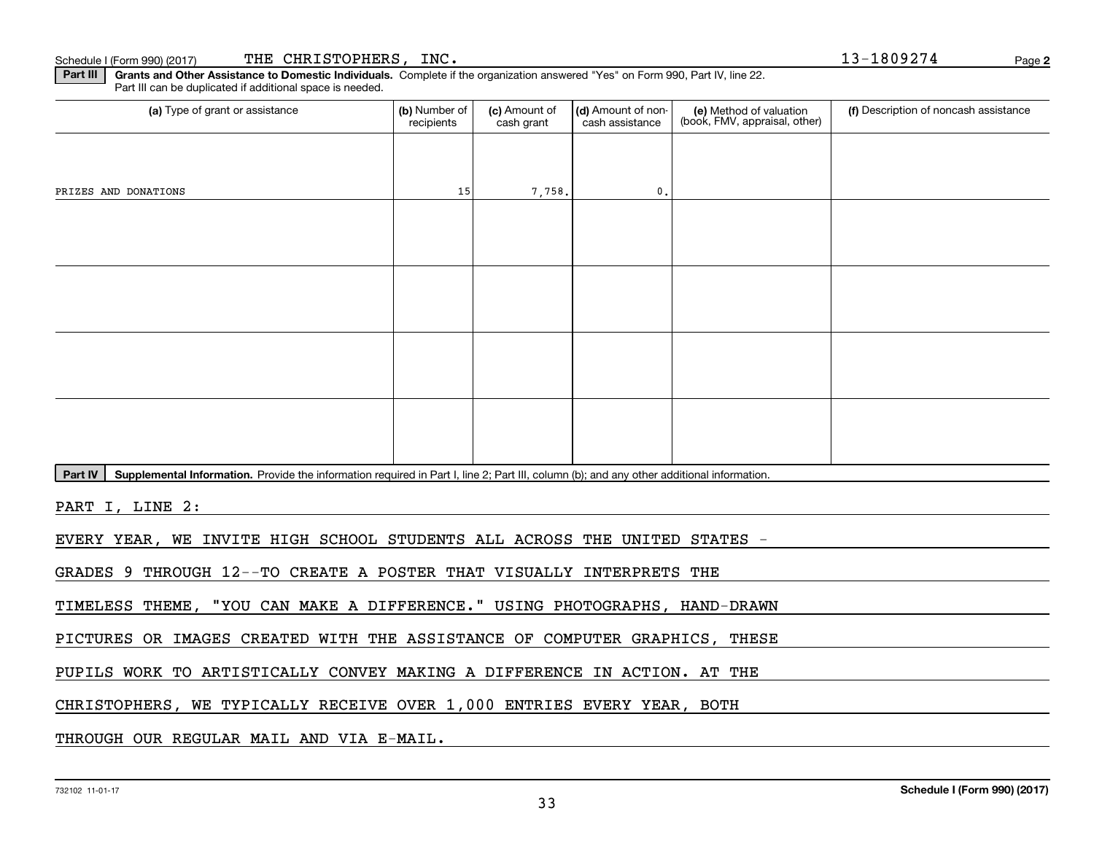**Part III** | Grants and Other Assistance to Domestic Individuals. Complete if the organization answered "Yes" on Form 990, Part IV, line 22. Part III can be duplicated if additional space is needed.

| (a) Type of grant or assistance                                                                                                                      | (b) Number of<br>recipients | (c) Amount of<br>cash grant | (d) Amount of non-<br>cash assistance | (e) Method of valuation<br>(book, FMV, appraisal, other) | (f) Description of noncash assistance |  |  |  |
|------------------------------------------------------------------------------------------------------------------------------------------------------|-----------------------------|-----------------------------|---------------------------------------|----------------------------------------------------------|---------------------------------------|--|--|--|
|                                                                                                                                                      |                             |                             |                                       |                                                          |                                       |  |  |  |
| PRIZES AND DONATIONS                                                                                                                                 | 15                          | 7,758.                      | 0.                                    |                                                          |                                       |  |  |  |
|                                                                                                                                                      |                             |                             |                                       |                                                          |                                       |  |  |  |
|                                                                                                                                                      |                             |                             |                                       |                                                          |                                       |  |  |  |
|                                                                                                                                                      |                             |                             |                                       |                                                          |                                       |  |  |  |
|                                                                                                                                                      |                             |                             |                                       |                                                          |                                       |  |  |  |
|                                                                                                                                                      |                             |                             |                                       |                                                          |                                       |  |  |  |
|                                                                                                                                                      |                             |                             |                                       |                                                          |                                       |  |  |  |
|                                                                                                                                                      |                             |                             |                                       |                                                          |                                       |  |  |  |
|                                                                                                                                                      |                             |                             |                                       |                                                          |                                       |  |  |  |
| Part IV<br>Supplemental Information. Provide the information required in Part I, line 2; Part III, column (b); and any other additional information. |                             |                             |                                       |                                                          |                                       |  |  |  |
| PART I, LINE 2:                                                                                                                                      |                             |                             |                                       |                                                          |                                       |  |  |  |
| EVERY YEAR, WE INVITE HIGH SCHOOL STUDENTS ALL ACROSS THE UNITED STATES -                                                                            |                             |                             |                                       |                                                          |                                       |  |  |  |
| GRADES 9 THROUGH 12--TO CREATE A POSTER THAT VISUALLY INTERPRETS THE                                                                                 |                             |                             |                                       |                                                          |                                       |  |  |  |
| TIMELESS THEME, "YOU CAN MAKE A DIFFERENCE." USING PHOTOGRAPHS, HAND-DRAWN                                                                           |                             |                             |                                       |                                                          |                                       |  |  |  |

PICTURES OR IMAGES CREATED WITH THE ASSISTANCE OF COMPUTER GRAPHICS, THESE

PUPILS WORK TO ARTISTICALLY CONVEY MAKING A DIFFERENCE IN ACTION. AT THE

CHRISTOPHERS, WE TYPICALLY RECEIVE OVER 1,000 ENTRIES EVERY YEAR, BOTH

THROUGH OUR REGULAR MAIL AND VIA E-MAIL.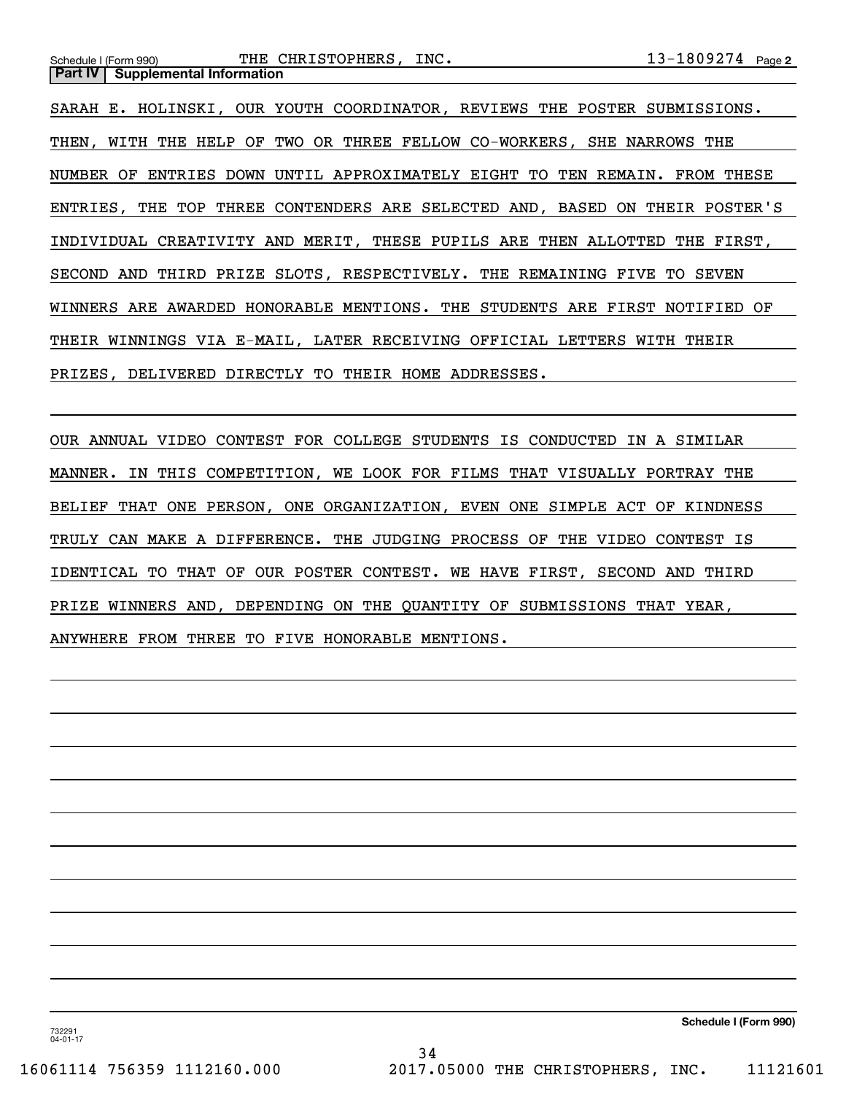SARAH E. HOLINSKI, OUR YOUTH COORDINATOR, REVIEWS THE POSTER SUBMISSIONS. THEN, WITH THE HELP OF TWO OR THREE FELLOW CO-WORKERS, SHE NARROWS THE NUMBER OF ENTRIES DOWN UNTIL APPROXIMATELY EIGHT TO TEN REMAIN. FROM THESE ENTRIES, THE TOP THREE CONTENDERS ARE SELECTED AND, BASED ON THEIR POSTER'S INDIVIDUAL CREATIVITY AND MERIT, THESE PUPILS ARE THEN ALLOTTED THE FIRST, SECOND AND THIRD PRIZE SLOTS, RESPECTIVELY. THE REMAINING FIVE TO SEVEN WINNERS ARE AWARDED HONORABLE MENTIONS. THE STUDENTS ARE FIRST NOTIFIED OF THEIR WINNINGS VIA E-MAIL, LATER RECEIVING OFFICIAL LETTERS WITH THEIR PRIZES, DELIVERED DIRECTLY TO THEIR HOME ADDRESSES.

OUR ANNUAL VIDEO CONTEST FOR COLLEGE STUDENTS IS CONDUCTED IN A SIMILAR MANNER. IN THIS COMPETITION, WE LOOK FOR FILMS THAT VISUALLY PORTRAY THE BELIEF THAT ONE PERSON, ONE ORGANIZATION, EVEN ONE SIMPLE ACT OF KINDNESS TRULY CAN MAKE A DIFFERENCE. THE JUDGING PROCESS OF THE VIDEO CONTEST IS IDENTICAL TO THAT OF OUR POSTER CONTEST. WE HAVE FIRST, SECOND AND THIRD PRIZE WINNERS AND, DEPENDING ON THE QUANTITY OF SUBMISSIONS THAT YEAR, ANYWHERE FROM THREE TO FIVE HONORABLE MENTIONS.

**Schedule I (Form 990)**

732291 04-01-17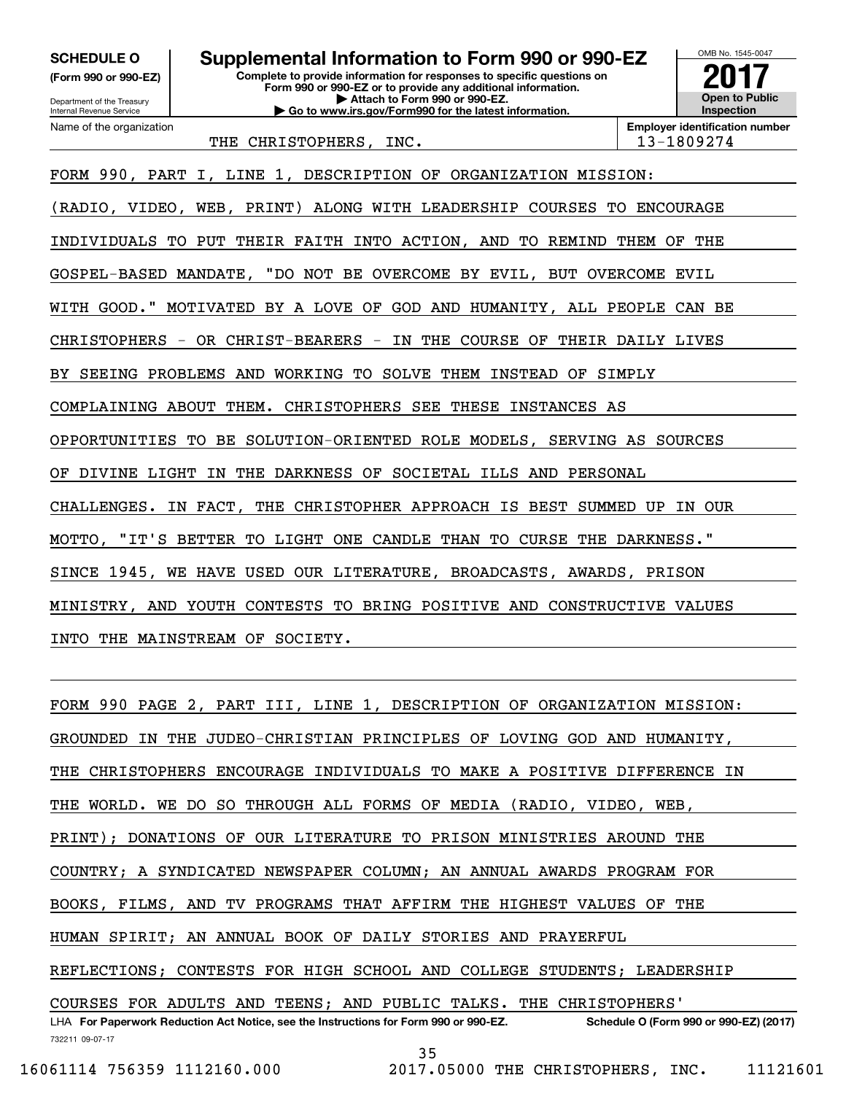**SCHEDULE O Supplemental Information to Form 990 or 990-EZ**

Internal Revenue Service

Department of the Treasury **(Form 990 or 990-EZ)**

Name of the organization

**Complete to provide information for responses to specific questions on Form 990 or 990-EZ or to provide any additional information. | Attach to Form 990 or 990-EZ. | Go to www.irs.gov/Form990 for the latest information.**



THE CHRISTOPHERS, INC. 13-1809274

FORM 990, PART I, LINE 1, DESCRIPTION OF ORGANIZATION MISSION: (RADIO, VIDEO, WEB, PRINT) ALONG WITH LEADERSHIP COURSES TO ENCOURAGE INDIVIDUALS TO PUT THEIR FAITH INTO ACTION, AND TO REMIND THEM OF THE GOSPEL-BASED MANDATE, "DO NOT BE OVERCOME BY EVIL, BUT OVERCOME EVIL WITH GOOD." MOTIVATED BY A LOVE OF GOD AND HUMANITY, ALL PEOPLE CAN BE CHRISTOPHERS - OR CHRIST-BEARERS - IN THE COURSE OF THEIR DAILY LIVES BY SEEING PROBLEMS AND WORKING TO SOLVE THEM INSTEAD OF SIMPLY COMPLAINING ABOUT THEM. CHRISTOPHERS SEE THESE INSTANCES AS OPPORTUNITIES TO BE SOLUTION-ORIENTED ROLE MODELS, SERVING AS SOURCES OF DIVINE LIGHT IN THE DARKNESS OF SOCIETAL ILLS AND PERSONAL CHALLENGES. IN FACT, THE CHRISTOPHER APPROACH IS BEST SUMMED UP IN OUR MOTTO, "IT'S BETTER TO LIGHT ONE CANDLE THAN TO CURSE THE DARKNESS." SINCE 1945, WE HAVE USED OUR LITERATURE, BROADCASTS, AWARDS, PRISON MINISTRY, AND YOUTH CONTESTS TO BRING POSITIVE AND CONSTRUCTIVE VALUES INTO THE MAINSTREAM OF SOCIETY.

732211 09-07-17 LHA For Paperwork Reduction Act Notice, see the Instructions for Form 990 or 990-EZ. Schedule O (Form 990 or 990-EZ) (2017) FORM 990 PAGE 2, PART III, LINE 1, DESCRIPTION OF ORGANIZATION MISSION: GROUNDED IN THE JUDEO-CHRISTIAN PRINCIPLES OF LOVING GOD AND HUMANITY, THE CHRISTOPHERS ENCOURAGE INDIVIDUALS TO MAKE A POSITIVE DIFFERENCE IN THE WORLD. WE DO SO THROUGH ALL FORMS OF MEDIA (RADIO, VIDEO, WEB, PRINT); DONATIONS OF OUR LITERATURE TO PRISON MINISTRIES AROUND THE COUNTRY; A SYNDICATED NEWSPAPER COLUMN; AN ANNUAL AWARDS PROGRAM FOR BOOKS, FILMS, AND TV PROGRAMS THAT AFFIRM THE HIGHEST VALUES OF THE HUMAN SPIRIT; AN ANNUAL BOOK OF DAILY STORIES AND PRAYERFUL REFLECTIONS; CONTESTS FOR HIGH SCHOOL AND COLLEGE STUDENTS; LEADERSHIP COURSES FOR ADULTS AND TEENS; AND PUBLIC TALKS. THE CHRISTOPHERS'

35

16061114 756359 1112160.000 2017.05000 THE CHRISTOPHERS, INC. 11121601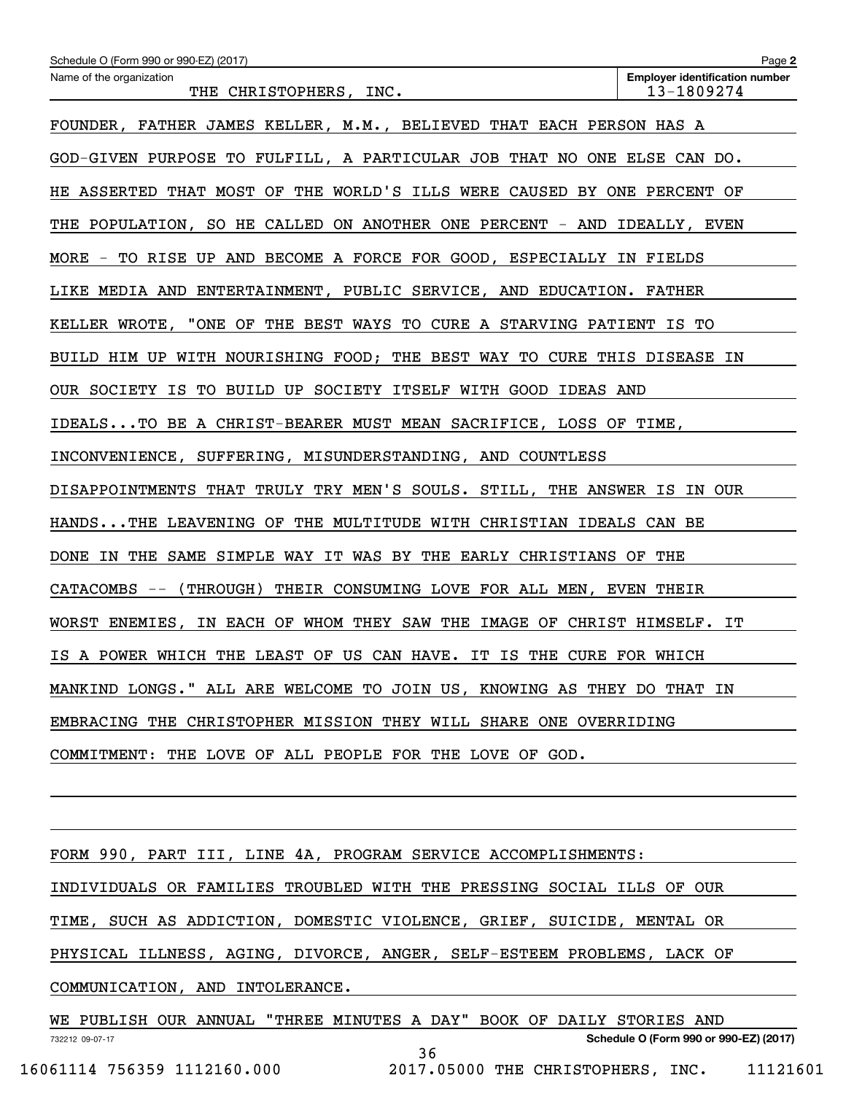| Schedule O (Form 990 or 990-EZ) (2017)                                  | Page 2                                              |
|-------------------------------------------------------------------------|-----------------------------------------------------|
| Name of the organization<br>THE CHRISTOPHERS, INC.                      | <b>Employer identification number</b><br>13-1809274 |
| FOUNDER, FATHER JAMES KELLER, M.M., BELIEVED THAT EACH PERSON HAS A     |                                                     |
| GOD-GIVEN PURPOSE TO FULFILL, A PARTICULAR JOB THAT NO ONE ELSE CAN DO. |                                                     |
| HE ASSERTED THAT MOST OF THE WORLD'S ILLS WERE CAUSED BY ONE PERCENT OF |                                                     |
| THE POPULATION, SO HE CALLED ON ANOTHER ONE PERCENT - AND IDEALLY, EVEN |                                                     |
| MORE - TO RISE UP AND BECOME A FORCE FOR GOOD, ESPECIALLY IN FIELDS     |                                                     |
| LIKE MEDIA AND ENTERTAINMENT, PUBLIC SERVICE, AND EDUCATION. FATHER     |                                                     |
| KELLER WROTE, "ONE OF THE BEST WAYS TO CURE A STARVING PATIENT IS TO    |                                                     |
| BUILD HIM UP WITH NOURISHING FOOD; THE BEST WAY TO CURE THIS DISEASE IN |                                                     |
| OUR SOCIETY IS TO BUILD UP SOCIETY ITSELF WITH GOOD IDEAS AND           |                                                     |
| IDEALSTO BE A CHRIST-BEARER MUST MEAN SACRIFICE, LOSS OF TIME,          |                                                     |
| INCONVENIENCE, SUFFERING, MISUNDERSTANDING, AND COUNTLESS               |                                                     |
| DISAPPOINTMENTS THAT TRULY TRY MEN'S SOULS. STILL, THE ANSWER IS IN OUR |                                                     |
| HANDSTHE LEAVENING OF THE MULTITUDE WITH CHRISTIAN IDEALS CAN BE        |                                                     |
| DONE IN THE SAME SIMPLE WAY IT WAS BY THE EARLY CHRISTIANS OF THE       |                                                     |
| CATACOMBS -- (THROUGH) THEIR CONSUMING LOVE FOR ALL MEN, EVEN THEIR     |                                                     |
| WORST ENEMIES, IN EACH OF WHOM THEY SAW THE IMAGE OF CHRIST HIMSELF. IT |                                                     |
| IS A POWER WHICH THE LEAST OF US CAN HAVE. IT IS THE CURE FOR WHICH     |                                                     |
| MANKIND LONGS." ALL ARE WELCOME TO JOIN US, KNOWING AS THEY DO THAT IN  |                                                     |
| EMBRACING THE CHRISTOPHER MISSION THEY WILL SHARE ONE OVERRIDING        |                                                     |
| COMMITMENT: THE LOVE OF ALL PEOPLE FOR THE LOVE OF GOD.                 |                                                     |
|                                                                         |                                                     |

FORM 990, PART III, LINE 4A, PROGRAM SERVICE ACCOMPLISHMENTS: INDIVIDUALS OR FAMILIES TROUBLED WITH THE PRESSING SOCIAL ILLS OF OUR TIME, SUCH AS ADDICTION, DOMESTIC VIOLENCE, GRIEF, SUICIDE, MENTAL OR PHYSICAL ILLNESS, AGING, DIVORCE, ANGER, SELF-ESTEEM PROBLEMS, LACK OF COMMUNICATION, AND INTOLERANCE. WE PUBLISH OUR ANNUAL "THREE MINUTES A DAY" BOOK OF DAILY STORIES AND

36

16061114 756359 1112160.000 2017.05000 THE CHRISTOPHERS, INC. 11121601

732212 09-07-17

**Schedule O (Form 990 or 990-EZ) (2017)**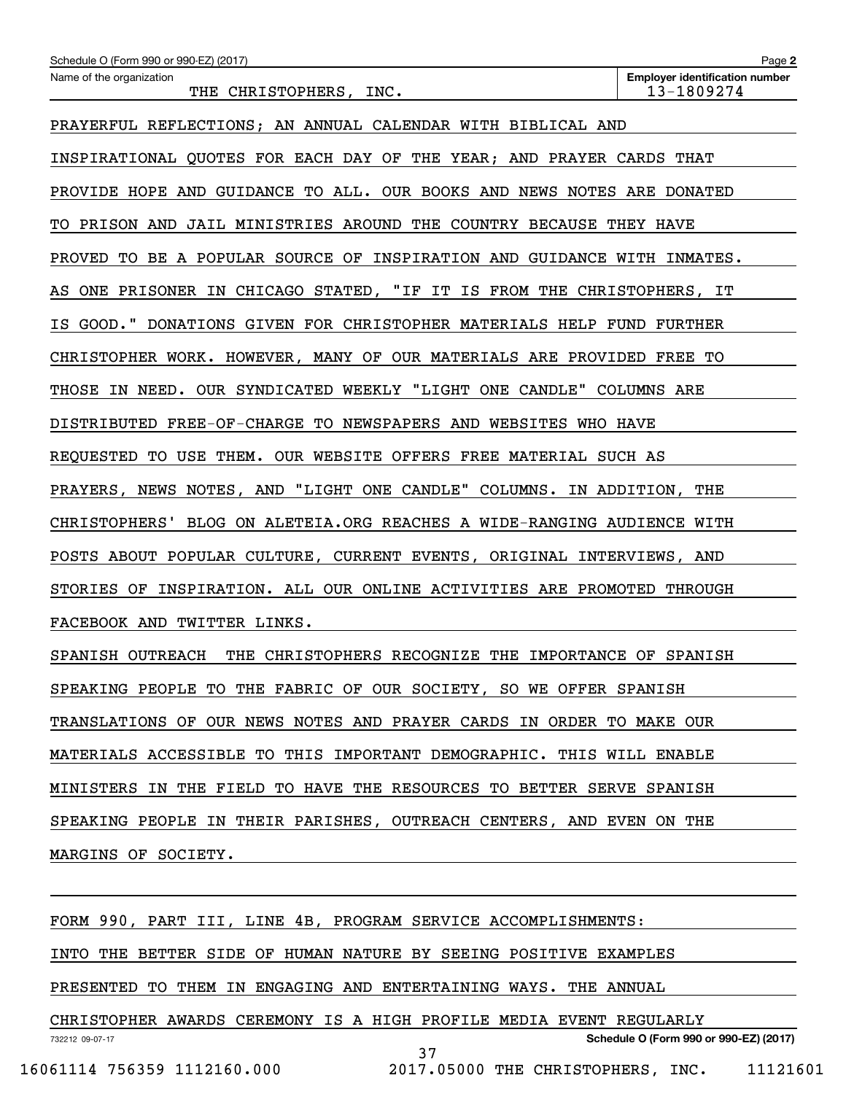| Schedule O (Form 990 or 990-EZ) (2017)                                   | Page 2                                              |  |  |  |  |  |
|--------------------------------------------------------------------------|-----------------------------------------------------|--|--|--|--|--|
| Name of the organization<br>THE CHRISTOPHERS, INC.                       | <b>Employer identification number</b><br>13-1809274 |  |  |  |  |  |
| PRAYERFUL REFLECTIONS; AN ANNUAL CALENDAR WITH BIBLICAL AND              |                                                     |  |  |  |  |  |
| INSPIRATIONAL QUOTES FOR EACH DAY OF THE YEAR; AND PRAYER CARDS THAT     |                                                     |  |  |  |  |  |
| PROVIDE HOPE AND GUIDANCE TO ALL. OUR BOOKS AND NEWS NOTES ARE DONATED   |                                                     |  |  |  |  |  |
| TO PRISON AND JAIL MINISTRIES AROUND THE COUNTRY BECAUSE THEY HAVE       |                                                     |  |  |  |  |  |
| PROVED TO BE A POPULAR SOURCE OF INSPIRATION AND GUIDANCE WITH INMATES.  |                                                     |  |  |  |  |  |
| AS ONE PRISONER IN CHICAGO STATED, "IF IT IS FROM THE CHRISTOPHERS, IT   |                                                     |  |  |  |  |  |
| IS GOOD." DONATIONS GIVEN FOR CHRISTOPHER MATERIALS HELP FUND FURTHER    |                                                     |  |  |  |  |  |
| CHRISTOPHER WORK. HOWEVER, MANY OF OUR MATERIALS ARE PROVIDED FREE TO    |                                                     |  |  |  |  |  |
| THOSE IN NEED. OUR SYNDICATED WEEKLY "LIGHT ONE CANDLE" COLUMNS ARE      |                                                     |  |  |  |  |  |
| DISTRIBUTED FREE-OF-CHARGE TO NEWSPAPERS AND WEBSITES WHO HAVE           |                                                     |  |  |  |  |  |
| REQUESTED TO USE THEM. OUR WEBSITE OFFERS FREE MATERIAL SUCH AS          |                                                     |  |  |  |  |  |
| PRAYERS, NEWS NOTES, AND "LIGHT ONE CANDLE" COLUMNS. IN ADDITION, THE    |                                                     |  |  |  |  |  |
| CHRISTOPHERS' BLOG ON ALETEIA.ORG REACHES A WIDE-RANGING AUDIENCE WITH   |                                                     |  |  |  |  |  |
| POSTS ABOUT POPULAR CULTURE, CURRENT EVENTS, ORIGINAL INTERVIEWS, AND    |                                                     |  |  |  |  |  |
| STORIES OF INSPIRATION. ALL OUR ONLINE ACTIVITIES ARE PROMOTED THROUGH   |                                                     |  |  |  |  |  |
| FACEBOOK AND TWITTER LINKS.                                              |                                                     |  |  |  |  |  |
| THE CHRISTOPHERS RECOGNIZE THE IMPORTANCE OF SPANISH<br>SPANISH OUTREACH |                                                     |  |  |  |  |  |
| SPEAKING PEOPLE TO THE FABRIC OF OUR SOCIETY, SO WE OFFER SPANISH        |                                                     |  |  |  |  |  |
| TRANSLATIONS OF OUR NEWS NOTES AND PRAYER CARDS IN ORDER TO MAKE OUR     |                                                     |  |  |  |  |  |
| MATERIALS ACCESSIBLE TO THIS IMPORTANT DEMOGRAPHIC. THIS WILL ENABLE     |                                                     |  |  |  |  |  |
| MINISTERS IN THE FIELD TO HAVE THE RESOURCES TO BETTER SERVE SPANISH     |                                                     |  |  |  |  |  |
| SPEAKING PEOPLE IN THEIR PARISHES, OUTREACH CENTERS, AND EVEN ON THE     |                                                     |  |  |  |  |  |
| MARGINS OF SOCIETY.                                                      |                                                     |  |  |  |  |  |
|                                                                          |                                                     |  |  |  |  |  |
| FORM 990, PART III, LINE 4B, PROGRAM SERVICE ACCOMPLISHMENTS:            |                                                     |  |  |  |  |  |
| INTO THE BETTER SIDE OF HUMAN NATURE BY SEEING POSITIVE EXAMPLES         |                                                     |  |  |  |  |  |

PRESENTED TO THEM IN ENGAGING AND ENTERTAINING WAYS. THE ANNUAL

732212 09-07-17 **Schedule O (Form 990 or 990-EZ) (2017)** CHRISTOPHER AWARDS CEREMONY IS A HIGH PROFILE MEDIA EVENT REGULARLY 37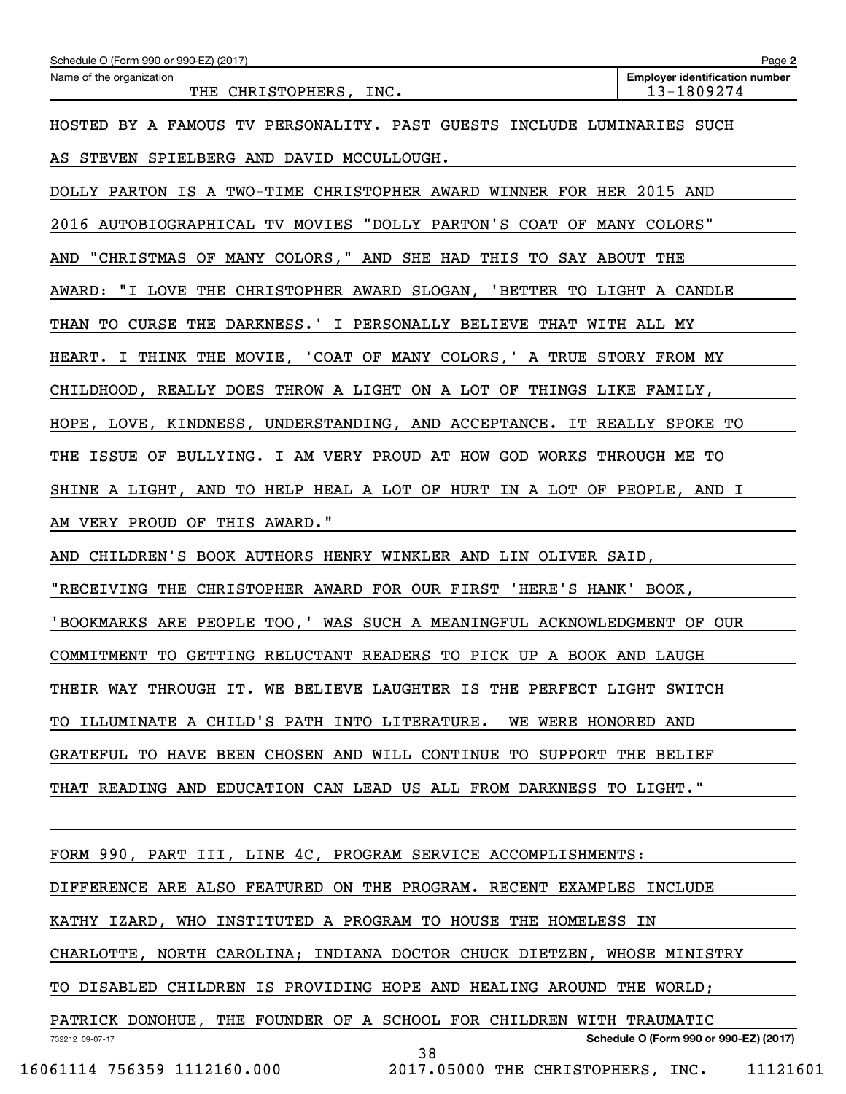| Name of the organization<br>THE CHRISTOPHERS, INC.                                      | <b>Emplover identification number</b><br>13-1809274 |
|-----------------------------------------------------------------------------------------|-----------------------------------------------------|
| HOSTED BY A FAMOUS TV PERSONALITY. PAST GUESTS INCLUDE LUMINARIES SUCH                  |                                                     |
| AS STEVEN SPIELBERG AND DAVID MCCULLOUGH.                                               |                                                     |
| DOLLY PARTON IS A TWO-TIME CHRISTOPHER AWARD WINNER FOR HER 2015 AND                    |                                                     |
| 2016 AUTOBIOGRAPHICAL TV MOVIES "DOLLY PARTON'S COAT OF MANY COLORS"                    |                                                     |
| AND "CHRISTMAS OF MANY COLORS," AND SHE HAD THIS TO SAY ABOUT THE                       |                                                     |
| AWARD: "I LOVE THE CHRISTOPHER AWARD SLOGAN, 'BETTER TO LIGHT A CANDLE                  |                                                     |
| THAN TO CURSE THE DARKNESS.' I PERSONALLY BELIEVE THAT WITH ALL MY                      |                                                     |
| HEART. I THINK THE MOVIE, 'COAT OF MANY COLORS,' A TRUE STORY FROM MY                   |                                                     |
| CHILDHOOD, REALLY DOES THROW A LIGHT ON A LOT OF THINGS LIKE FAMILY,                    |                                                     |
| HOPE, LOVE, KINDNESS, UNDERSTANDING, AND ACCEPTANCE. IT REALLY SPOKE TO                 |                                                     |
| THE ISSUE OF BULLYING. I AM VERY PROUD AT HOW GOD WORKS THROUGH ME TO                   |                                                     |
| SHINE A LIGHT, AND TO HELP HEAL A LOT OF HURT IN A LOT OF PEOPLE, AND I                 |                                                     |
| AM VERY PROUD OF THIS AWARD."                                                           |                                                     |
| AND CHILDREN'S BOOK AUTHORS HENRY WINKLER AND LIN OLIVER SAID,                          |                                                     |
| "RECEIVING THE CHRISTOPHER AWARD FOR OUR FIRST 'HERE'S HANK' BOOK,                      |                                                     |
| 'BOOKMARKS ARE PEOPLE TOO, ' WAS SUCH A MEANINGFUL ACKNOWLEDGMENT OF OUR                |                                                     |
| COMMITMENT TO GETTING RELUCTANT READERS TO PICK UP A BOOK AND LAUGH                     |                                                     |
| THEIR WAY THROUGH IT. WE BELIEVE LAUGHTER IS THE PERFECT LIGHT SWITCH                   |                                                     |
| TO ILLUMINATE A CHILD'S PATH INTO LITERATURE. WE WERE HONORED AND                       |                                                     |
| GRATEFUL TO HAVE BEEN CHOSEN AND WILL CONTINUE TO SUPPORT THE BELIEF                    |                                                     |
| THAT READING AND EDUCATION CAN LEAD US ALL FROM DARKNESS TO LIGHT."                     |                                                     |
|                                                                                         |                                                     |
| FORM 990, PART III, LINE 4C, PROGRAM SERVICE ACCOMPLISHMENTS:                           |                                                     |
| DIFFERENCE ARE ALSO FEATURED ON THE PROGRAM. RECENT EXAMPLES INCLUDE                    |                                                     |
| KATHY IZARD, WHO INSTITUTED A PROGRAM TO HOUSE THE HOMELESS IN                          |                                                     |
| CHARLOTTE, NORTH CAROLINA; INDIANA DOCTOR CHUCK DIETZEN, WHOSE MINISTRY                 |                                                     |
| TO DISABLED CHILDREN IS PROVIDING HOPE AND HEALING AROUND THE WORLD;                    |                                                     |
| PATRICK DONOHUE, THE FOUNDER OF A SCHOOL FOR CHILDREN WITH TRAUMATIC<br>732212 09-07-17 | Schedule O (Form 990 or 990-EZ) (2017)              |
| 38<br>16061114 756359 1112160.000<br>2017.05000 THE CHRISTOPHERS, INC.                  | 11121601                                            |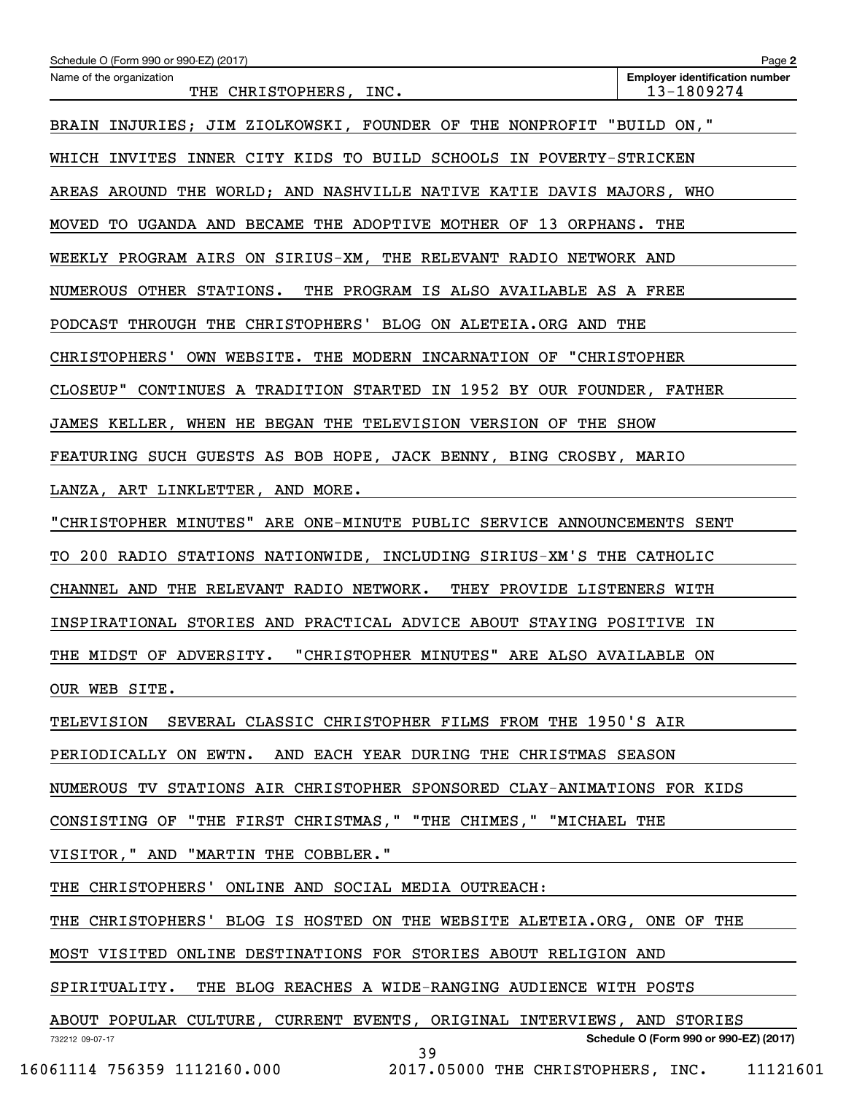| Schedule O (Form 990 or 990-EZ) (2017)                                  | Page 2                                              |
|-------------------------------------------------------------------------|-----------------------------------------------------|
| Name of the organization<br>THE CHRISTOPHERS, INC.                      | <b>Employer identification number</b><br>13-1809274 |
| BRAIN INJURIES; JIM ZIOLKOWSKI, FOUNDER OF THE NONPROFIT "BUILD ON,"    |                                                     |
| WHICH INVITES INNER CITY KIDS TO BUILD SCHOOLS IN POVERTY-STRICKEN      |                                                     |
| AREAS AROUND THE WORLD; AND NASHVILLE NATIVE KATIE DAVIS MAJORS, WHO    |                                                     |
| MOVED TO UGANDA AND BECAME THE ADOPTIVE MOTHER OF 13 ORPHANS. THE       |                                                     |
| WEEKLY PROGRAM AIRS ON SIRIUS-XM, THE RELEVANT RADIO NETWORK AND        |                                                     |
| NUMEROUS OTHER STATIONS. THE PROGRAM IS ALSO AVAILABLE AS A FREE        |                                                     |
| PODCAST THROUGH THE CHRISTOPHERS' BLOG ON ALETEIA.ORG AND THE           |                                                     |
| CHRISTOPHERS' OWN WEBSITE. THE MODERN INCARNATION OF "CHRISTOPHER       |                                                     |
| CLOSEUP" CONTINUES A TRADITION STARTED IN 1952 BY OUR FOUNDER, FATHER   |                                                     |
| JAMES KELLER, WHEN HE BEGAN THE TELEVISION VERSION OF THE SHOW          |                                                     |
| FEATURING SUCH GUESTS AS BOB HOPE, JACK BENNY, BING CROSBY, MARIO       |                                                     |
| LANZA, ART LINKLETTER, AND MORE.                                        |                                                     |
| "CHRISTOPHER MINUTES" ARE ONE-MINUTE PUBLIC SERVICE ANNOUNCEMENTS SENT  |                                                     |
| TO 200 RADIO STATIONS NATIONWIDE, INCLUDING SIRIUS-XM'S THE CATHOLIC    |                                                     |
| CHANNEL AND THE RELEVANT RADIO NETWORK. THEY PROVIDE LISTENERS WITH     |                                                     |
| INSPIRATIONAL STORIES AND PRACTICAL ADVICE ABOUT STAYING POSITIVE IN    |                                                     |
| "CHRISTOPHER MINUTES" ARE ALSO AVAILABLE ON<br>THE MIDST OF ADVERSITY.  |                                                     |
| OUR WEB SITE.                                                           |                                                     |
| TELEVISION SEVERAL CLASSIC CHRISTOPHER FILMS FROM THE 1950'S AIR        |                                                     |
| PERIODICALLY ON EWTN. AND EACH YEAR DURING THE CHRISTMAS SEASON         |                                                     |
| NUMEROUS TV STATIONS AIR CHRISTOPHER SPONSORED CLAY-ANIMATIONS FOR KIDS |                                                     |
| CONSISTING OF "THE FIRST CHRISTMAS," "THE CHIMES," "MICHAEL THE         |                                                     |
| VISITOR, " AND "MARTIN THE COBBLER."                                    |                                                     |
| THE CHRISTOPHERS' ONLINE AND SOCIAL MEDIA OUTREACH:                     |                                                     |
| THE CHRISTOPHERS' BLOG IS HOSTED ON THE WEBSITE ALETEIA.ORG, ONE OF THE |                                                     |
| MOST VISITED ONLINE DESTINATIONS FOR STORIES ABOUT RELIGION AND         |                                                     |
| SPIRITUALITY.<br>THE BLOG REACHES A WIDE-RANGING AUDIENCE WITH POSTS    |                                                     |
| ABOUT POPULAR CULTURE, CURRENT EVENTS, ORIGINAL INTERVIEWS, AND STORIES |                                                     |
| 732212 09-07-17<br>39                                                   | Schedule O (Form 990 or 990-EZ) (2017)              |

16061114 756359 1112160.000 2017.05000 THE CHRISTOPHERS, INC. 11121601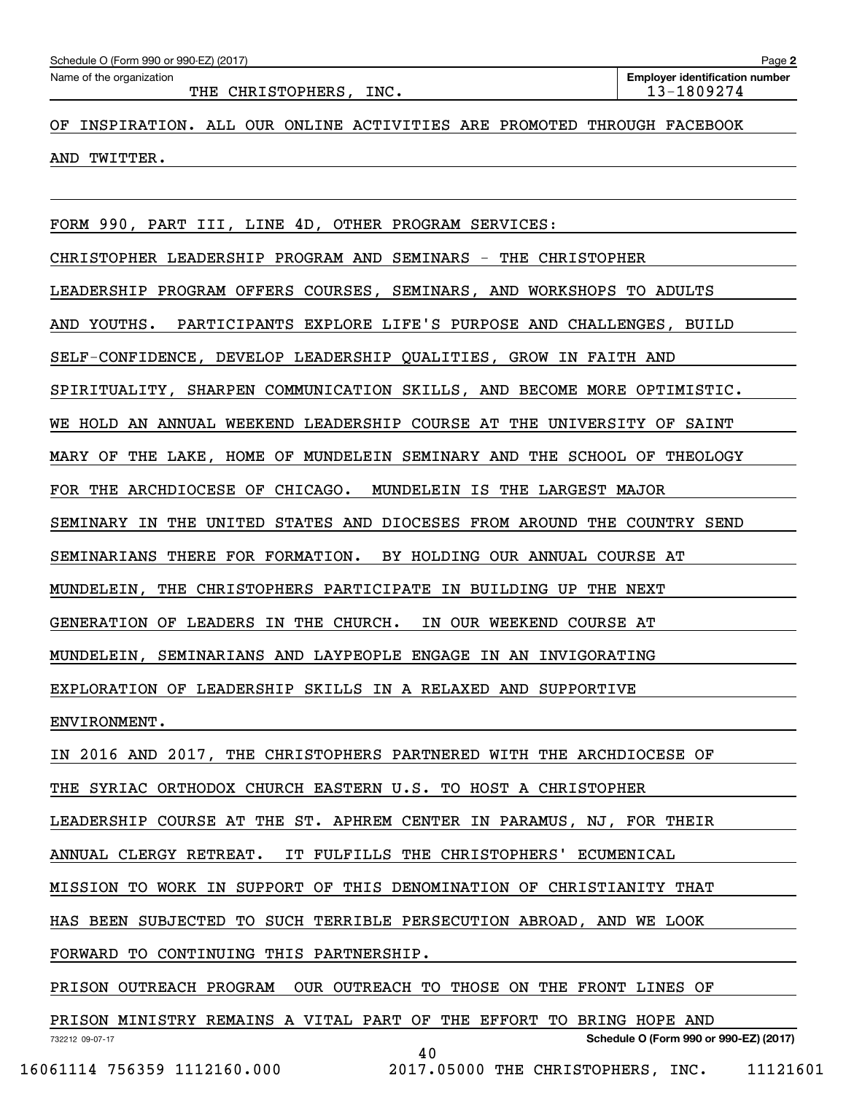THE CHRISTOPHERS, INC. 13-1809274

OF INSPIRATION. ALL OUR ONLINE ACTIVITIES ARE PROMOTED THROUGH FACEBOOK AND TWITTER.

FORM 990, PART III, LINE 4D, OTHER PROGRAM SERVICES:

CHRISTOPHER LEADERSHIP PROGRAM AND SEMINARS - THE CHRISTOPHER

LEADERSHIP PROGRAM OFFERS COURSES, SEMINARS, AND WORKSHOPS TO ADULTS

AND YOUTHS. PARTICIPANTS EXPLORE LIFE'S PURPOSE AND CHALLENGES, BUILD

SELF-CONFIDENCE, DEVELOP LEADERSHIP QUALITIES, GROW IN FAITH AND

SPIRITUALITY, SHARPEN COMMUNICATION SKILLS, AND BECOME MORE OPTIMISTIC.

WE HOLD AN ANNUAL WEEKEND LEADERSHIP COURSE AT THE UNIVERSITY OF SAINT

MARY OF THE LAKE, HOME OF MUNDELEIN SEMINARY AND THE SCHOOL OF THEOLOGY

FOR THE ARCHDIOCESE OF CHICAGO. MUNDELEIN IS THE LARGEST MAJOR

SEMINARY IN THE UNITED STATES AND DIOCESES FROM AROUND THE COUNTRY SEND

SEMINARIANS THERE FOR FORMATION. BY HOLDING OUR ANNUAL COURSE AT

MUNDELEIN, THE CHRISTOPHERS PARTICIPATE IN BUILDING UP THE NEXT

GENERATION OF LEADERS IN THE CHURCH. IN OUR WEEKEND COURSE AT

MUNDELEIN, SEMINARIANS AND LAYPEOPLE ENGAGE IN AN INVIGORATING

EXPLORATION OF LEADERSHIP SKILLS IN A RELAXED AND SUPPORTIVE

ENVIRONMENT.

IN 2016 AND 2017, THE CHRISTOPHERS PARTNERED WITH THE ARCHDIOCESE OF

THE SYRIAC ORTHODOX CHURCH EASTERN U.S. TO HOST A CHRISTOPHER

LEADERSHIP COURSE AT THE ST. APHREM CENTER IN PARAMUS, NJ, FOR THEIR

ANNUAL CLERGY RETREAT. IT FULFILLS THE CHRISTOPHERS' ECUMENICAL

MISSION TO WORK IN SUPPORT OF THIS DENOMINATION OF CHRISTIANITY THAT

HAS BEEN SUBJECTED TO SUCH TERRIBLE PERSECUTION ABROAD, AND WE LOOK

FORWARD TO CONTINUING THIS PARTNERSHIP.

PRISON OUTREACH PROGRAM OUR OUTREACH TO THOSE ON THE FRONT LINES OF

PRISON MINISTRY REMAINS A VITAL PART OF THE EFFORT TO BRING HOPE AND

732212 09-07-17

**Schedule O (Form 990 or 990-EZ) (2017)**

40

16061114 756359 1112160.000 2017.05000 THE CHRISTOPHERS, INC. 11121601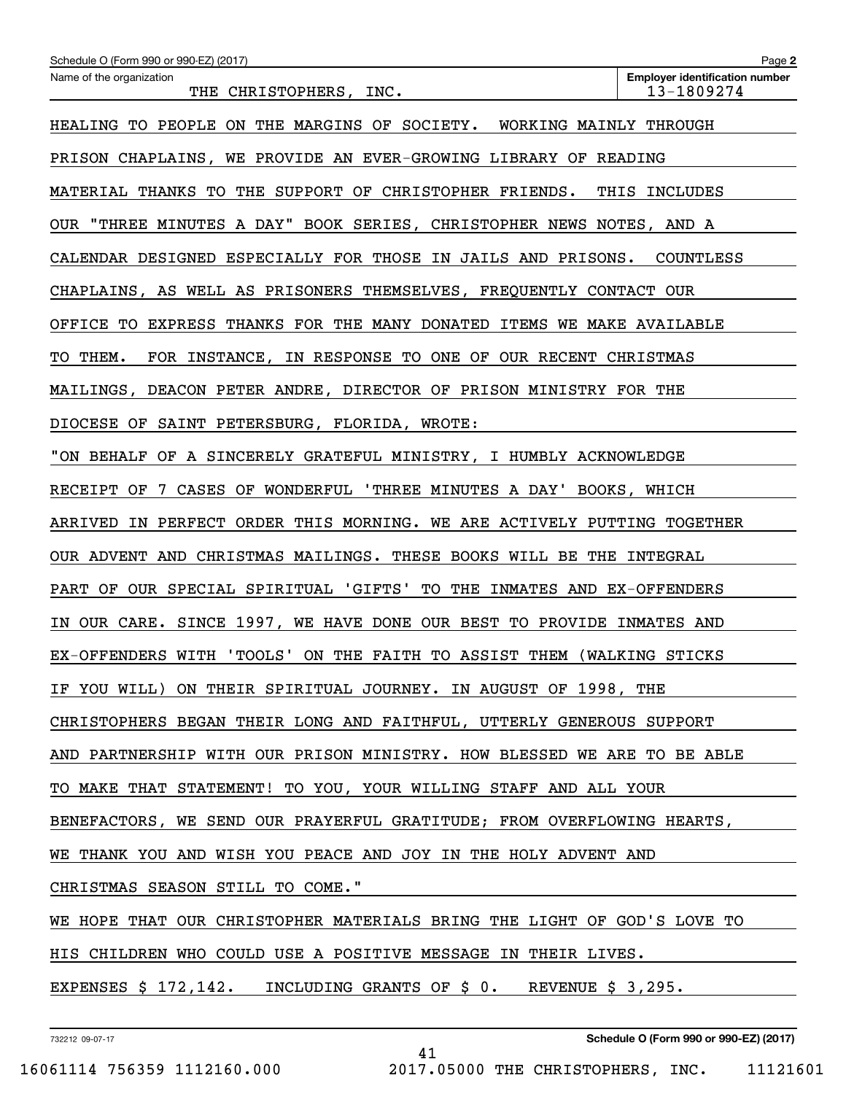| Schedule O (Form 990 or 990-EZ) (2017)                                             | Page 2                                              |
|------------------------------------------------------------------------------------|-----------------------------------------------------|
| Name of the organization<br>THE CHRISTOPHERS, INC.                                 | <b>Employer identification number</b><br>13-1809274 |
| HEALING TO PEOPLE ON THE MARGINS OF SOCIETY. WORKING MAINLY THROUGH                |                                                     |
| PRISON CHAPLAINS, WE PROVIDE AN EVER-GROWING LIBRARY OF READING                    |                                                     |
| MATERIAL THANKS TO THE SUPPORT OF CHRISTOPHER FRIENDS. THIS INCLUDES               |                                                     |
| OUR "THREE MINUTES A DAY" BOOK SERIES, CHRISTOPHER NEWS NOTES, AND A               |                                                     |
| CALENDAR DESIGNED ESPECIALLY FOR THOSE IN JAILS AND PRISONS.                       | COUNTLESS                                           |
| CHAPLAINS, AS WELL AS PRISONERS THEMSELVES, FREQUENTLY CONTACT OUR                 |                                                     |
| OFFICE TO EXPRESS THANKS FOR THE MANY DONATED ITEMS WE MAKE AVAILABLE              |                                                     |
| TO THEM. FOR INSTANCE, IN RESPONSE TO ONE OF OUR RECENT CHRISTMAS                  |                                                     |
| MAILINGS, DEACON PETER ANDRE, DIRECTOR OF PRISON MINISTRY FOR THE                  |                                                     |
| DIOCESE OF SAINT PETERSBURG, FLORIDA, WROTE:                                       |                                                     |
| "ON BEHALF OF A SINCERELY GRATEFUL MINISTRY, I HUMBLY ACKNOWLEDGE                  |                                                     |
| RECEIPT OF 7 CASES OF WONDERFUL 'THREE MINUTES A DAY' BOOKS, WHICH                 |                                                     |
| ARRIVED IN PERFECT ORDER THIS MORNING. WE ARE ACTIVELY PUTTING TOGETHER            |                                                     |
| OUR ADVENT AND CHRISTMAS MAILINGS. THESE BOOKS WILL BE THE INTEGRAL                |                                                     |
| PART OF OUR SPECIAL SPIRITUAL 'GIFTS' TO THE INMATES AND EX-OFFENDERS              |                                                     |
| IN OUR CARE. SINCE 1997, WE HAVE DONE OUR BEST TO PROVIDE INMATES AND              |                                                     |
| EX-OFFENDERS WITH 'TOOLS' ON THE FAITH TO ASSIST THEM (WALKING STICKS              |                                                     |
| IF YOU WILL) ON THEIR SPIRITUAL JOURNEY. IN AUGUST OF 1998, THE                    |                                                     |
| CHRISTOPHERS BEGAN THEIR LONG AND FAITHFUL, UTTERLY GENEROUS SUPPORT               |                                                     |
| AND PARTNERSHIP WITH OUR PRISON MINISTRY. HOW BLESSED WE ARE TO BE ABLE            |                                                     |
| TO MAKE THAT STATEMENT! TO YOU, YOUR WILLING STAFF AND ALL YOUR                    |                                                     |
| BENEFACTORS, WE SEND OUR PRAYERFUL GRATITUDE; FROM OVERFLOWING HEARTS,             |                                                     |
| WE THANK YOU AND WISH YOU PEACE AND JOY IN THE HOLY ADVENT AND                     |                                                     |
| CHRISTMAS SEASON STILL TO COME."                                                   |                                                     |
| WE HOPE THAT OUR CHRISTOPHER MATERIALS BRING THE LIGHT OF GOD'S LOVE TO            |                                                     |
| HIS CHILDREN WHO COULD USE A POSITIVE MESSAGE IN THEIR LIVES.                      |                                                     |
| EXPENSES $\sharp$ 172,142. INCLUDING GRANTS OF $\sharp$ 0. REVENUE $\sharp$ 3,295. |                                                     |

41

732212 09-07-17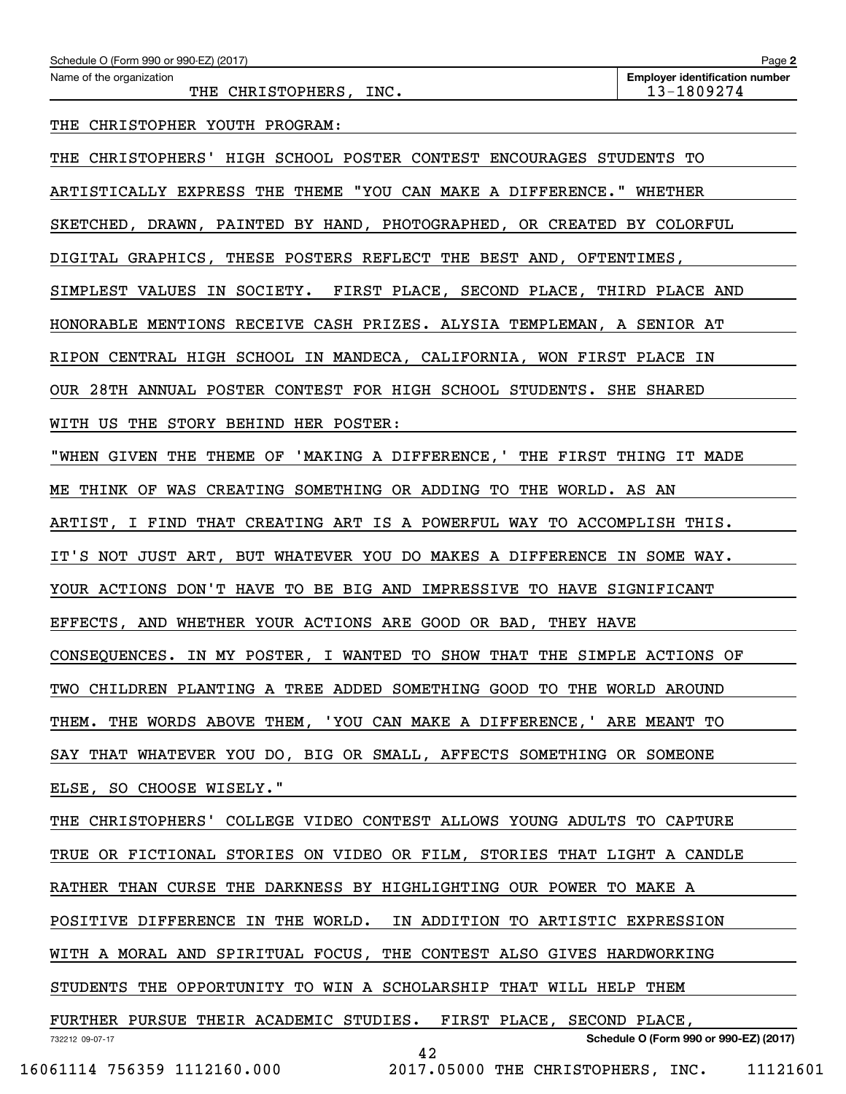THE CHRISTOPHER YOUTH PROGRAM:

THE CHRISTOPHERS' HIGH SCHOOL POSTER CONTEST ENCOURAGES STUDENTS TO ARTISTICALLY EXPRESS THE THEME "YOU CAN MAKE A DIFFERENCE." WHETHER SKETCHED, DRAWN, PAINTED BY HAND, PHOTOGRAPHED, OR CREATED BY COLORFUL DIGITAL GRAPHICS, THESE POSTERS REFLECT THE BEST AND, OFTENTIMES, SIMPLEST VALUES IN SOCIETY. FIRST PLACE, SECOND PLACE, THIRD PLACE AND HONORABLE MENTIONS RECEIVE CASH PRIZES. ALYSIA TEMPLEMAN, A SENIOR AT RIPON CENTRAL HIGH SCHOOL IN MANDECA, CALIFORNIA, WON FIRST PLACE IN OUR 28TH ANNUAL POSTER CONTEST FOR HIGH SCHOOL STUDENTS. SHE SHARED WITH US THE STORY BEHIND HER POSTER: "WHEN GIVEN THE THEME OF 'MAKING A DIFFERENCE,' THE FIRST THING IT MADE ME THINK OF WAS CREATING SOMETHING OR ADDING TO THE WORLD. AS AN ARTIST, I FIND THAT CREATING ART IS A POWERFUL WAY TO ACCOMPLISH THIS.

IT'S NOT JUST ART, BUT WHATEVER YOU DO MAKES A DIFFERENCE IN SOME WAY.

YOUR ACTIONS DON'T HAVE TO BE BIG AND IMPRESSIVE TO HAVE SIGNIFICANT

EFFECTS, AND WHETHER YOUR ACTIONS ARE GOOD OR BAD, THEY HAVE

CONSEQUENCES. IN MY POSTER, I WANTED TO SHOW THAT THE SIMPLE ACTIONS OF

TWO CHILDREN PLANTING A TREE ADDED SOMETHING GOOD TO THE WORLD AROUND

THEM. THE WORDS ABOVE THEM, 'YOU CAN MAKE A DIFFERENCE,' ARE MEANT TO

SAY THAT WHATEVER YOU DO, BIG OR SMALL, AFFECTS SOMETHING OR SOMEONE

ELSE, SO CHOOSE WISELY."

732212 09-07-17 **Schedule O (Form 990 or 990-EZ) (2017)** THE CHRISTOPHERS' COLLEGE VIDEO CONTEST ALLOWS YOUNG ADULTS TO CAPTURE TRUE OR FICTIONAL STORIES ON VIDEO OR FILM, STORIES THAT LIGHT A CANDLE RATHER THAN CURSE THE DARKNESS BY HIGHLIGHTING OUR POWER TO MAKE A POSITIVE DIFFERENCE IN THE WORLD. IN ADDITION TO ARTISTIC EXPRESSION WITH A MORAL AND SPIRITUAL FOCUS, THE CONTEST ALSO GIVES HARDWORKING STUDENTS THE OPPORTUNITY TO WIN A SCHOLARSHIP THAT WILL HELP THEM FURTHER PURSUE THEIR ACADEMIC STUDIES. FIRST PLACE, SECOND PLACE,

42

16061114 756359 1112160.000 2017.05000 THE CHRISTOPHERS, INC. 11121601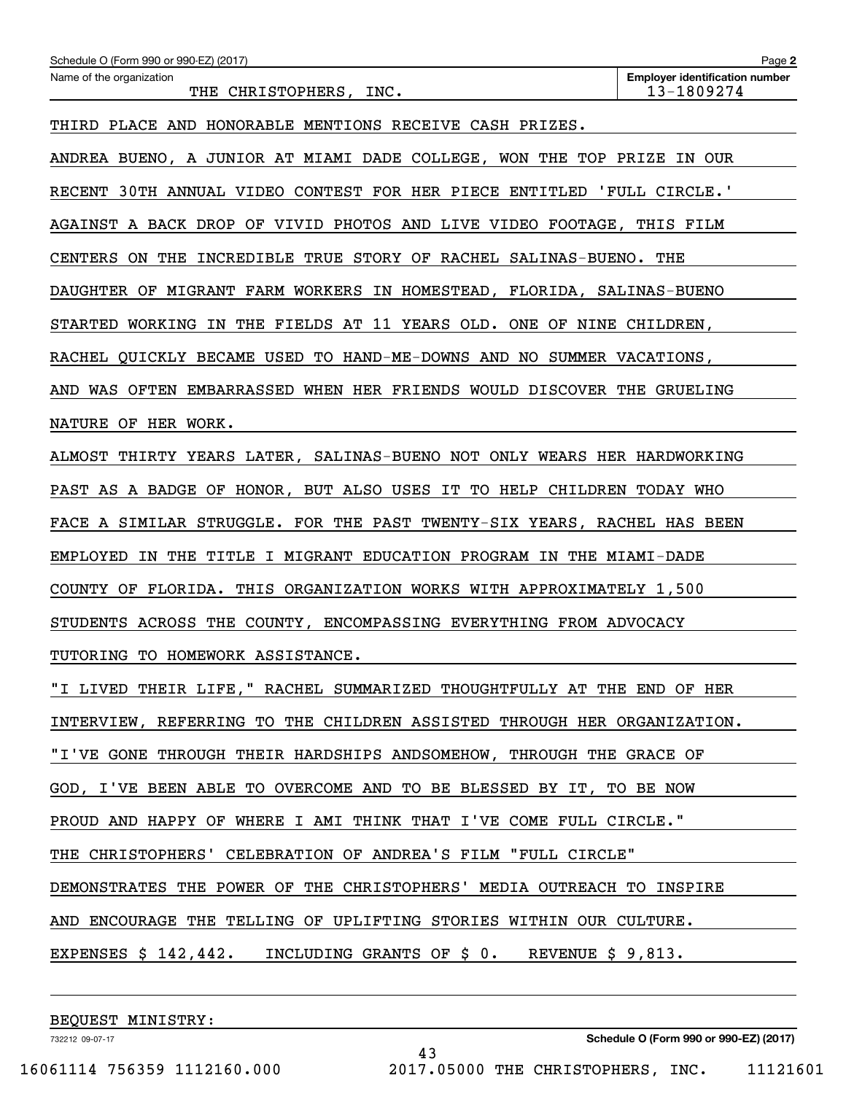| Schedule O (Form 990 or 990-EZ) (2017)                                  | Page 2                                              |
|-------------------------------------------------------------------------|-----------------------------------------------------|
| Name of the organization<br>THE CHRISTOPHERS, INC.                      | <b>Employer identification number</b><br>13-1809274 |
| THIRD PLACE AND HONORABLE MENTIONS RECEIVE CASH PRIZES.                 |                                                     |
| ANDREA BUENO, A JUNIOR AT MIAMI DADE COLLEGE, WON THE TOP PRIZE IN OUR  |                                                     |
| RECENT 30TH ANNUAL VIDEO CONTEST FOR HER PIECE ENTITLED 'FULL CIRCLE.'  |                                                     |
| AGAINST A BACK DROP OF VIVID PHOTOS AND LIVE VIDEO FOOTAGE, THIS FILM   |                                                     |
| CENTERS ON THE INCREDIBLE TRUE STORY OF RACHEL SALINAS-BUENO. THE       |                                                     |
| DAUGHTER OF MIGRANT FARM WORKERS IN HOMESTEAD, FLORIDA, SALINAS-BUENO   |                                                     |
| STARTED WORKING IN THE FIELDS AT 11 YEARS OLD. ONE OF NINE CHILDREN,    |                                                     |
| RACHEL QUICKLY BECAME USED TO HAND-ME-DOWNS AND NO SUMMER VACATIONS,    |                                                     |
| AND WAS OFTEN EMBARRASSED WHEN HER FRIENDS WOULD DISCOVER THE GRUELING  |                                                     |
| NATURE OF HER WORK.                                                     |                                                     |
| ALMOST THIRTY YEARS LATER, SALINAS-BUENO NOT ONLY WEARS HER HARDWORKING |                                                     |
| PAST AS A BADGE OF HONOR, BUT ALSO USES IT TO HELP CHILDREN TODAY WHO   |                                                     |
| FACE A SIMILAR STRUGGLE. FOR THE PAST TWENTY-SIX YEARS, RACHEL HAS BEEN |                                                     |
| EMPLOYED IN THE TITLE I MIGRANT EDUCATION PROGRAM IN THE MIAMI-DADE     |                                                     |
| COUNTY OF FLORIDA. THIS ORGANIZATION WORKS WITH APPROXIMATELY 1,500     |                                                     |
| STUDENTS ACROSS THE COUNTY, ENCOMPASSING EVERYTHING FROM ADVOCACY       |                                                     |
| TUTORING TO HOMEWORK ASSISTANCE.                                        |                                                     |
| "I LIVED THEIR LIFE," RACHEL SUMMARIZED THOUGHTFULLY AT THE END OF HER  |                                                     |
| INTERVIEW, REFERRING TO THE CHILDREN ASSISTED THROUGH HER ORGANIZATION. |                                                     |
| "I'VE GONE THROUGH THEIR HARDSHIPS ANDSOMEHOW, THROUGH THE GRACE OF     |                                                     |
| GOD, I'VE BEEN ABLE TO OVERCOME AND TO BE BLESSED BY IT, TO BE NOW      |                                                     |
| PROUD AND HAPPY OF WHERE I AMI THINK THAT I'VE COME FULL CIRCLE."       |                                                     |
| THE CHRISTOPHERS' CELEBRATION OF ANDREA'S FILM "FULL CIRCLE"            |                                                     |
| DEMONSTRATES THE POWER OF THE CHRISTOPHERS' MEDIA OUTREACH TO INSPIRE   |                                                     |
| AND ENCOURAGE THE TELLING OF UPLIFTING STORIES WITHIN OUR CULTURE.      |                                                     |
| EXPENSES $$142,442$ .<br>INCLUDING GRANTS OF \$0.<br>REVENUE $$9,813.$  |                                                     |
|                                                                         |                                                     |

BEQUEST MINISTRY:

732212 09-07-17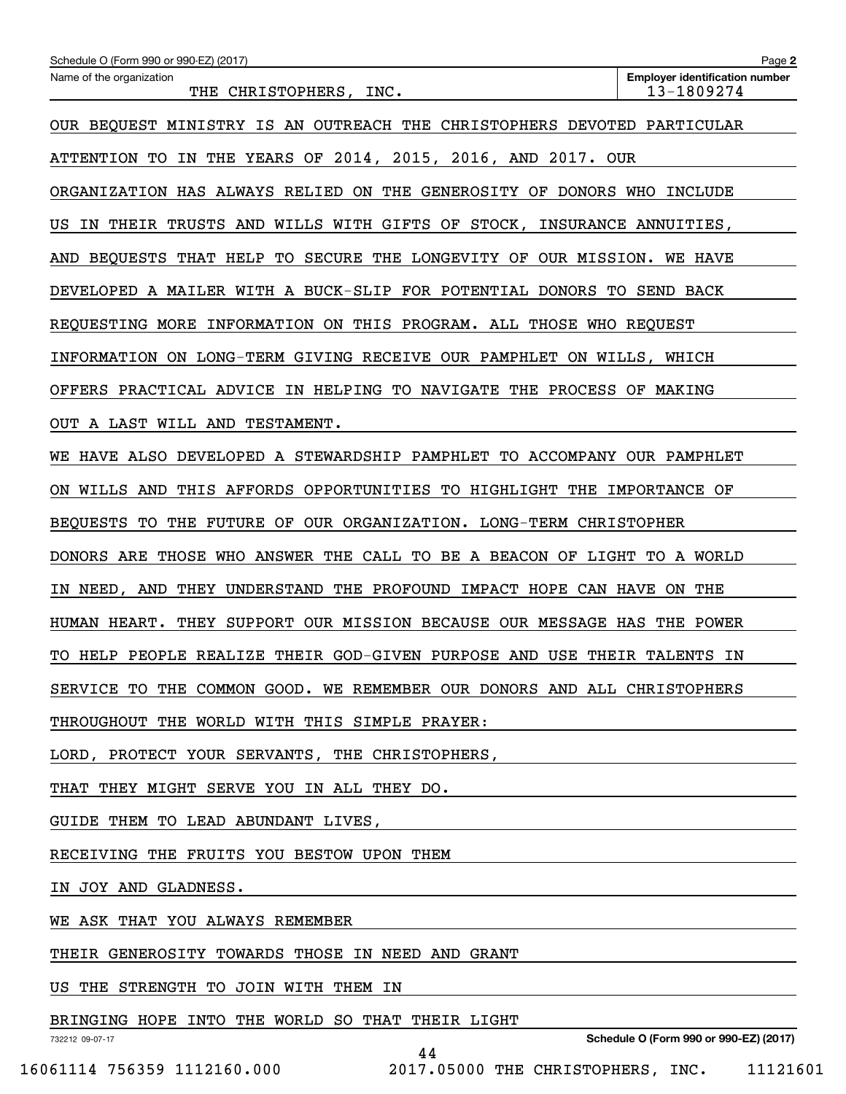| Schedule O (Form 990 or 990-EZ) (2017)                                                                        | Page 2                                              |
|---------------------------------------------------------------------------------------------------------------|-----------------------------------------------------|
| Name of the organization<br>THE CHRISTOPHERS,<br>INC.                                                         | <b>Employer identification number</b><br>13-1809274 |
| OUR BEQUEST MINISTRY IS AN OUTREACH THE CHRISTOPHERS DEVOTED PARTICULAR                                       |                                                     |
| ATTENTION TO IN THE YEARS OF 2014, 2015, 2016, AND 2017. OUR                                                  |                                                     |
| ORGANIZATION HAS ALWAYS RELIED ON THE GENEROSITY OF DONORS WHO INCLUDE                                        |                                                     |
| IN THEIR TRUSTS AND WILLS WITH GIFTS OF STOCK, INSURANCE ANNUITIES,<br>US                                     |                                                     |
| AND BEQUESTS THAT HELP TO SECURE THE LONGEVITY OF OUR MISSION. WE HAVE                                        |                                                     |
| DEVELOPED A MAILER WITH A BUCK-SLIP FOR POTENTIAL DONORS TO SEND BACK                                         |                                                     |
| REQUESTING MORE INFORMATION ON THIS PROGRAM. ALL THOSE WHO REQUEST                                            |                                                     |
| INFORMATION ON LONG-TERM GIVING RECEIVE OUR PAMPHLET ON WILLS, WHICH                                          |                                                     |
| OFFERS PRACTICAL ADVICE IN HELPING TO NAVIGATE THE PROCESS OF MAKING                                          |                                                     |
| OUT A LAST WILL AND TESTAMENT.                                                                                |                                                     |
| WE HAVE ALSO DEVELOPED A STEWARDSHIP PAMPHLET TO ACCOMPANY OUR PAMPHLET                                       |                                                     |
| ON WILLS AND THIS AFFORDS OPPORTUNITIES TO HIGHLIGHT THE IMPORTANCE OF                                        |                                                     |
| BEQUESTS TO THE FUTURE OF OUR ORGANIZATION. LONG-TERM CHRISTOPHER                                             |                                                     |
| DONORS ARE THOSE WHO ANSWER THE CALL TO BE A BEACON OF LIGHT TO A WORLD                                       |                                                     |
| THEY UNDERSTAND THE PROFOUND IMPACT HOPE CAN HAVE ON THE<br>NEED, AND<br>IN.                                  |                                                     |
| THEY SUPPORT OUR MISSION BECAUSE OUR MESSAGE HAS<br>HUMAN HEART.                                              | THE POWER                                           |
| TO HELP PEOPLE REALIZE THEIR GOD-GIVEN PURPOSE AND USE THEIR TALENTS IN                                       |                                                     |
| SERVICE TO THE COMMON GOOD. WE REMEMBER OUR DONORS AND ALL CHRISTOPHERS                                       |                                                     |
| THROUGHOUT THE WORLD WITH THIS SIMPLE PRAYER: __________________________________                              |                                                     |
| LORD, PROTECT YOUR SERVANTS, THE CHRISTOPHERS, AND ARREST AND MALL AND MALL AND MALL AND MALL AND MALL AND MA |                                                     |
|                                                                                                               |                                                     |
| GUIDE THEM TO LEAD ABUNDANT LIVES, WELL ASSESSED TO A REPORT OF THEM TO LEAD ABUNDANT LIVES,                  |                                                     |
| RECEIVING THE FRUITS YOU BESTOW UPON THEM                                                                     |                                                     |
| IN JOY AND GLADNESS.                                                                                          |                                                     |
| WE ASK THAT YOU ALWAYS REMEMBER                                                                               |                                                     |
| THEIR GENEROSITY TOWARDS THOSE IN NEED AND GRANT                                                              |                                                     |
| US THE STRENGTH TO JOIN WITH THEM IN                                                                          |                                                     |

44

BRINGING HOPE INTO THE WORLD SO THAT THEIR LIGHT

732212 09-07-17

**Schedule O (Form 990 or 990-EZ) (2017)**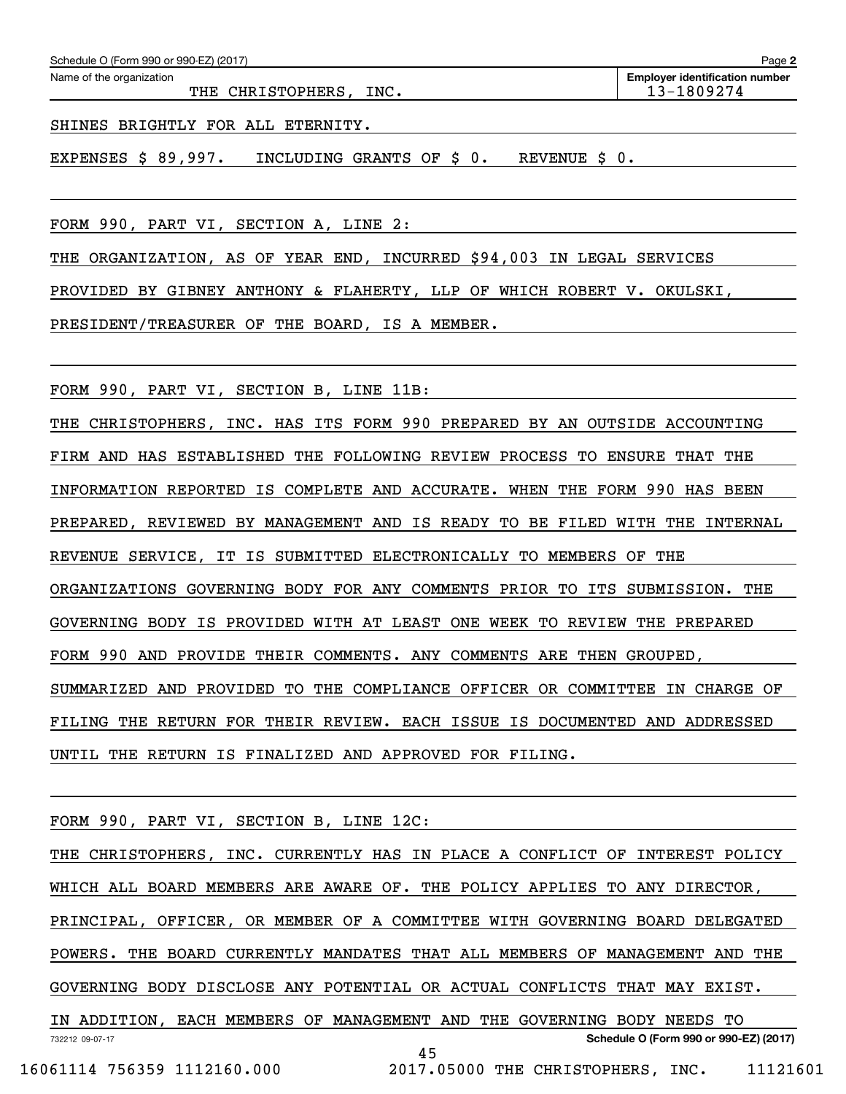| Schedule O (Form 990 or 990-EZ) (2017) |  |  |  |
|----------------------------------------|--|--|--|
|----------------------------------------|--|--|--|

THE CHRISTOPHERS, INC. 13-1809274

Echedule O (Form 990 or 990-EZ) (2017)<br>Name of the organization **number** Name of the organization **number** 

SHINES BRIGHTLY FOR ALL ETERNITY.

EXPENSES \$ 89,997. INCLUDING GRANTS OF \$ 0. REVENUE \$ 0.

FORM 990, PART VI, SECTION A, LINE 2:

THE ORGANIZATION, AS OF YEAR END, INCURRED \$94,003 IN LEGAL SERVICES

PROVIDED BY GIBNEY ANTHONY & FLAHERTY, LLP OF WHICH ROBERT V. OKULSKI,

PRESIDENT/TREASURER OF THE BOARD, IS A MEMBER.

FORM 990, PART VI, SECTION B, LINE 11B:

THE CHRISTOPHERS, INC. HAS ITS FORM 990 PREPARED BY AN OUTSIDE ACCOUNTING FIRM AND HAS ESTABLISHED THE FOLLOWING REVIEW PROCESS TO ENSURE THAT THE INFORMATION REPORTED IS COMPLETE AND ACCURATE. WHEN THE FORM 990 HAS BEEN PREPARED, REVIEWED BY MANAGEMENT AND IS READY TO BE FILED WITH THE INTERNAL REVENUE SERVICE, IT IS SUBMITTED ELECTRONICALLY TO MEMBERS OF THE ORGANIZATIONS GOVERNING BODY FOR ANY COMMENTS PRIOR TO ITS SUBMISSION. THE GOVERNING BODY IS PROVIDED WITH AT LEAST ONE WEEK TO REVIEW THE PREPARED FORM 990 AND PROVIDE THEIR COMMENTS. ANY COMMENTS ARE THEN GROUPED, SUMMARIZED AND PROVIDED TO THE COMPLIANCE OFFICER OR COMMITTEE IN CHARGE OF FILING THE RETURN FOR THEIR REVIEW. EACH ISSUE IS DOCUMENTED AND ADDRESSED UNTIL THE RETURN IS FINALIZED AND APPROVED FOR FILING.

FORM 990, PART VI, SECTION B, LINE 12C:

732212 09-07-17 THE CHRISTOPHERS, INC. CURRENTLY HAS IN PLACE A CONFLICT OF INTEREST POLICY WHICH ALL BOARD MEMBERS ARE AWARE OF. THE POLICY APPLIES TO ANY DIRECTOR, PRINCIPAL, OFFICER, OR MEMBER OF A COMMITTEE WITH GOVERNING BOARD DELEGATED POWERS. THE BOARD CURRENTLY MANDATES THAT ALL MEMBERS OF MANAGEMENT AND THE GOVERNING BODY DISCLOSE ANY POTENTIAL OR ACTUAL CONFLICTS THAT MAY EXIST. IN ADDITION, EACH MEMBERS OF MANAGEMENT AND THE GOVERNING BODY NEEDS TO

45

**Schedule O (Form 990 or 990-EZ) (2017)**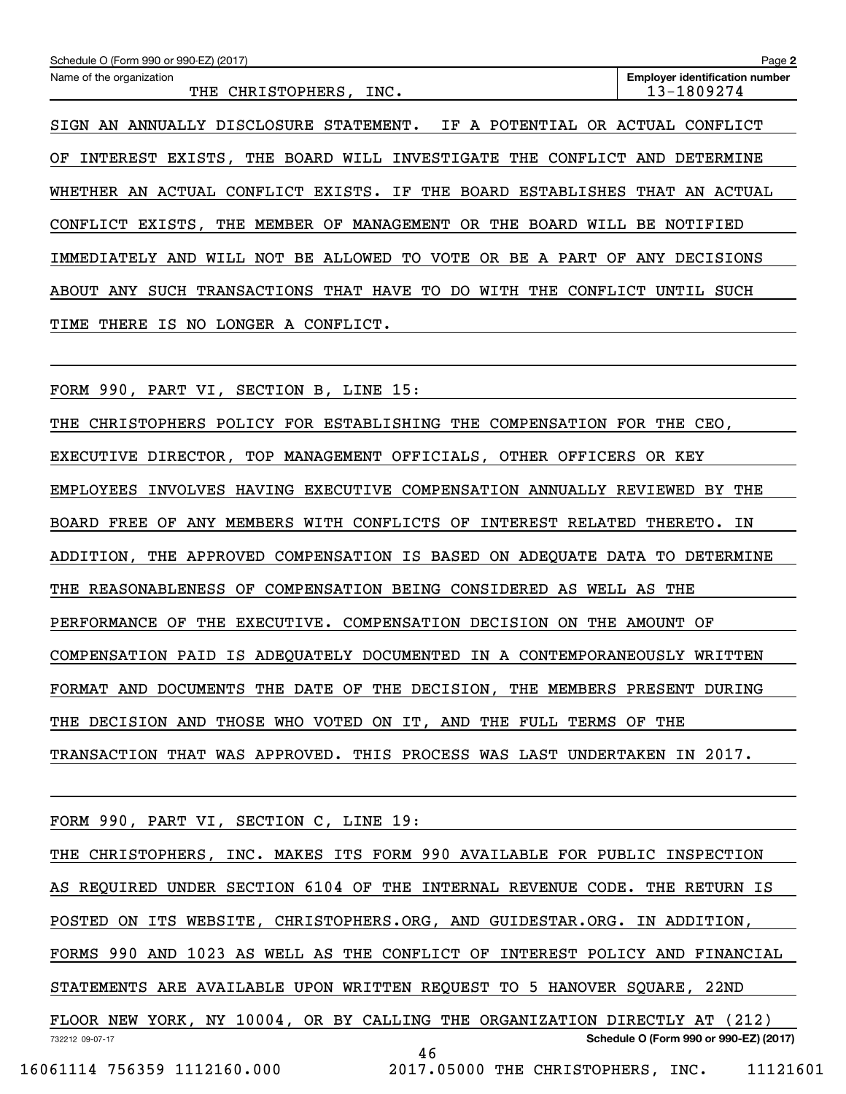| Schedule O (Form 990 or 990-EZ) (2017)                                                              | Page 2                                              |
|-----------------------------------------------------------------------------------------------------|-----------------------------------------------------|
| Name of the organization<br>CHRISTOPHERS, INC.<br>THE                                               | <b>Employer identification number</b><br>13-1809274 |
| ANNUALLY DISCLOSURE<br>STATEMENT. IF A POTENTIAL<br>SIGN<br>AN                                      | OR ACTUAL<br>CONFLICT                               |
| EXISTS,<br>BOARD<br>INVESTIGATE THE<br>ОF<br>INTEREST<br>THE<br>WILL<br>CONFLICT                    | DETERMINE<br>AND                                    |
| CONFLICT EXISTS. IF THE<br>BOARD<br>ACTUAL<br>ESTABLISHES<br>WHETHER<br>AN                          | THAT<br>AN<br>ACTUAL                                |
| THE<br>MEMBER OF<br>MANAGEMENT<br>OR THE<br>BOARD<br>CONFLICT<br>EXISTS.<br>WILL                    | BE.<br>NOTIFIED                                     |
| BE.<br>ALLOWED<br>TO.<br>BE.<br>PART<br>IMMEDIATELY<br>WILL<br>NOT<br>VOTE<br>OR.<br>A<br>OF<br>AND | DECISIONS<br>ANY                                    |
| TRANSACTIONS THAT HAVE TO<br>SUCH<br>DO WITH<br>THE<br>CONFLICT<br><b>ABOUT</b><br>ANY              | SUCH<br>UNTIL                                       |
| LONGER<br>TIME<br>THERE<br>ΙS<br>CONFLICT.<br>NO.<br>$\mathbf{A}$                                   |                                                     |

FORM 990, PART VI, SECTION B, LINE 15:

THE CHRISTOPHERS POLICY FOR ESTABLISHING THE COMPENSATION FOR THE CEO, EXECUTIVE DIRECTOR, TOP MANAGEMENT OFFICIALS, OTHER OFFICERS OR KEY EMPLOYEES INVOLVES HAVING EXECUTIVE COMPENSATION ANNUALLY REVIEWED BY THE BOARD FREE OF ANY MEMBERS WITH CONFLICTS OF INTEREST RELATED THERETO. IN ADDITION, THE APPROVED COMPENSATION IS BASED ON ADEQUATE DATA TO DETERMINE THE REASONABLENESS OF COMPENSATION BEING CONSIDERED AS WELL AS THE PERFORMANCE OF THE EXECUTIVE. COMPENSATION DECISION ON THE AMOUNT OF COMPENSATION PAID IS ADEQUATELY DOCUMENTED IN A CONTEMPORANEOUSLY WRITTEN FORMAT AND DOCUMENTS THE DATE OF THE DECISION, THE MEMBERS PRESENT DURING THE DECISION AND THOSE WHO VOTED ON IT, AND THE FULL TERMS OF THE TRANSACTION THAT WAS APPROVED. THIS PROCESS WAS LAST UNDERTAKEN IN 2017.

FORM 990, PART VI, SECTION C, LINE 19:

732212 09-07-17 **Schedule O (Form 990 or 990-EZ) (2017)** THE CHRISTOPHERS, INC. MAKES ITS FORM 990 AVAILABLE FOR PUBLIC INSPECTION AS REQUIRED UNDER SECTION 6104 OF THE INTERNAL REVENUE CODE. THE RETURN IS POSTED ON ITS WEBSITE, CHRISTOPHERS.ORG, AND GUIDESTAR.ORG. IN ADDITION, FORMS 990 AND 1023 AS WELL AS THE CONFLICT OF INTEREST POLICY AND FINANCIAL STATEMENTS ARE AVAILABLE UPON WRITTEN REQUEST TO 5 HANOVER SQUARE, 22ND FLOOR NEW YORK, NY 10004, OR BY CALLING THE ORGANIZATION DIRECTLY AT (212) 46

16061114 756359 1112160.000 2017.05000 THE CHRISTOPHERS, INC. 11121601